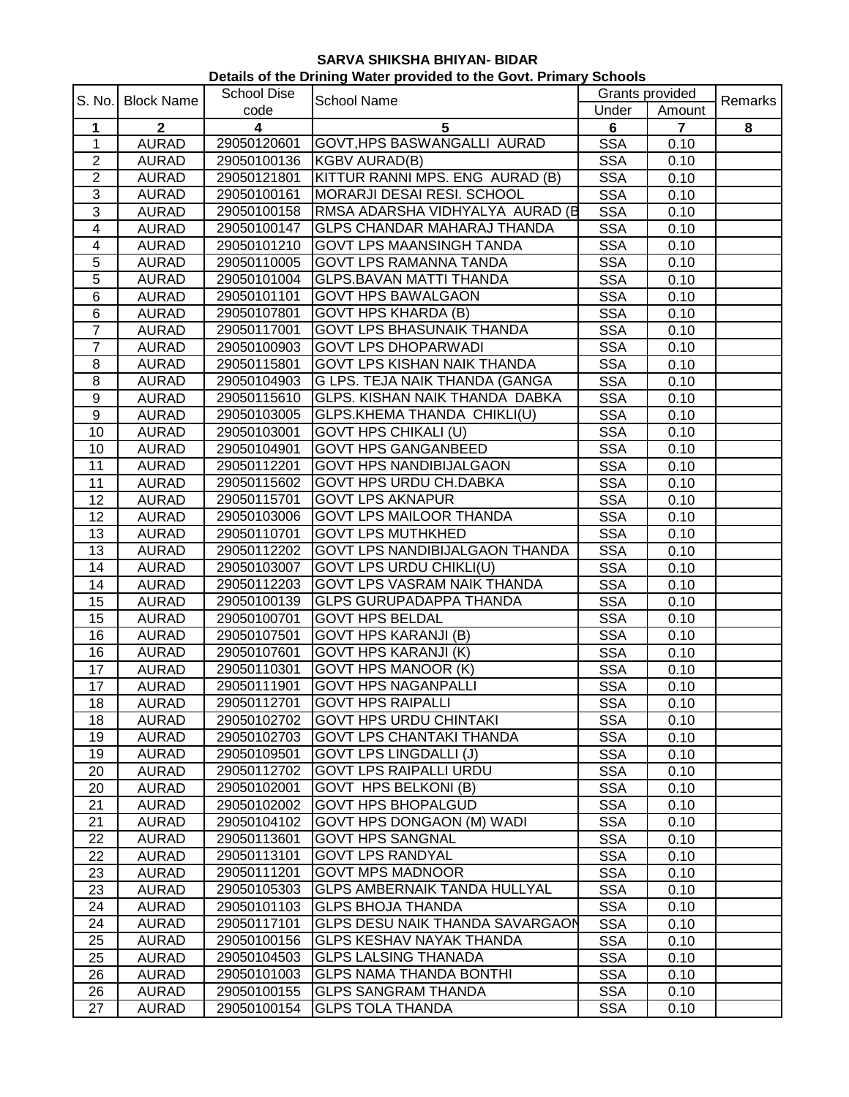| Details of the Drining Water provided to the Govt. Primary Schools |                              |                            |                                                                |                          |                 |         |  |
|--------------------------------------------------------------------|------------------------------|----------------------------|----------------------------------------------------------------|--------------------------|-----------------|---------|--|
| S. No.                                                             | <b>Block Name</b>            | <b>School Dise</b>         | <b>School Name</b>                                             |                          | Grants provided |         |  |
|                                                                    |                              | code                       |                                                                | Under                    | Amount          | Remarks |  |
| 1                                                                  | $\mathbf{2}$                 | $\overline{\mathbf{4}}$    | 5                                                              | $6\phantom{a}$           | $\overline{7}$  | 8       |  |
| $\mathbf 1$                                                        | <b>AURAD</b>                 | 29050120601                | GOVT, HPS BASWANGALLI AURAD                                    | <b>SSA</b>               | 0.10            |         |  |
| $\overline{2}$                                                     | <b>AURAD</b>                 | 29050100136                | <b>KGBV AURAD(B)</b>                                           | <b>SSA</b>               | 0.10            |         |  |
| $\overline{2}$                                                     | <b>AURAD</b>                 | 29050121801                | KITTUR RANNI MPS. ENG AURAD (B)                                | <b>SSA</b>               | 0.10            |         |  |
| $\overline{3}$                                                     | <b>AURAD</b>                 | 29050100161                | MORARJI DESAI RESI. SCHOOL                                     | <b>SSA</b>               | 0.10            |         |  |
| $\overline{3}$                                                     | <b>AURAD</b>                 | 29050100158                | RMSA ADARSHA VIDHYALYA AURAD (B                                | <b>SSA</b>               | 0.10            |         |  |
| 4                                                                  | <b>AURAD</b>                 | 29050100147                | <b>GLPS CHANDAR MAHARAJ THANDA</b>                             | <b>SSA</b>               | 0.10            |         |  |
| 4                                                                  | <b>AURAD</b>                 | 29050101210                | <b>GOVT LPS MAANSINGH TANDA</b>                                | <b>SSA</b>               | 0.10            |         |  |
| 5                                                                  | <b>AURAD</b>                 | 29050110005                | <b>GOVT LPS RAMANNA TANDA</b>                                  | <b>SSA</b>               | 0.10            |         |  |
| 5                                                                  | <b>AURAD</b>                 | 29050101004                | <b>GLPS.BAVAN MATTI THANDA</b>                                 | <b>SSA</b>               | 0.10            |         |  |
| 6                                                                  | <b>AURAD</b>                 | 29050101101                | <b>GOVT HPS BAWALGAON</b>                                      | <b>SSA</b>               | 0.10            |         |  |
| $\,6$                                                              | <b>AURAD</b>                 | 29050107801                | <b>GOVT HPS KHARDA (B)</b>                                     | <b>SSA</b>               | 0.10            |         |  |
| $\overline{7}$                                                     | <b>AURAD</b>                 | 29050117001                | <b>GOVT LPS BHASUNAIK THANDA</b>                               | <b>SSA</b>               | 0.10            |         |  |
| $\overline{7}$                                                     | <b>AURAD</b>                 | 29050100903                | <b>GOVT LPS DHOPARWADI</b>                                     | <b>SSA</b>               | 0.10            |         |  |
| 8                                                                  | <b>AURAD</b>                 | 29050115801                | GOVT LPS KISHAN NAIK THANDA                                    | <b>SSA</b>               | 0.10            |         |  |
| 8                                                                  | <b>AURAD</b>                 | 29050104903                | G LPS. TEJA NAIK THANDA (GANGA                                 | <b>SSA</b>               | 0.10            |         |  |
| 9                                                                  | <b>AURAD</b>                 | 29050115610                | GLPS. KISHAN NAIK THANDA DABKA                                 | <b>SSA</b>               | 0.10            |         |  |
| $\boldsymbol{9}$                                                   | <b>AURAD</b>                 | 29050103005                | GLPS.KHEMA THANDA CHIKLI(U)                                    | <b>SSA</b>               | 0.10            |         |  |
| 10                                                                 | <b>AURAD</b>                 | 29050103001                | <b>GOVT HPS CHIKALI (U)</b>                                    | <b>SSA</b>               | 0.10            |         |  |
| 10                                                                 | <b>AURAD</b>                 | 29050104901                | <b>GOVT HPS GANGANBEED</b>                                     | <b>SSA</b>               | 0.10            |         |  |
| 11                                                                 | <b>AURAD</b>                 | 29050112201                | <b>GOVT HPS NANDIBIJALGAON</b>                                 | <b>SSA</b>               | 0.10            |         |  |
| 11                                                                 | <b>AURAD</b>                 | 29050115602                | <b>GOVT HPS URDU CH.DABKA</b>                                  | <b>SSA</b>               | 0.10            |         |  |
| 12                                                                 | <b>AURAD</b>                 | 29050115701                | <b>GOVT LPS AKNAPUR</b>                                        | <b>SSA</b>               | 0.10            |         |  |
| 12                                                                 | <b>AURAD</b>                 | 29050103006                | <b>GOVT LPS MAILOOR THANDA</b>                                 | <b>SSA</b>               | 0.10            |         |  |
| 13                                                                 | <b>AURAD</b>                 | 29050110701                | <b>GOVT LPS MUTHKHED</b>                                       | <b>SSA</b>               | 0.10            |         |  |
| 13                                                                 | <b>AURAD</b>                 | 29050112202                | GOVT LPS NANDIBIJALGAON THANDA                                 | <b>SSA</b>               | 0.10            |         |  |
| 14                                                                 | <b>AURAD</b>                 | 29050103007                | <b>GOVT LPS URDU CHIKLI(U)</b>                                 | <b>SSA</b>               | 0.10            |         |  |
| 14                                                                 | <b>AURAD</b>                 | 29050112203                | GOVT LPS VASRAM NAIK THANDA                                    | <b>SSA</b>               | 0.10            |         |  |
| 15                                                                 | <b>AURAD</b>                 | 29050100139                | <b>GLPS GURUPADAPPA THANDA</b>                                 | <b>SSA</b>               | 0.10            |         |  |
| 15                                                                 | <b>AURAD</b>                 | 29050100701                | <b>GOVT HPS BELDAL</b>                                         | <b>SSA</b>               | 0.10            |         |  |
| 16                                                                 | <b>AURAD</b>                 | 29050107501                | <b>GOVT HPS KARANJI (B)</b>                                    | <b>SSA</b>               | 0.10            |         |  |
| 16                                                                 | <b>AURAD</b>                 | 29050107601                | <b>GOVT HPS KARANJI (K)</b>                                    | <b>SSA</b>               | 0.10            |         |  |
| 17                                                                 | <b>AURAD</b>                 | 29050110301                | <b>GOVT HPS MANOOR (K)</b>                                     | <b>SSA</b>               | 0.10            |         |  |
| 17                                                                 | <b>AURAD</b>                 | 29050111901                | <b>GOVT HPS NAGANPALLI</b>                                     | <b>SSA</b>               | 0.10            |         |  |
| 18                                                                 | <b>AURAD</b>                 | 29050112701                | <b>GOVT HPS RAIPALLI</b>                                       | <b>SSA</b>               | 0.10            |         |  |
| 18                                                                 | <b>AURAD</b>                 | 29050102702                | <b>GOVT HPS URDU CHINTAKI</b>                                  | <b>SSA</b>               | 0.10            |         |  |
| 19                                                                 | <b>AURAD</b>                 | 29050102703                | <b>GOVT LPS CHANTAKI THANDA</b>                                |                          |                 |         |  |
| 19                                                                 | <b>AURAD</b>                 | 29050109501                | <b>GOVT LPS LINGDALLI (J)</b>                                  | <b>SSA</b><br><b>SSA</b> | 0.10<br>0.10    |         |  |
| 20                                                                 | <b>AURAD</b>                 | 29050112702                | <b>GOVT LPS RAIPALLI URDU</b>                                  | <b>SSA</b>               | 0.10            |         |  |
| 20                                                                 | <b>AURAD</b>                 | 29050102001                | <b>GOVT HPS BELKONI (B)</b>                                    | <b>SSA</b>               | 0.10            |         |  |
| 21                                                                 | <b>AURAD</b>                 | 29050102002                | <b>GOVT HPS BHOPALGUD</b>                                      | <b>SSA</b>               | 0.10            |         |  |
| 21                                                                 |                              | 29050104102                | <b>GOVT HPS DONGAON (M) WADI</b>                               | <b>SSA</b>               | 0.10            |         |  |
|                                                                    | <b>AURAD</b>                 | 29050113601                | <b>GOVT HPS SANGNAL</b>                                        |                          |                 |         |  |
| 22<br>22                                                           | <b>AURAD</b>                 |                            | <b>GOVT LPS RANDYAL</b>                                        | <b>SSA</b>               | 0.10            |         |  |
|                                                                    | <b>AURAD</b>                 | 29050113101                |                                                                | <b>SSA</b>               | 0.10            |         |  |
| 23                                                                 | <b>AURAD</b>                 | 29050111201                | <b>GOVT MPS MADNOOR</b><br><b>GLPS AMBERNAIK TANDA HULLYAL</b> | <b>SSA</b>               | 0.10            |         |  |
| 23<br>24                                                           | <b>AURAD</b><br><b>AURAD</b> | 29050105303<br>29050101103 | <b>GLPS BHOJA THANDA</b>                                       | <b>SSA</b>               | 0.10            |         |  |
| 24                                                                 |                              | 29050117101                | <b>GLPS DESU NAIK THANDA SAVARGAON</b>                         | <b>SSA</b><br><b>SSA</b> | 0.10<br>0.10    |         |  |
| 25                                                                 | <b>AURAD</b><br><b>AURAD</b> | 29050100156                | <b>GLPS KESHAV NAYAK THANDA</b>                                |                          |                 |         |  |
| 25                                                                 |                              | 29050104503                | <b>GLPS LALSING THANADA</b>                                    | <b>SSA</b><br><b>SSA</b> | 0.10<br>0.10    |         |  |
| 26                                                                 | <b>AURAD</b><br><b>AURAD</b> | 29050101003                | <b>GLPS NAMA THANDA BONTHI</b>                                 | <b>SSA</b>               | 0.10            |         |  |
| 26                                                                 | <b>AURAD</b>                 | 29050100155                | <b>GLPS SANGRAM THANDA</b>                                     | <b>SSA</b>               | 0.10            |         |  |
| 27                                                                 | <b>AURAD</b>                 | 29050100154                | <b>GLPS TOLA THANDA</b>                                        | <b>SSA</b>               | 0.10            |         |  |
|                                                                    |                              |                            |                                                                |                          |                 |         |  |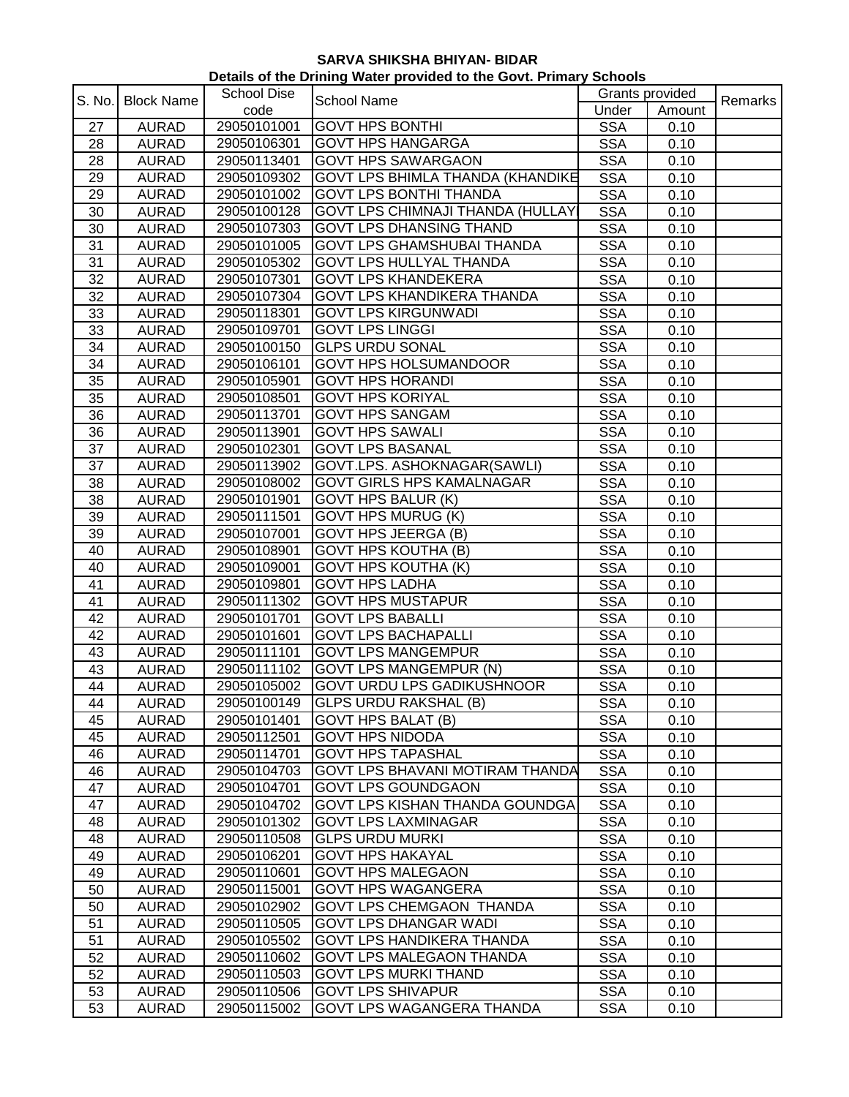| Details of the Drining Water provided to the Govt. Primary Schools |                   |                    |                                          |                 |        |         |  |
|--------------------------------------------------------------------|-------------------|--------------------|------------------------------------------|-----------------|--------|---------|--|
| S. No.                                                             | <b>Block Name</b> | <b>School Dise</b> | <b>School Name</b>                       | Grants provided |        | Remarks |  |
|                                                                    |                   | code               |                                          | Under           | Amount |         |  |
| 27                                                                 | <b>AURAD</b>      | 29050101001        | <b>GOVT HPS BONTHI</b>                   | <b>SSA</b>      | 0.10   |         |  |
| 28                                                                 | <b>AURAD</b>      | 29050106301        | <b>GOVT HPS HANGARGA</b>                 | <b>SSA</b>      | 0.10   |         |  |
| 28                                                                 | <b>AURAD</b>      | 29050113401        | <b>GOVT HPS SAWARGAON</b>                | <b>SSA</b>      | 0.10   |         |  |
| 29                                                                 | <b>AURAD</b>      | 29050109302        | <b>GOVT LPS BHIMLA THANDA (KHANDIKE</b>  | <b>SSA</b>      | 0.10   |         |  |
| 29                                                                 | <b>AURAD</b>      | 29050101002        | <b>GOVT LPS BONTHI THANDA</b>            | <b>SSA</b>      | 0.10   |         |  |
| 30                                                                 | <b>AURAD</b>      | 29050100128        | <b>GOVT LPS CHIMNAJI THANDA (HULLAY)</b> | <b>SSA</b>      | 0.10   |         |  |
| 30                                                                 | <b>AURAD</b>      | 29050107303        | <b>GOVT LPS DHANSING THAND</b>           | <b>SSA</b>      | 0.10   |         |  |
| 31                                                                 | <b>AURAD</b>      | 29050101005        | <b>GOVT LPS GHAMSHUBAI THANDA</b>        | <b>SSA</b>      | 0.10   |         |  |
| 31                                                                 | <b>AURAD</b>      | 29050105302        | <b>GOVT LPS HULLYAL THANDA</b>           | <b>SSA</b>      | 0.10   |         |  |
| 32                                                                 | <b>AURAD</b>      | 29050107301        | <b>GOVT LPS KHANDEKERA</b>               | <b>SSA</b>      | 0.10   |         |  |
| 32                                                                 | <b>AURAD</b>      | 29050107304        | <b>GOVT LPS KHANDIKERA THANDA</b>        | <b>SSA</b>      | 0.10   |         |  |
| 33                                                                 | <b>AURAD</b>      | 29050118301        | <b>GOVT LPS KIRGUNWADI</b>               | <b>SSA</b>      | 0.10   |         |  |
| 33                                                                 | <b>AURAD</b>      | 29050109701        | <b>GOVT LPS LINGGI</b>                   | <b>SSA</b>      | 0.10   |         |  |
| 34                                                                 | <b>AURAD</b>      | 29050100150        | <b>GLPS URDU SONAL</b>                   | <b>SSA</b>      | 0.10   |         |  |
| 34                                                                 | <b>AURAD</b>      | 29050106101        | <b>GOVT HPS HOLSUMANDOOR</b>             | <b>SSA</b>      | 0.10   |         |  |
| 35                                                                 | <b>AURAD</b>      | 29050105901        | <b>GOVT HPS HORANDI</b>                  | <b>SSA</b>      | 0.10   |         |  |
| 35                                                                 | <b>AURAD</b>      | 29050108501        | <b>GOVT HPS KORIYAL</b>                  | <b>SSA</b>      | 0.10   |         |  |
| 36                                                                 | <b>AURAD</b>      | 29050113701        | <b>GOVT HPS SANGAM</b>                   | <b>SSA</b>      | 0.10   |         |  |
| 36                                                                 | <b>AURAD</b>      | 29050113901        | <b>GOVT HPS SAWALI</b>                   | <b>SSA</b>      | 0.10   |         |  |
| 37                                                                 | <b>AURAD</b>      | 29050102301        | <b>GOVT LPS BASANAL</b>                  | <b>SSA</b>      | 0.10   |         |  |
| 37                                                                 | <b>AURAD</b>      | 29050113902        | GOVT.LPS. ASHOKNAGAR(SAWLI)              | <b>SSA</b>      | 0.10   |         |  |
| 38                                                                 | <b>AURAD</b>      | 29050108002        | <b>GOVT GIRLS HPS KAMALNAGAR</b>         | <b>SSA</b>      | 0.10   |         |  |
| 38                                                                 | <b>AURAD</b>      | 29050101901        | <b>GOVT HPS BALUR (K)</b>                | <b>SSA</b>      | 0.10   |         |  |
| 39                                                                 | <b>AURAD</b>      | 29050111501        | <b>GOVT HPS MURUG (K)</b>                | <b>SSA</b>      | 0.10   |         |  |
| 39                                                                 | <b>AURAD</b>      | 29050107001        | <b>GOVT HPS JEERGA (B)</b>               | <b>SSA</b>      | 0.10   |         |  |
| 40                                                                 | <b>AURAD</b>      | 29050108901        | <b>GOVT HPS KOUTHA (B)</b>               | <b>SSA</b>      | 0.10   |         |  |
| 40                                                                 | <b>AURAD</b>      | 29050109001        | <b>GOVT HPS KOUTHA (K)</b>               | <b>SSA</b>      | 0.10   |         |  |
| 41                                                                 | <b>AURAD</b>      | 29050109801        | <b>GOVT HPS LADHA</b>                    | <b>SSA</b>      | 0.10   |         |  |
| 41                                                                 | <b>AURAD</b>      | 29050111302        | <b>GOVT HPS MUSTAPUR</b>                 | <b>SSA</b>      | 0.10   |         |  |
| 42                                                                 | <b>AURAD</b>      | 29050101701        | <b>GOVT LPS BABALLI</b>                  | <b>SSA</b>      | 0.10   |         |  |
| 42                                                                 | <b>AURAD</b>      | 29050101601        | <b>GOVT LPS BACHAPALLI</b>               | <b>SSA</b>      | 0.10   |         |  |
| 43                                                                 | <b>AURAD</b>      | 29050111101        | <b>GOVT LPS MANGEMPUR</b>                | <b>SSA</b>      | 0.10   |         |  |
| 43                                                                 | <b>AURAD</b>      | 29050111102        | <b>GOVT LPS MANGEMPUR (N)</b>            | <b>SSA</b>      | 0.10   |         |  |
| 44                                                                 | <b>AURAD</b>      |                    | 29050105002 GOVT URDU LPS GADIKUSHNOOR   | <b>SSA</b>      | 0.10   |         |  |
| 44                                                                 | <b>AURAD</b>      | 29050100149        | <b>GLPS URDU RAKSHAL (B)</b>             | <b>SSA</b>      | 0.10   |         |  |
| 45                                                                 | <b>AURAD</b>      | 29050101401        | <b>GOVT HPS BALAT (B)</b>                | <b>SSA</b>      | 0.10   |         |  |
| 45                                                                 | <b>AURAD</b>      | 29050112501        | <b>GOVT HPS NIDODA</b>                   | <b>SSA</b>      | 0.10   |         |  |
| 46                                                                 | <b>AURAD</b>      | 29050114701        | <b>GOVT HPS TAPASHAL</b>                 | <b>SSA</b>      | 0.10   |         |  |
| 46                                                                 | <b>AURAD</b>      | 29050104703        | <b>GOVT LPS BHAVANI MOTIRAM THANDA</b>   | <b>SSA</b>      | 0.10   |         |  |
| 47                                                                 | <b>AURAD</b>      | 29050104701        | <b>GOVT LPS GOUNDGAON</b>                | <b>SSA</b>      | 0.10   |         |  |
| 47                                                                 | <b>AURAD</b>      | 29050104702        | GOVT LPS KISHAN THANDA GOUNDGA           | <b>SSA</b>      | 0.10   |         |  |
| 48                                                                 | <b>AURAD</b>      | 29050101302        | <b>GOVT LPS LAXMINAGAR</b>               | <b>SSA</b>      | 0.10   |         |  |
| 48                                                                 | <b>AURAD</b>      | 29050110508        | <b>GLPS URDU MURKI</b>                   | <b>SSA</b>      | 0.10   |         |  |
| 49                                                                 | <b>AURAD</b>      | 29050106201        | <b>GOVT HPS HAKAYAL</b>                  | <b>SSA</b>      | 0.10   |         |  |
| 49                                                                 | <b>AURAD</b>      | 29050110601        | <b>GOVT HPS MALEGAON</b>                 | <b>SSA</b>      | 0.10   |         |  |
| 50                                                                 | <b>AURAD</b>      | 29050115001        | <b>GOVT HPS WAGANGERA</b>                | <b>SSA</b>      | 0.10   |         |  |
| 50                                                                 | <b>AURAD</b>      | 29050102902        | GOVT LPS CHEMGAON THANDA                 | <b>SSA</b>      | 0.10   |         |  |
| 51                                                                 | <b>AURAD</b>      | 29050110505        | <b>GOVT LPS DHANGAR WADI</b>             | <b>SSA</b>      | 0.10   |         |  |
| 51                                                                 | <b>AURAD</b>      | 29050105502        | <b>GOVT LPS HANDIKERA THANDA</b>         | <b>SSA</b>      | 0.10   |         |  |
| 52                                                                 | <b>AURAD</b>      | 29050110602        | GOVT LPS MALEGAON THANDA                 | <b>SSA</b>      | 0.10   |         |  |
| 52                                                                 | <b>AURAD</b>      | 29050110503        | <b>GOVT LPS MURKI THAND</b>              | <b>SSA</b>      | 0.10   |         |  |
| 53                                                                 | <b>AURAD</b>      | 29050110506        | <b>GOVT LPS SHIVAPUR</b>                 | <b>SSA</b>      | 0.10   |         |  |
| 53                                                                 | <b>AURAD</b>      | 29050115002        | GOVT LPS WAGANGERA THANDA                | <b>SSA</b>      | 0.10   |         |  |
|                                                                    |                   |                    |                                          |                 |        |         |  |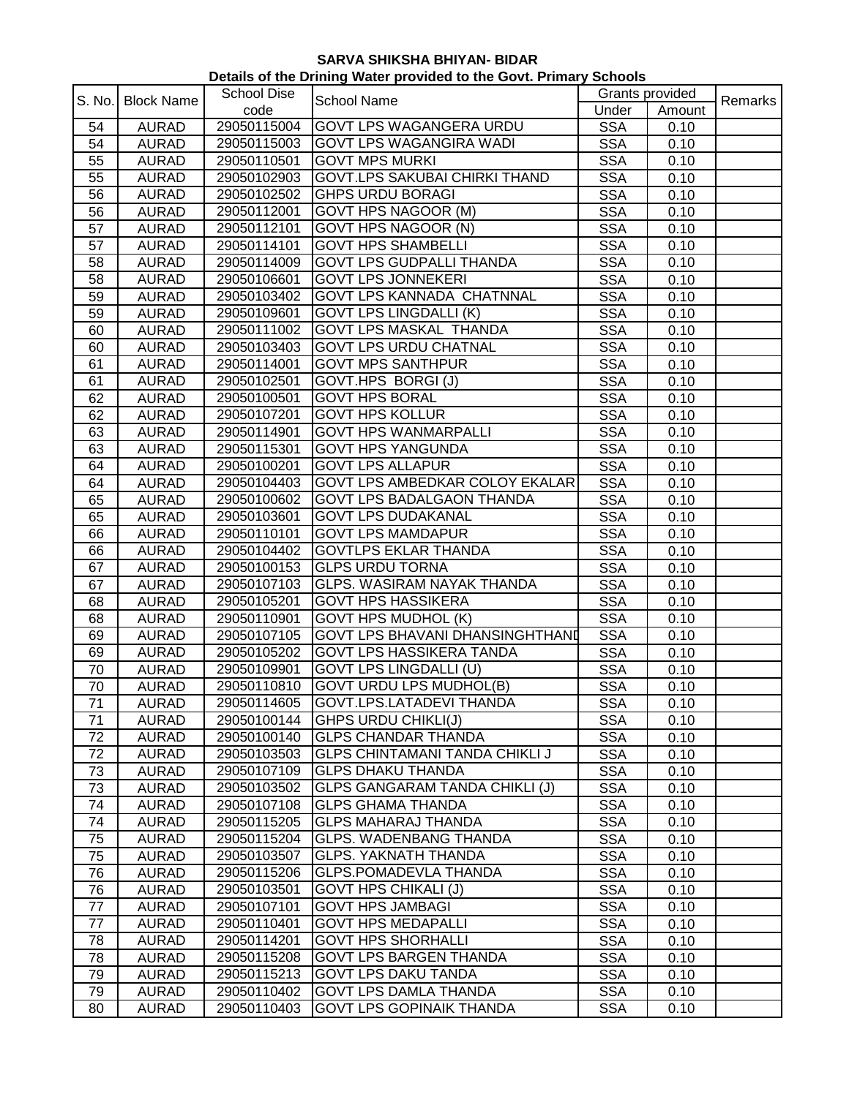| Details of the Drining Water provided to the Govt. Primary Schools |                   |                    |                                        |                 |        |         |  |
|--------------------------------------------------------------------|-------------------|--------------------|----------------------------------------|-----------------|--------|---------|--|
| S. No.                                                             | <b>Block Name</b> | <b>School Dise</b> | <b>School Name</b>                     | Grants provided |        | Remarks |  |
|                                                                    |                   | code               |                                        | Under           | Amount |         |  |
| 54                                                                 | <b>AURAD</b>      | 29050115004        | GOVT LPS WAGANGERA URDU                | <b>SSA</b>      | 0.10   |         |  |
| 54                                                                 | <b>AURAD</b>      | 29050115003        | <b>GOVT LPS WAGANGIRA WADI</b>         | <b>SSA</b>      | 0.10   |         |  |
| 55                                                                 | <b>AURAD</b>      | 29050110501        | <b>GOVT MPS MURKI</b>                  | <b>SSA</b>      | 0.10   |         |  |
| 55                                                                 | <b>AURAD</b>      | 29050102903        | <b>GOVT.LPS SAKUBAI CHIRKI THAND</b>   | <b>SSA</b>      | 0.10   |         |  |
| 56                                                                 | <b>AURAD</b>      | 29050102502        | <b>GHPS URDU BORAGI</b>                | <b>SSA</b>      | 0.10   |         |  |
| 56                                                                 | <b>AURAD</b>      | 29050112001        | <b>GOVT HPS NAGOOR (M)</b>             | <b>SSA</b>      | 0.10   |         |  |
| 57                                                                 | <b>AURAD</b>      | 29050112101        | GOVT HPS NAGOOR (N)                    | <b>SSA</b>      | 0.10   |         |  |
| 57                                                                 | <b>AURAD</b>      | 29050114101        | <b>GOVT HPS SHAMBELLI</b>              | <b>SSA</b>      | 0.10   |         |  |
| 58                                                                 | <b>AURAD</b>      | 29050114009        | <b>GOVT LPS GUDPALLI THANDA</b>        | <b>SSA</b>      | 0.10   |         |  |
| 58                                                                 | <b>AURAD</b>      | 29050106601        | <b>GOVT LPS JONNEKERI</b>              | <b>SSA</b>      | 0.10   |         |  |
| 59                                                                 | <b>AURAD</b>      | 29050103402        | GOVT LPS KANNADA CHATNNAL              | <b>SSA</b>      | 0.10   |         |  |
| 59                                                                 | <b>AURAD</b>      | 29050109601        | <b>GOVT LPS LINGDALLI (K)</b>          | <b>SSA</b>      | 0.10   |         |  |
| 60                                                                 | <b>AURAD</b>      | 29050111002        | <b>GOVT LPS MASKAL THANDA</b>          | <b>SSA</b>      | 0.10   |         |  |
| 60                                                                 | <b>AURAD</b>      | 29050103403        | <b>GOVT LPS URDU CHATNAL</b>           | <b>SSA</b>      | 0.10   |         |  |
| 61                                                                 | <b>AURAD</b>      | 29050114001        | <b>GOVT MPS SANTHPUR</b>               | <b>SSA</b>      | 0.10   |         |  |
| 61                                                                 | <b>AURAD</b>      | 29050102501        | GOVT.HPS BORGI (J)                     | <b>SSA</b>      | 0.10   |         |  |
| 62                                                                 | <b>AURAD</b>      | 29050100501        | <b>GOVT HPS BORAL</b>                  | <b>SSA</b>      | 0.10   |         |  |
| 62                                                                 | <b>AURAD</b>      | 29050107201        | <b>GOVT HPS KOLLUR</b>                 | <b>SSA</b>      | 0.10   |         |  |
| 63                                                                 | <b>AURAD</b>      | 29050114901        | <b>GOVT HPS WANMARPALLI</b>            | <b>SSA</b>      | 0.10   |         |  |
| 63                                                                 | <b>AURAD</b>      | 29050115301        | <b>GOVT HPS YANGUNDA</b>               | <b>SSA</b>      | 0.10   |         |  |
| 64                                                                 | <b>AURAD</b>      | 29050100201        | <b>GOVT LPS ALLAPUR</b>                | <b>SSA</b>      | 0.10   |         |  |
| 64                                                                 | <b>AURAD</b>      | 29050104403        | GOVT LPS AMBEDKAR COLOY EKALAR         | <b>SSA</b>      | 0.10   |         |  |
| 65                                                                 | <b>AURAD</b>      | 29050100602        | <b>GOVT LPS BADALGAON THANDA</b>       | <b>SSA</b>      | 0.10   |         |  |
| 65                                                                 | <b>AURAD</b>      | 29050103601        | <b>GOVT LPS DUDAKANAL</b>              | <b>SSA</b>      | 0.10   |         |  |
| 66                                                                 | <b>AURAD</b>      | 29050110101        | <b>GOVT LPS MAMDAPUR</b>               | <b>SSA</b>      | 0.10   |         |  |
| 66                                                                 | <b>AURAD</b>      | 29050104402        | <b>GOVTLPS EKLAR THANDA</b>            | <b>SSA</b>      | 0.10   |         |  |
| 67                                                                 | <b>AURAD</b>      | 29050100153        | <b>GLPS URDU TORNA</b>                 | <b>SSA</b>      | 0.10   |         |  |
| 67                                                                 | <b>AURAD</b>      | 29050107103        | <b>GLPS. WASIRAM NAYAK THANDA</b>      | <b>SSA</b>      | 0.10   |         |  |
| 68                                                                 | <b>AURAD</b>      | 29050105201        | <b>GOVT HPS HASSIKERA</b>              | <b>SSA</b>      | 0.10   |         |  |
| 68                                                                 | <b>AURAD</b>      | 29050110901        | <b>GOVT HPS MUDHOL (K)</b>             | <b>SSA</b>      | 0.10   |         |  |
| 69                                                                 | <b>AURAD</b>      | 29050107105        | <b>GOVT LPS BHAVANI DHANSINGHTHAND</b> | <b>SSA</b>      | 0.10   |         |  |
| 69                                                                 | <b>AURAD</b>      | 29050105202        | GOVT LPS HASSIKERA TANDA               | <b>SSA</b>      | 0.10   |         |  |
| 70                                                                 | <b>AURAD</b>      | 29050109901        | <b>GOVT LPS LINGDALLI (U)</b>          | <b>SSA</b>      | 0.10   |         |  |
| $70\,$                                                             | AURAD             |                    | 29050110810 GOVT URDU LPS MUDHOL(B)    | <b>SSA</b>      | 0.10   |         |  |
| 71                                                                 | <b>AURAD</b>      | 29050114605        | GOVT.LPS.LATADEVI THANDA               | <b>SSA</b>      | 0.10   |         |  |
| 71                                                                 | <b>AURAD</b>      | 29050100144        | <b>GHPS URDU CHIKLI(J)</b>             | <b>SSA</b>      | 0.10   |         |  |
| 72                                                                 | <b>AURAD</b>      | 29050100140        | <b>GLPS CHANDAR THANDA</b>             | <b>SSA</b>      | 0.10   |         |  |
| 72                                                                 | <b>AURAD</b>      | 29050103503        | <b>GLPS CHINTAMANI TANDA CHIKLI J</b>  | <b>SSA</b>      | 0.10   |         |  |
| 73                                                                 | <b>AURAD</b>      | 29050107109        | <b>GLPS DHAKU THANDA</b>               | <b>SSA</b>      | 0.10   |         |  |
| 73                                                                 | <b>AURAD</b>      | 29050103502        | <b>GLPS GANGARAM TANDA CHIKLI (J)</b>  | <b>SSA</b>      | 0.10   |         |  |
| 74                                                                 | <b>AURAD</b>      | 29050107108        | <b>GLPS GHAMA THANDA</b>               | <b>SSA</b>      | 0.10   |         |  |
| 74                                                                 | <b>AURAD</b>      | 29050115205        | <b>GLPS MAHARAJ THANDA</b>             | <b>SSA</b>      | 0.10   |         |  |
| 75                                                                 | <b>AURAD</b>      | 29050115204        | <b>GLPS. WADENBANG THANDA</b>          | <b>SSA</b>      | 0.10   |         |  |
| 75                                                                 | <b>AURAD</b>      | 29050103507        | <b>GLPS. YAKNATH THANDA</b>            | <b>SSA</b>      | 0.10   |         |  |
| 76                                                                 | <b>AURAD</b>      | 29050115206        | <b>GLPS.POMADEVLA THANDA</b>           | <b>SSA</b>      | 0.10   |         |  |
| 76                                                                 | <b>AURAD</b>      | 29050103501        | <b>GOVT HPS CHIKALI (J)</b>            | <b>SSA</b>      | 0.10   |         |  |
| 77                                                                 | <b>AURAD</b>      | 29050107101        | <b>GOVT HPS JAMBAGI</b>                | <b>SSA</b>      | 0.10   |         |  |
| 77                                                                 | <b>AURAD</b>      | 29050110401        | <b>GOVT HPS MEDAPALLI</b>              | <b>SSA</b>      | 0.10   |         |  |
| 78                                                                 | <b>AURAD</b>      | 29050114201        | <b>GOVT HPS SHORHALLI</b>              | <b>SSA</b>      | 0.10   |         |  |
| 78                                                                 | <b>AURAD</b>      | 29050115208        | <b>GOVT LPS BARGEN THANDA</b>          | <b>SSA</b>      | 0.10   |         |  |
| 79                                                                 | <b>AURAD</b>      | 29050115213        | <b>GOVT LPS DAKU TANDA</b>             | <b>SSA</b>      | 0.10   |         |  |
| 79                                                                 | <b>AURAD</b>      | 29050110402        | <b>GOVT LPS DAMLA THANDA</b>           | <b>SSA</b>      | 0.10   |         |  |
| 80                                                                 | <b>AURAD</b>      | 29050110403        | <b>GOVT LPS GOPINAIK THANDA</b>        | <b>SSA</b>      | 0.10   |         |  |
|                                                                    |                   |                    |                                        |                 |        |         |  |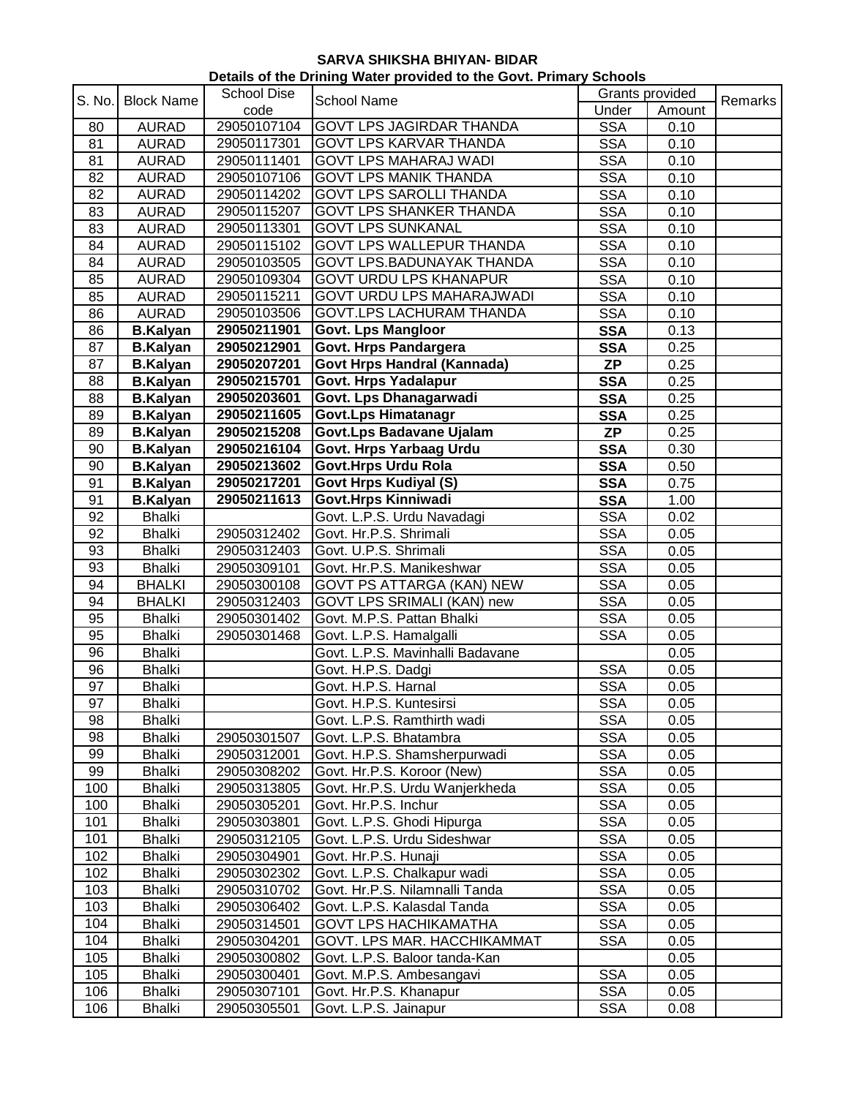| Details of the Drining Water provided to the Govt. Primary Schools |                   |                    |                                    |                 |        |         |  |
|--------------------------------------------------------------------|-------------------|--------------------|------------------------------------|-----------------|--------|---------|--|
| S. No.                                                             | <b>Block Name</b> | <b>School Dise</b> | <b>School Name</b>                 | Grants provided |        |         |  |
|                                                                    |                   | code               |                                    | Under           | Amount | Remarks |  |
| 80                                                                 | <b>AURAD</b>      | 29050107104        | GOVT LPS JAGIRDAR THANDA           | <b>SSA</b>      | 0.10   |         |  |
| 81                                                                 | <b>AURAD</b>      | 29050117301        | GOVT LPS KARVAR THANDA             | <b>SSA</b>      | 0.10   |         |  |
| 81                                                                 | <b>AURAD</b>      | 29050111401        | <b>GOVT LPS MAHARAJ WADI</b>       | <b>SSA</b>      | 0.10   |         |  |
| 82                                                                 | <b>AURAD</b>      | 29050107106        | <b>GOVT LPS MANIK THANDA</b>       | <b>SSA</b>      | 0.10   |         |  |
| 82                                                                 | <b>AURAD</b>      | 29050114202        | <b>GOVT LPS SAROLLI THANDA</b>     | <b>SSA</b>      | 0.10   |         |  |
| 83                                                                 | <b>AURAD</b>      | 29050115207        | <b>GOVT LPS SHANKER THANDA</b>     | <b>SSA</b>      | 0.10   |         |  |
| 83                                                                 | <b>AURAD</b>      | 29050113301        | <b>GOVT LPS SUNKANAL</b>           | <b>SSA</b>      | 0.10   |         |  |
| 84                                                                 | <b>AURAD</b>      | 29050115102        | GOVT LPS WALLEPUR THANDA           | <b>SSA</b>      | 0.10   |         |  |
| 84                                                                 | <b>AURAD</b>      | 29050103505        | GOVT LPS.BADUNAYAK THANDA          | <b>SSA</b>      | 0.10   |         |  |
| 85                                                                 | <b>AURAD</b>      | 29050109304        | <b>GOVT URDU LPS KHANAPUR</b>      | <b>SSA</b>      | 0.10   |         |  |
| 85                                                                 | <b>AURAD</b>      | 29050115211        | GOVT URDU LPS MAHARAJWADI          | <b>SSA</b>      | 0.10   |         |  |
| 86                                                                 | <b>AURAD</b>      | 29050103506        | GOVT.LPS LACHURAM THANDA           | <b>SSA</b>      | 0.10   |         |  |
| 86                                                                 | <b>B.Kalyan</b>   | 29050211901        | <b>Govt. Lps Mangloor</b>          | <b>SSA</b>      | 0.13   |         |  |
| 87                                                                 | <b>B.Kalyan</b>   | 29050212901        | Govt. Hrps Pandargera              | <b>SSA</b>      | 0.25   |         |  |
| 87                                                                 | <b>B.Kalyan</b>   | 29050207201        | <b>Govt Hrps Handral (Kannada)</b> | <b>ZP</b>       | 0.25   |         |  |
| 88                                                                 | <b>B.Kalyan</b>   | 29050215701        | <b>Govt. Hrps Yadalapur</b>        | <b>SSA</b>      | 0.25   |         |  |
| 88                                                                 | <b>B.Kalyan</b>   | 29050203601        | Govt. Lps Dhanagarwadi             | <b>SSA</b>      | 0.25   |         |  |
| 89                                                                 | <b>B.Kalyan</b>   | 29050211605        | <b>Govt.Lps Himatanagr</b>         | <b>SSA</b>      | 0.25   |         |  |
| 89                                                                 | <b>B.Kalyan</b>   | 29050215208        | Govt.Lps Badavane Ujalam           | <b>ZP</b>       | 0.25   |         |  |
| 90                                                                 | <b>B.Kalyan</b>   | 29050216104        | Govt. Hrps Yarbaag Urdu            | <b>SSA</b>      | 0.30   |         |  |
| 90                                                                 | <b>B.Kalyan</b>   | 29050213602        | Govt.Hrps Urdu Rola                | <b>SSA</b>      | 0.50   |         |  |
| 91                                                                 | <b>B.Kalyan</b>   | 29050217201        | <b>Govt Hrps Kudiyal (S)</b>       | <b>SSA</b>      | 0.75   |         |  |
| 91                                                                 | <b>B.Kalyan</b>   | 29050211613        | Govt.Hrps Kinniwadi                | <b>SSA</b>      | 1.00   |         |  |
| 92                                                                 | <b>Bhalki</b>     |                    | Govt. L.P.S. Urdu Navadagi         | <b>SSA</b>      | 0.02   |         |  |
| 92                                                                 | <b>Bhalki</b>     | 29050312402        | Govt. Hr.P.S. Shrimali             | <b>SSA</b>      | 0.05   |         |  |
| 93                                                                 | <b>Bhalki</b>     | 29050312403        | Govt. U.P.S. Shrimali              | <b>SSA</b>      | 0.05   |         |  |
| 93                                                                 | <b>Bhalki</b>     | 29050309101        | Govt. Hr.P.S. Manikeshwar          | <b>SSA</b>      | 0.05   |         |  |
| 94                                                                 | <b>BHALKI</b>     | 29050300108        | GOVT PS ATTARGA (KAN) NEW          | <b>SSA</b>      | 0.05   |         |  |
| 94                                                                 | <b>BHALKI</b>     | 29050312403        | GOVT LPS SRIMALI (KAN) new         | <b>SSA</b>      | 0.05   |         |  |
| 95                                                                 | <b>Bhalki</b>     | 29050301402        | Govt. M.P.S. Pattan Bhalki         | <b>SSA</b>      | 0.05   |         |  |
| 95                                                                 | <b>Bhalki</b>     | 29050301468        | Govt. L.P.S. Hamalgalli            | <b>SSA</b>      | 0.05   |         |  |
| 96                                                                 | <b>Bhalki</b>     |                    | Govt. L.P.S. Mavinhalli Badavane   |                 | 0.05   |         |  |
| 96                                                                 | <b>Bhalki</b>     |                    | Govt. H.P.S. Dadgi                 | <b>SSA</b>      | 0.05   |         |  |
| $\overline{97}$                                                    | <b>Bhalki</b>     |                    | Govt. H.P.S. Harnal                | <b>SSA</b>      | 0.05   |         |  |
| 97                                                                 | <b>Bhalki</b>     |                    | Govt. H.P.S. Kuntesirsi            | <b>SSA</b>      | 0.05   |         |  |
| 98                                                                 | <b>Bhalki</b>     |                    | Govt. L.P.S. Ramthirth wadi        | <b>SSA</b>      | 0.05   |         |  |
| 98                                                                 | <b>Bhalki</b>     | 29050301507        | Govt. L.P.S. Bhatambra             | <b>SSA</b>      | 0.05   |         |  |
| 99                                                                 | <b>Bhalki</b>     | 29050312001        | Govt. H.P.S. Shamsherpurwadi       | <b>SSA</b>      | 0.05   |         |  |
| 99                                                                 | <b>Bhalki</b>     | 29050308202        | Govt. Hr.P.S. Koroor (New)         | <b>SSA</b>      | 0.05   |         |  |
| 100                                                                | <b>Bhalki</b>     | 29050313805        | Govt. Hr.P.S. Urdu Wanjerkheda     | <b>SSA</b>      | 0.05   |         |  |
| 100                                                                | <b>Bhalki</b>     | 29050305201        | Govt. Hr.P.S. Inchur               | <b>SSA</b>      | 0.05   |         |  |
| 101                                                                | <b>Bhalki</b>     | 29050303801        | Govt. L.P.S. Ghodi Hipurga         | <b>SSA</b>      | 0.05   |         |  |
| 101                                                                | <b>Bhalki</b>     | 29050312105        | Govt. L.P.S. Urdu Sideshwar        | <b>SSA</b>      | 0.05   |         |  |
| 102                                                                | <b>Bhalki</b>     | 29050304901        | Govt. Hr.P.S. Hunaji               | <b>SSA</b>      | 0.05   |         |  |
| 102                                                                | <b>Bhalki</b>     | 29050302302        | Govt. L.P.S. Chalkapur wadi        | <b>SSA</b>      | 0.05   |         |  |
| 103                                                                | <b>Bhalki</b>     | 29050310702        | Govt. Hr.P.S. Nilamnalli Tanda     | <b>SSA</b>      | 0.05   |         |  |
| 103                                                                | <b>Bhalki</b>     | 29050306402        | Govt. L.P.S. Kalasdal Tanda        | <b>SSA</b>      | 0.05   |         |  |
| 104                                                                | <b>Bhalki</b>     | 29050314501        | <b>GOVT LPS HACHIKAMATHA</b>       | <b>SSA</b>      | 0.05   |         |  |
| 104                                                                | <b>Bhalki</b>     | 29050304201        | GOVT. LPS MAR. HACCHIKAMMAT        | <b>SSA</b>      | 0.05   |         |  |
| 105                                                                | <b>Bhalki</b>     | 29050300802        | Govt. L.P.S. Baloor tanda-Kan      |                 | 0.05   |         |  |
| 105                                                                | <b>Bhalki</b>     | 29050300401        | Govt. M.P.S. Ambesangavi           | <b>SSA</b>      | 0.05   |         |  |
| 106                                                                | <b>Bhalki</b>     | 29050307101        | Govt. Hr.P.S. Khanapur             | <b>SSA</b>      | 0.05   |         |  |
| 106                                                                | <b>Bhalki</b>     | 29050305501        | Govt. L.P.S. Jainapur              | <b>SSA</b>      | 0.08   |         |  |
|                                                                    |                   |                    |                                    |                 |        |         |  |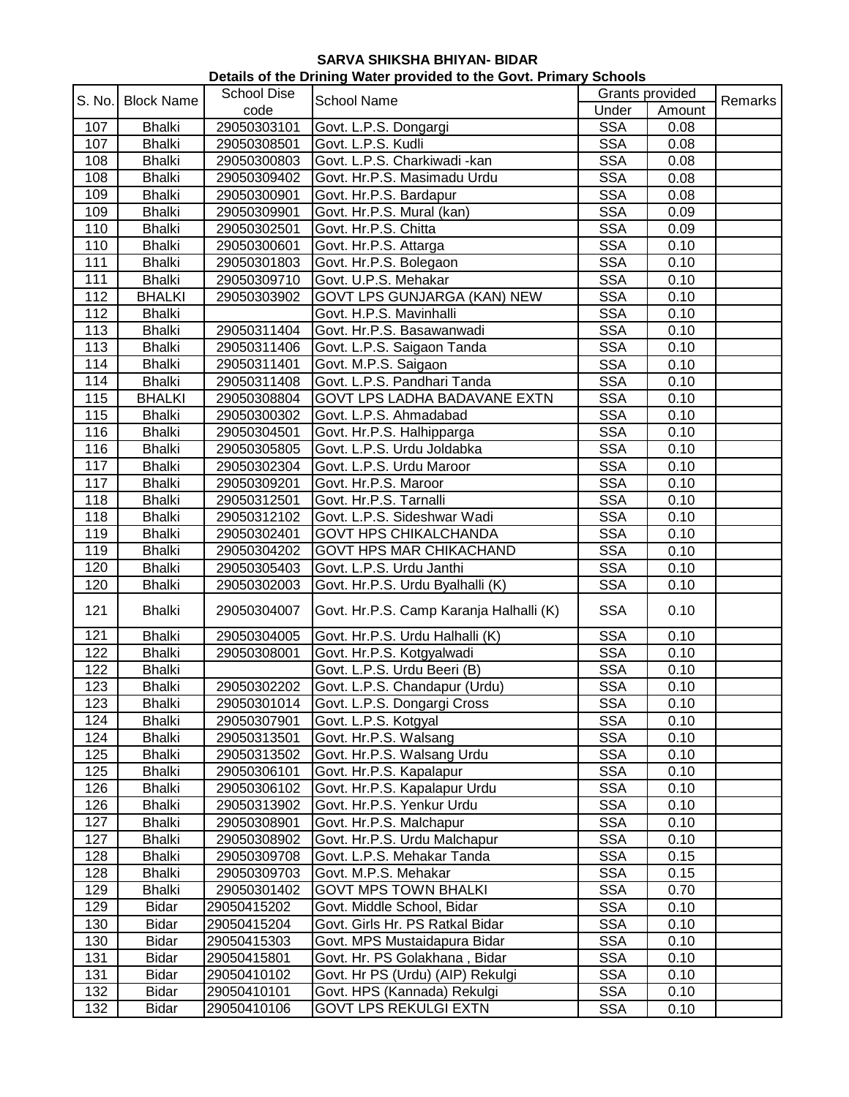| Details of the Drining Water provided to the Govt. Primary Schools |                   |                    |                                         |                 |        |         |  |
|--------------------------------------------------------------------|-------------------|--------------------|-----------------------------------------|-----------------|--------|---------|--|
| S. No.                                                             | <b>Block Name</b> | <b>School Dise</b> | <b>School Name</b>                      | Grants provided |        | Remarks |  |
|                                                                    |                   | code               |                                         | Under           | Amount |         |  |
| 107                                                                | <b>Bhalki</b>     | 29050303101        | Govt. L.P.S. Dongargi                   | <b>SSA</b>      | 0.08   |         |  |
| 107                                                                | <b>Bhalki</b>     | 29050308501        | Govt. L.P.S. Kudli                      | <b>SSA</b>      | 0.08   |         |  |
| 108                                                                | <b>Bhalki</b>     | 29050300803        | Govt. L.P.S. Charkiwadi -kan            | <b>SSA</b>      | 0.08   |         |  |
| 108                                                                | <b>Bhalki</b>     | 29050309402        | Govt. Hr.P.S. Masimadu Urdu             | <b>SSA</b>      | 0.08   |         |  |
| 109                                                                | <b>Bhalki</b>     | 29050300901        | Govt. Hr.P.S. Bardapur                  | <b>SSA</b>      | 0.08   |         |  |
| 109                                                                | <b>Bhalki</b>     | 29050309901        | Govt. Hr.P.S. Mural (kan)               | <b>SSA</b>      | 0.09   |         |  |
| 110                                                                | <b>Bhalki</b>     | 29050302501        | Govt. Hr.P.S. Chitta                    | <b>SSA</b>      | 0.09   |         |  |
| 110                                                                | <b>Bhalki</b>     | 29050300601        | Govt. Hr.P.S. Attarga                   | <b>SSA</b>      | 0.10   |         |  |
| 111                                                                | <b>Bhalki</b>     | 29050301803        | Govt. Hr.P.S. Bolegaon                  | <b>SSA</b>      | 0.10   |         |  |
| 111                                                                | <b>Bhalki</b>     | 29050309710        | Govt. U.P.S. Mehakar                    | <b>SSA</b>      | 0.10   |         |  |
| 112                                                                | <b>BHALKI</b>     | 29050303902        | GOVT LPS GUNJARGA (KAN) NEW             | <b>SSA</b>      | 0.10   |         |  |
| 112                                                                | <b>Bhalki</b>     |                    | Govt. H.P.S. Mavinhalli                 | <b>SSA</b>      | 0.10   |         |  |
| 113                                                                | <b>Bhalki</b>     | 29050311404        | Govt. Hr.P.S. Basawanwadi               | <b>SSA</b>      | 0.10   |         |  |
| 113                                                                | <b>Bhalki</b>     | 29050311406        | Govt. L.P.S. Saigaon Tanda              | <b>SSA</b>      | 0.10   |         |  |
| 114                                                                | <b>Bhalki</b>     | 29050311401        | Govt. M.P.S. Saigaon                    | <b>SSA</b>      | 0.10   |         |  |
| 114                                                                | <b>Bhalki</b>     | 29050311408        | Govt. L.P.S. Pandhari Tanda             | <b>SSA</b>      | 0.10   |         |  |
| 115                                                                | <b>BHALKI</b>     | 29050308804        | GOVT LPS LADHA BADAVANE EXTN            | <b>SSA</b>      | 0.10   |         |  |
| 115                                                                | <b>Bhalki</b>     | 29050300302        | Govt. L.P.S. Ahmadabad                  | <b>SSA</b>      | 0.10   |         |  |
| 116                                                                | <b>Bhalki</b>     | 29050304501        | Govt. Hr.P.S. Halhipparga               | <b>SSA</b>      | 0.10   |         |  |
| 116                                                                | <b>Bhalki</b>     | 29050305805        | Govt. L.P.S. Urdu Joldabka              | <b>SSA</b>      | 0.10   |         |  |
| 117                                                                | <b>Bhalki</b>     | 29050302304        | Govt. L.P.S. Urdu Maroor                | <b>SSA</b>      | 0.10   |         |  |
| 117                                                                | <b>Bhalki</b>     | 29050309201        | Govt. Hr.P.S. Maroor                    | <b>SSA</b>      | 0.10   |         |  |
| 118                                                                | <b>Bhalki</b>     | 29050312501        | Govt. Hr.P.S. Tarnalli                  | <b>SSA</b>      | 0.10   |         |  |
| 118                                                                | <b>Bhalki</b>     | 29050312102        | Govt. L.P.S. Sideshwar Wadi             | <b>SSA</b>      | 0.10   |         |  |
| 119                                                                | <b>Bhalki</b>     | 29050302401        | <b>GOVT HPS CHIKALCHANDA</b>            | <b>SSA</b>      | 0.10   |         |  |
| 119                                                                | <b>Bhalki</b>     | 29050304202        | GOVT HPS MAR CHIKACHAND                 | <b>SSA</b>      | 0.10   |         |  |
| 120                                                                | <b>Bhalki</b>     | 29050305403        | Govt. L.P.S. Urdu Janthi                | <b>SSA</b>      | 0.10   |         |  |
| 120                                                                | <b>Bhalki</b>     | 29050302003        | Govt. Hr.P.S. Urdu Byalhalli (K)        | <b>SSA</b>      | 0.10   |         |  |
| 121                                                                | <b>Bhalki</b>     | 29050304007        | Govt. Hr.P.S. Camp Karanja Halhalli (K) | <b>SSA</b>      | 0.10   |         |  |
|                                                                    |                   |                    |                                         |                 |        |         |  |
| 121                                                                | <b>Bhalki</b>     | 29050304005        | Govt. Hr.P.S. Urdu Halhalli (K)         | <b>SSA</b>      | 0.10   |         |  |
| 122                                                                | <b>Bhalki</b>     | 29050308001        | Govt. Hr.P.S. Kotgyalwadi               | <b>SSA</b>      | 0.10   |         |  |
| 122                                                                | <b>Bhalki</b>     |                    | Govt. L.P.S. Urdu Beeri (B)             | <b>SSA</b>      | 0.10   |         |  |
| 123                                                                | Bhalki            | 29050302202        | Govt. L.P.S. Chandapur (Urdu)           | <b>SSA</b>      | 0.10   |         |  |
| 123                                                                | <b>Bhalki</b>     | 29050301014        | Govt. L.P.S. Dongargi Cross             | <b>SSA</b>      | 0.10   |         |  |
| 124                                                                | <b>Bhalki</b>     | 29050307901        | Govt. L.P.S. Kotgyal                    | <b>SSA</b>      | 0.10   |         |  |
| 124                                                                | <b>Bhalki</b>     | 29050313501        | Govt. Hr.P.S. Walsang                   | <b>SSA</b>      | 0.10   |         |  |
| 125                                                                | <b>Bhalki</b>     | 29050313502        | Govt. Hr.P.S. Walsang Urdu              | <b>SSA</b>      | 0.10   |         |  |
| 125                                                                | <b>Bhalki</b>     | 29050306101        | Govt. Hr.P.S. Kapalapur                 | <b>SSA</b>      | 0.10   |         |  |
| 126                                                                | <b>Bhalki</b>     | 29050306102        | Govt. Hr.P.S. Kapalapur Urdu            | <b>SSA</b>      | 0.10   |         |  |
| 126                                                                | Bhalki            | 29050313902        | Govt. Hr.P.S. Yenkur Urdu               | <b>SSA</b>      | 0.10   |         |  |
| 127                                                                | <b>Bhalki</b>     | 29050308901        | Govt. Hr.P.S. Malchapur                 | <b>SSA</b>      | 0.10   |         |  |
| 127                                                                | <b>Bhalki</b>     | 29050308902        | Govt. Hr.P.S. Urdu Malchapur            | <b>SSA</b>      | 0.10   |         |  |
| 128                                                                | <b>Bhalki</b>     | 29050309708        | Govt. L.P.S. Mehakar Tanda              | <b>SSA</b>      | 0.15   |         |  |
| 128                                                                | <b>Bhalki</b>     | 29050309703        | Govt. M.P.S. Mehakar                    | <b>SSA</b>      | 0.15   |         |  |
| 129                                                                | <b>Bhalki</b>     | 29050301402        | <b>GOVT MPS TOWN BHALKI</b>             | <b>SSA</b>      | 0.70   |         |  |
| 129                                                                | <b>Bidar</b>      | 29050415202        | Govt. Middle School, Bidar              | <b>SSA</b>      | 0.10   |         |  |
| 130                                                                | <b>Bidar</b>      | 29050415204        | Govt. Girls Hr. PS Ratkal Bidar         | <b>SSA</b>      | 0.10   |         |  |
| 130                                                                | <b>Bidar</b>      | 29050415303        | Govt. MPS Mustaidapura Bidar            | <b>SSA</b>      | 0.10   |         |  |
| 131                                                                | <b>Bidar</b>      | 29050415801        | Govt. Hr. PS Golakhana, Bidar           | <b>SSA</b>      | 0.10   |         |  |
| 131                                                                | <b>Bidar</b>      | 29050410102        | Govt. Hr PS (Urdu) (AIP) Rekulgi        | <b>SSA</b>      | 0.10   |         |  |
| 132                                                                | <b>Bidar</b>      | 29050410101        | Govt. HPS (Kannada) Rekulgi             | <b>SSA</b>      | 0.10   |         |  |
| 132                                                                | <b>Bidar</b>      | 29050410106        | <b>GOVT LPS REKULGI EXTN</b>            | <b>SSA</b>      | 0.10   |         |  |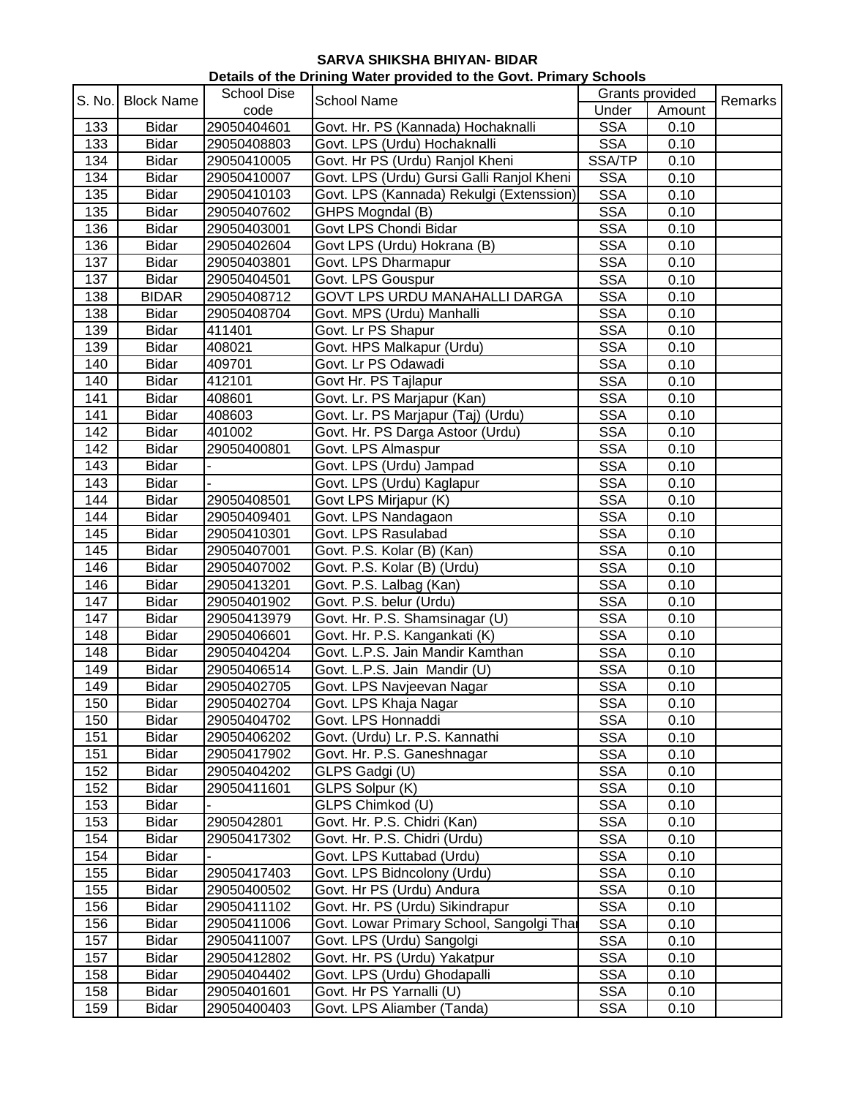| Details of the Drining Water provided to the Govt. Primary Schools |                   |                    |                                           |                 |        |         |
|--------------------------------------------------------------------|-------------------|--------------------|-------------------------------------------|-----------------|--------|---------|
| S. No.                                                             |                   | <b>School Dise</b> |                                           | Grants provided |        |         |
|                                                                    | <b>Block Name</b> | code               | School Name                               | Under           | Amount | Remarks |
| 133                                                                | <b>Bidar</b>      | 29050404601        | Govt. Hr. PS (Kannada) Hochaknalli        | <b>SSA</b>      | 0.10   |         |
| 133                                                                | <b>Bidar</b>      | 29050408803        | Govt. LPS (Urdu) Hochaknalli              | <b>SSA</b>      | 0.10   |         |
| 134                                                                | <b>Bidar</b>      | 29050410005        | Govt. Hr PS (Urdu) Ranjol Kheni           | SSA/TP          | 0.10   |         |
| 134                                                                | <b>Bidar</b>      | 29050410007        | Govt. LPS (Urdu) Gursi Galli Ranjol Kheni | <b>SSA</b>      | 0.10   |         |
| 135                                                                | <b>Bidar</b>      | 29050410103        | Govt. LPS (Kannada) Rekulgi (Extenssion)  | <b>SSA</b>      | 0.10   |         |
| 135                                                                | <b>Bidar</b>      | 29050407602        | GHPS Mogndal (B)                          | <b>SSA</b>      | 0.10   |         |
| 136                                                                | <b>Bidar</b>      | 29050403001        | Govt LPS Chondi Bidar                     | <b>SSA</b>      | 0.10   |         |
| 136                                                                | <b>Bidar</b>      | 29050402604        | Govt LPS (Urdu) Hokrana (B)               | <b>SSA</b>      | 0.10   |         |
| 137                                                                | <b>Bidar</b>      | 29050403801        | Govt. LPS Dharmapur                       | <b>SSA</b>      | 0.10   |         |
| 137                                                                | <b>Bidar</b>      | 29050404501        | Govt. LPS Gouspur                         | <b>SSA</b>      | 0.10   |         |
| 138                                                                | <b>BIDAR</b>      | 29050408712        | <b>GOVT LPS URDU MANAHALLI DARGA</b>      | <b>SSA</b>      | 0.10   |         |
| 138                                                                | <b>Bidar</b>      | 29050408704        | Govt. MPS (Urdu) Manhalli                 | <b>SSA</b>      | 0.10   |         |
| 139                                                                | <b>Bidar</b>      | 411401             | Govt. Lr PS Shapur                        | <b>SSA</b>      | 0.10   |         |
| 139                                                                | <b>Bidar</b>      | 408021             | Govt. HPS Malkapur (Urdu)                 | <b>SSA</b>      | 0.10   |         |
| 140                                                                | <b>Bidar</b>      | 409701             | Govt. Lr PS Odawadi                       | <b>SSA</b>      | 0.10   |         |
| 140                                                                | <b>Bidar</b>      | 412101             | Govt Hr. PS Tajlapur                      | <b>SSA</b>      | 0.10   |         |
| 141                                                                | <b>Bidar</b>      | 408601             | Govt. Lr. PS Marjapur (Kan)               | <b>SSA</b>      | 0.10   |         |
| 141                                                                | <b>Bidar</b>      | 408603             | Govt. Lr. PS Marjapur (Taj) (Urdu)        | <b>SSA</b>      | 0.10   |         |
| 142                                                                | <b>Bidar</b>      | 401002             | Govt. Hr. PS Darga Astoor (Urdu)          | <b>SSA</b>      | 0.10   |         |
| 142                                                                | <b>Bidar</b>      | 29050400801        | Govt. LPS Almaspur                        | <b>SSA</b>      | 0.10   |         |
| 143                                                                | <b>Bidar</b>      |                    | Govt. LPS (Urdu) Jampad                   | <b>SSA</b>      | 0.10   |         |
| 143                                                                | <b>Bidar</b>      |                    | Govt. LPS (Urdu) Kaglapur                 | <b>SSA</b>      | 0.10   |         |
| 144                                                                | <b>Bidar</b>      | 29050408501        | Govt LPS Mirjapur (K)                     | <b>SSA</b>      | 0.10   |         |
| 144                                                                | <b>Bidar</b>      | 29050409401        | Govt. LPS Nandagaon                       | <b>SSA</b>      | 0.10   |         |
| 145                                                                | <b>Bidar</b>      | 29050410301        | Govt. LPS Rasulabad                       | <b>SSA</b>      | 0.10   |         |
| 145                                                                | <b>Bidar</b>      | 29050407001        | Govt. P.S. Kolar (B) (Kan)                | <b>SSA</b>      | 0.10   |         |
| 146                                                                | <b>Bidar</b>      | 29050407002        | Govt. P.S. Kolar (B) (Urdu)               | <b>SSA</b>      | 0.10   |         |
| 146                                                                | <b>Bidar</b>      | 29050413201        | Govt. P.S. Lalbag (Kan)                   | <b>SSA</b>      | 0.10   |         |
| 147                                                                | <b>Bidar</b>      | 29050401902        | Govt. P.S. belur (Urdu)                   | <b>SSA</b>      | 0.10   |         |
| 147                                                                | <b>Bidar</b>      | 29050413979        | Govt. Hr. P.S. Shamsinagar (U)            | <b>SSA</b>      | 0.10   |         |
| 148                                                                | <b>Bidar</b>      | 29050406601        | Govt. Hr. P.S. Kangankati (K)             | <b>SSA</b>      | 0.10   |         |
| 148                                                                | <b>Bidar</b>      | 29050404204        | Govt. L.P.S. Jain Mandir Kamthan          | <b>SSA</b>      | 0.10   |         |
| 149                                                                | <b>Bidar</b>      | 29050406514        | Govt. L.P.S. Jain Mandir (U)              | <b>SSA</b>      | 0.10   |         |
| 149                                                                | Bidar             | 29050402705        | Govt. LPS Navjeevan Nagar                 | <b>SSA</b>      | 0.10   |         |
| 150                                                                | <b>Bidar</b>      | 29050402704        | Govt. LPS Khaja Nagar                     | <b>SSA</b>      | 0.10   |         |
| 150                                                                | <b>Bidar</b>      | 29050404702        | Govt. LPS Honnaddi                        | <b>SSA</b>      | 0.10   |         |
| 151                                                                | <b>Bidar</b>      | 29050406202        | Govt. (Urdu) Lr. P.S. Kannathi            | <b>SSA</b>      | 0.10   |         |
| 151                                                                | <b>Bidar</b>      | 29050417902        | Govt. Hr. P.S. Ganeshnagar                | <b>SSA</b>      | 0.10   |         |
| 152                                                                | <b>Bidar</b>      | 29050404202        | GLPS Gadgi (U)                            | <b>SSA</b>      | 0.10   |         |
| 152                                                                | <b>Bidar</b>      | 29050411601        | GLPS Solpur (K)                           | <b>SSA</b>      | 0.10   |         |
| 153                                                                | <b>Bidar</b>      |                    | GLPS Chimkod (U)                          | <b>SSA</b>      | 0.10   |         |
| 153                                                                | <b>Bidar</b>      | 2905042801         | Govt. Hr. P.S. Chidri (Kan)               | <b>SSA</b>      | 0.10   |         |
| 154                                                                | <b>Bidar</b>      | 29050417302        | Govt. Hr. P.S. Chidri (Urdu)              | <b>SSA</b>      | 0.10   |         |
| 154                                                                | <b>Bidar</b>      |                    | Govt. LPS Kuttabad (Urdu)                 | <b>SSA</b>      | 0.10   |         |
| 155                                                                | <b>Bidar</b>      | 29050417403        | Govt. LPS Bidncolony (Urdu)               | <b>SSA</b>      | 0.10   |         |
| 155                                                                | <b>Bidar</b>      | 29050400502        | Govt. Hr PS (Urdu) Andura                 | <b>SSA</b>      | 0.10   |         |
| 156                                                                | <b>Bidar</b>      | 29050411102        | Govt. Hr. PS (Urdu) Sikindrapur           | <b>SSA</b>      | 0.10   |         |
| 156                                                                | <b>Bidar</b>      | 29050411006        | Govt. Lowar Primary School, Sangolgi Thar | <b>SSA</b>      | 0.10   |         |
| 157                                                                | <b>Bidar</b>      | 29050411007        | Govt. LPS (Urdu) Sangolgi                 | <b>SSA</b>      | 0.10   |         |
| 157                                                                | <b>Bidar</b>      | 29050412802        | Govt. Hr. PS (Urdu) Yakatpur              | <b>SSA</b>      | 0.10   |         |
| 158                                                                | <b>Bidar</b>      | 29050404402        | Govt. LPS (Urdu) Ghodapalli               | <b>SSA</b>      | 0.10   |         |
| 158                                                                | <b>Bidar</b>      | 29050401601        | Govt. Hr PS Yarnalli (U)                  | <b>SSA</b>      | 0.10   |         |
| 159                                                                | <b>Bidar</b>      | 29050400403        | Govt. LPS Aliamber (Tanda)                | <b>SSA</b>      | 0.10   |         |
|                                                                    |                   |                    |                                           |                 |        |         |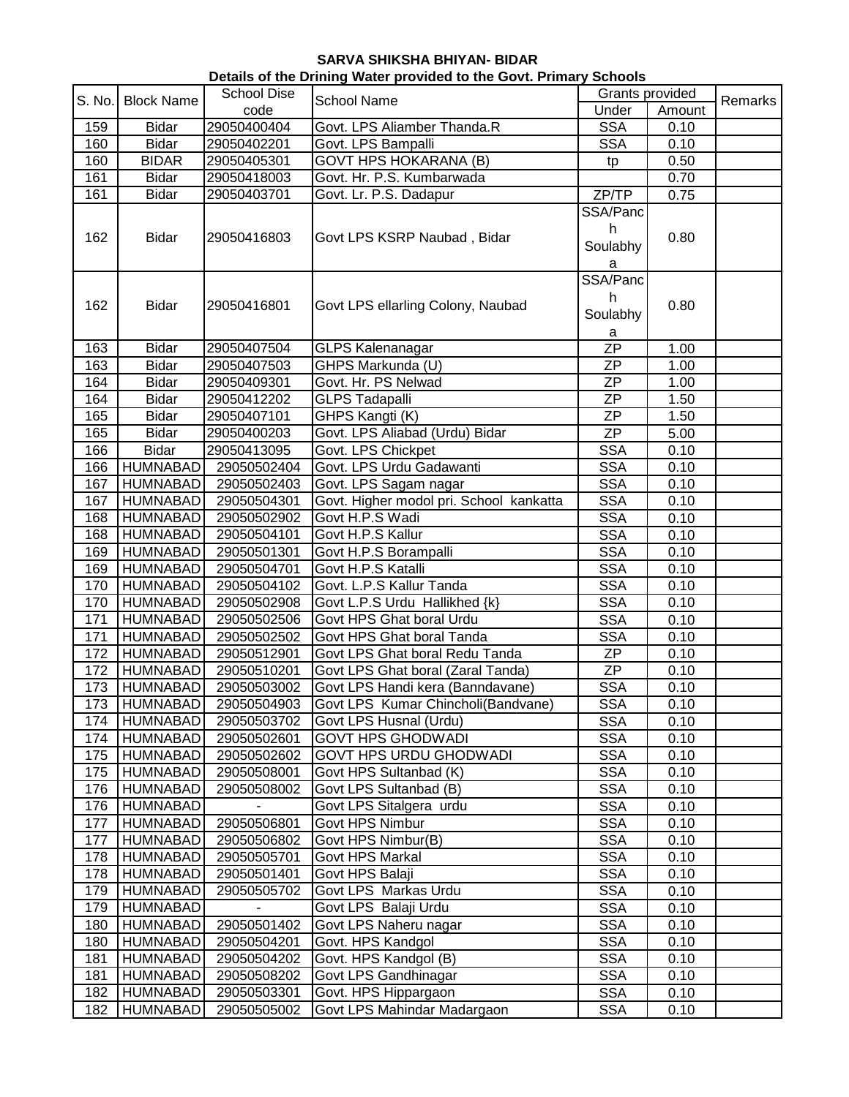| Details of the Drining Water provided to the Govt. Primary Schools |                   |                    |                                         |                                |        |         |  |
|--------------------------------------------------------------------|-------------------|--------------------|-----------------------------------------|--------------------------------|--------|---------|--|
| S. No.                                                             | <b>Block Name</b> | <b>School Dise</b> | <b>School Name</b>                      | Grants provided                |        | Remarks |  |
|                                                                    |                   | code               |                                         | Under                          | Amount |         |  |
| 159                                                                | <b>Bidar</b>      | 29050400404        | Govt. LPS Aliamber Thanda.R             | <b>SSA</b>                     | 0.10   |         |  |
| 160                                                                | <b>Bidar</b>      | 29050402201        | Govt. LPS Bampalli                      | <b>SSA</b>                     | 0.10   |         |  |
| 160                                                                | <b>BIDAR</b>      | 29050405301        | <b>GOVT HPS HOKARANA (B)</b>            | tp                             | 0.50   |         |  |
| 161                                                                | <b>Bidar</b>      | 29050418003        | Govt. Hr. P.S. Kumbarwada               |                                | 0.70   |         |  |
| 161                                                                | <b>Bidar</b>      | 29050403701        | Govt. Lr. P.S. Dadapur                  | ZP/TP                          | 0.75   |         |  |
|                                                                    |                   |                    |                                         | SSA/Panc                       |        |         |  |
| 162                                                                | <b>Bidar</b>      | 29050416803        | Govt LPS KSRP Naubad, Bidar             | h<br>Soulabhy<br>a             | 0.80   |         |  |
| 162                                                                | <b>Bidar</b>      | 29050416801        | Govt LPS ellarling Colony, Naubad       | SSA/Panc<br>h<br>Soulabhy<br>a | 0.80   |         |  |
| 163                                                                | <b>Bidar</b>      | 29050407504        | GLPS Kalenanagar                        | $\overline{ZP}$                | 1.00   |         |  |
| 163                                                                | <b>Bidar</b>      | 29050407503        | GHPS Markunda (U)                       | <b>ZP</b>                      | 1.00   |         |  |
| 164                                                                | <b>Bidar</b>      | 29050409301        | Govt. Hr. PS Nelwad                     | <b>ZP</b>                      | 1.00   |         |  |
| 164                                                                | <b>Bidar</b>      | 29050412202        | <b>GLPS Tadapalli</b>                   | <b>ZP</b>                      | 1.50   |         |  |
| 165                                                                | <b>Bidar</b>      | 29050407101        | GHPS Kangti (K)                         | <b>ZP</b>                      | 1.50   |         |  |
| 165                                                                | <b>Bidar</b>      | 29050400203        | Govt. LPS Aliabad (Urdu) Bidar          | <b>ZP</b>                      | 5.00   |         |  |
| 166                                                                | <b>Bidar</b>      | 29050413095        | Govt. LPS Chickpet                      | <b>SSA</b>                     | 0.10   |         |  |
| 166                                                                | <b>HUMNABAD</b>   | 29050502404        | Govt. LPS Urdu Gadawanti                | <b>SSA</b>                     | 0.10   |         |  |
| 167                                                                | <b>HUMNABAD</b>   | 29050502403        | Govt. LPS Sagam nagar                   | <b>SSA</b>                     | 0.10   |         |  |
| 167                                                                | <b>HUMNABAD</b>   | 29050504301        | Govt. Higher modol pri. School kankatta | <b>SSA</b>                     | 0.10   |         |  |
| 168                                                                | <b>HUMNABAD</b>   | 29050502902        | Govt H.P.S Wadi                         | <b>SSA</b>                     | 0.10   |         |  |
| 168                                                                | <b>HUMNABAD</b>   | 29050504101        | Govt H.P.S Kallur                       | <b>SSA</b>                     | 0.10   |         |  |
| 169                                                                | <b>HUMNABAD</b>   | 29050501301        | Govt H.P.S Borampalli                   | <b>SSA</b>                     | 0.10   |         |  |
| 169                                                                | <b>HUMNABAD</b>   | 29050504701        | Govt H.P.S Katalli                      | <b>SSA</b>                     | 0.10   |         |  |
| 170                                                                | <b>HUMNABAD</b>   | 29050504102        | Govt. L.P.S Kallur Tanda                | <b>SSA</b>                     | 0.10   |         |  |
| 170                                                                | <b>HUMNABAD</b>   | 29050502908        | Govt L.P.S Urdu Hallikhed {k}           | <b>SSA</b>                     | 0.10   |         |  |
| 171                                                                | <b>HUMNABAD</b>   | 29050502506        | Govt HPS Ghat boral Urdu                | <b>SSA</b>                     | 0.10   |         |  |
| 171                                                                | <b>HUMNABAD</b>   | 29050502502        | Govt HPS Ghat boral Tanda               | <b>SSA</b>                     | 0.10   |         |  |
| 172                                                                | <b>HUMNABAD</b>   | 29050512901        | Govt LPS Ghat boral Redu Tanda          | ZP                             | 0.10   |         |  |
| 172                                                                | <b>HUMNABAD</b>   | 29050510201        | Govt LPS Ghat boral (Zaral Tanda)       | <b>ZP</b>                      | 0.10   |         |  |
| 173                                                                | <b>HUMNABAD</b>   | 29050503002        | Govt LPS Handi kera (Banndavane)        | <b>SSA</b>                     | 0.10   |         |  |
| 173                                                                | HUMNABAD          | 29050504903        | Govt LPS Kumar Chincholi(Bandvane)      | <b>SSA</b>                     | 0.10   |         |  |
| 174                                                                | <b>HUMNABAD</b>   | 29050503702        | Govt LPS Husnal (Urdu)                  | <b>SSA</b>                     | 0.10   |         |  |
| 174                                                                | HUMNABAD          | 29050502601        | <b>GOVT HPS GHODWADI</b>                | <b>SSA</b>                     | 0.10   |         |  |
| 175                                                                | HUMNABAD          | 29050502602        | GOVT HPS URDU GHODWADI                  | <b>SSA</b>                     | 0.10   |         |  |
| 175                                                                | HUMNABAD          | 29050508001        | Govt HPS Sultanbad (K)                  | <b>SSA</b>                     | 0.10   |         |  |
| 176                                                                | <b>HUMNABAD</b>   | 29050508002        | Govt LPS Sultanbad (B)                  | <b>SSA</b>                     | 0.10   |         |  |
| 176                                                                | <b>HUMNABAD</b>   |                    | Govt LPS Sitalgera urdu                 | <b>SSA</b>                     | 0.10   |         |  |
| 177                                                                | <b>HUMNABAD</b>   | 29050506801        | Govt HPS Nimbur                         | <b>SSA</b>                     | 0.10   |         |  |
| 177                                                                | <b>HUMNABAD</b>   | 29050506802        | Govt HPS Nimbur(B)                      | <b>SSA</b>                     | 0.10   |         |  |
| 178                                                                | <b>HUMNABAD</b>   | 29050505701        | Govt HPS Markal                         | <b>SSA</b>                     | 0.10   |         |  |
| 178                                                                | <b>HUMNABAD</b>   | 29050501401        | Govt HPS Balaji                         | <b>SSA</b>                     | 0.10   |         |  |
| 179                                                                | <b>HUMNABAD</b>   | 29050505702        | Govt LPS Markas Urdu                    | <b>SSA</b>                     | 0.10   |         |  |
| 179                                                                | <b>HUMNABAD</b>   |                    | Govt LPS Balaji Urdu                    | <b>SSA</b>                     | 0.10   |         |  |
| 180                                                                | <b>HUMNABAD</b>   | 29050501402        | Govt LPS Naheru nagar                   | <b>SSA</b>                     | 0.10   |         |  |
| 180                                                                | <b>HUMNABAD</b>   | 29050504201        | Govt. HPS Kandgol                       | <b>SSA</b>                     | 0.10   |         |  |
| 181                                                                | <b>HUMNABAD</b>   | 29050504202        | Govt. HPS Kandgol (B)                   | <b>SSA</b>                     | 0.10   |         |  |
| 181                                                                | <b>HUMNABAD</b>   | 29050508202        | Govt LPS Gandhinagar                    | <b>SSA</b>                     | 0.10   |         |  |
| 182                                                                | <b>HUMNABAD</b>   | 29050503301        | Govt. HPS Hippargaon                    | <b>SSA</b>                     | 0.10   |         |  |
| 182                                                                | <b>HUMNABAD</b>   | 29050505002        | Govt LPS Mahindar Madargaon             | <b>SSA</b>                     | 0.10   |         |  |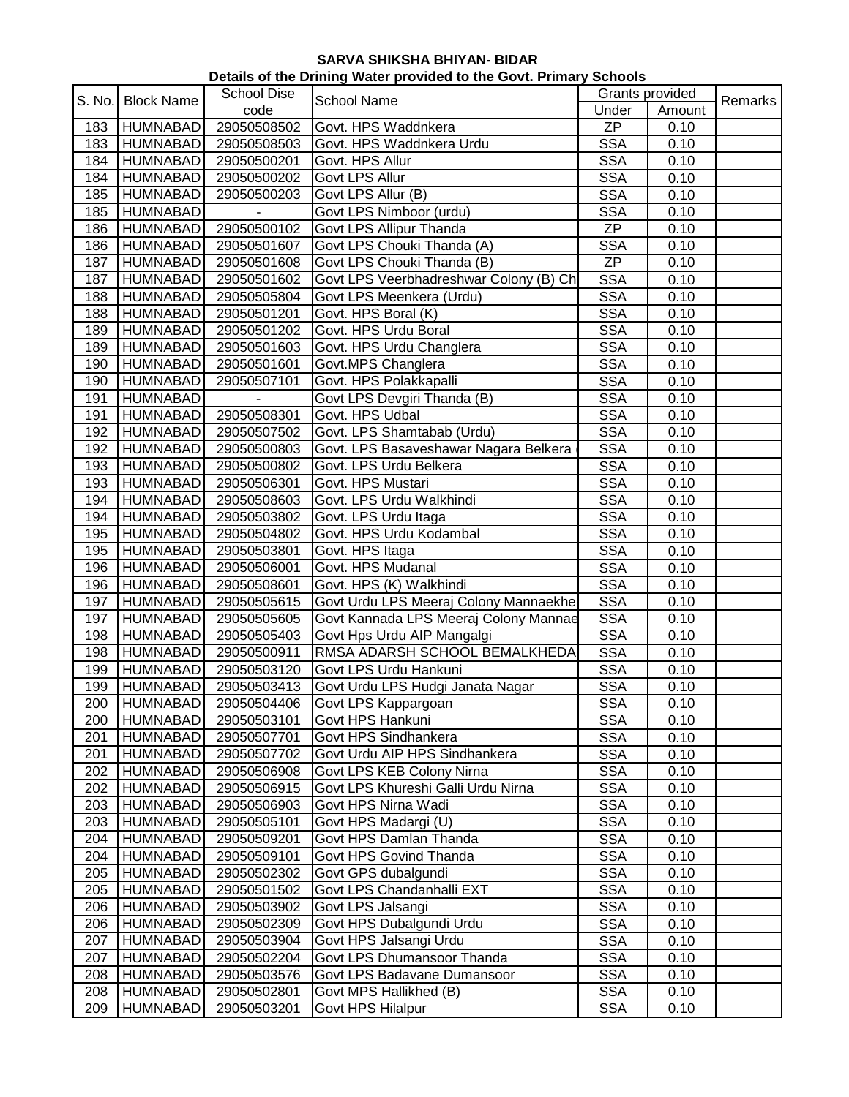| Details of the Drining Water provided to the Govt. Primary Schools |                   |                    |                                        |                 |        |         |  |
|--------------------------------------------------------------------|-------------------|--------------------|----------------------------------------|-----------------|--------|---------|--|
| S. No.                                                             | <b>Block Name</b> | <b>School Dise</b> | <b>School Name</b>                     | Grants provided |        |         |  |
|                                                                    |                   | code               |                                        | Under           | Amount | Remarks |  |
| 183                                                                | <b>HUMNABAD</b>   | 29050508502        | Govt. HPS Waddnkera                    | <b>ZP</b>       | 0.10   |         |  |
| 183                                                                | <b>HUMNABAD</b>   | 29050508503        | Govt. HPS Waddnkera Urdu               | <b>SSA</b>      | 0.10   |         |  |
| 184                                                                | <b>HUMNABAD</b>   | 29050500201        | Govt. HPS Allur                        | <b>SSA</b>      | 0.10   |         |  |
| 184                                                                | <b>HUMNABAD</b>   | 29050500202        | Govt LPS Allur                         | <b>SSA</b>      | 0.10   |         |  |
| 185                                                                | <b>HUMNABAD</b>   | 29050500203        | Govt LPS Allur (B)                     | <b>SSA</b>      | 0.10   |         |  |
| 185                                                                | <b>HUMNABAD</b>   |                    | Govt LPS Nimboor (urdu)                | <b>SSA</b>      | 0.10   |         |  |
| 186                                                                | HUMNABAD          | 29050500102        | Govt LPS Allipur Thanda                | ZP              | 0.10   |         |  |
| 186                                                                | HUMNABAD          | 29050501607        | Govt LPS Chouki Thanda (A)             | <b>SSA</b>      | 0.10   |         |  |
| 187                                                                | <b>HUMNABAD</b>   | 29050501608        | Govt LPS Chouki Thanda (B)             | <b>ZP</b>       | 0.10   |         |  |
| 187                                                                | <b>HUMNABAD</b>   | 29050501602        | Govt LPS Veerbhadreshwar Colony (B) Ch | <b>SSA</b>      | 0.10   |         |  |
| 188                                                                | <b>HUMNABAD</b>   | 29050505804        | Govt LPS Meenkera (Urdu)               | <b>SSA</b>      | 0.10   |         |  |
| 188                                                                | <b>HUMNABAD</b>   | 29050501201        | Govt. HPS Boral (K)                    | <b>SSA</b>      | 0.10   |         |  |
| 189                                                                | <b>HUMNABAD</b>   | 29050501202        | Govt. HPS Urdu Boral                   | <b>SSA</b>      | 0.10   |         |  |
| 189                                                                | <b>HUMNABAD</b>   | 29050501603        | Govt. HPS Urdu Changlera               | <b>SSA</b>      | 0.10   |         |  |
| 190                                                                | <b>HUMNABAD</b>   | 29050501601        | Govt.MPS Changlera                     | <b>SSA</b>      | 0.10   |         |  |
| 190                                                                | <b>HUMNABAD</b>   | 29050507101        | Govt. HPS Polakkapalli                 | <b>SSA</b>      | 0.10   |         |  |
| 191                                                                | <b>HUMNABAD</b>   |                    | Govt LPS Devgiri Thanda (B)            | <b>SSA</b>      | 0.10   |         |  |
| 191                                                                | <b>HUMNABAD</b>   | 29050508301        | Govt. HPS Udbal                        | <b>SSA</b>      | 0.10   |         |  |
| 192                                                                | <b>HUMNABAD</b>   | 29050507502        | Govt. LPS Shamtabab (Urdu)             | <b>SSA</b>      | 0.10   |         |  |
| 192                                                                | <b>HUMNABAD</b>   | 29050500803        | Govt. LPS Basaveshawar Nagara Belkera  | <b>SSA</b>      | 0.10   |         |  |
| 193                                                                | <b>HUMNABAD</b>   | 29050500802        | Govt. LPS Urdu Belkera                 | <b>SSA</b>      | 0.10   |         |  |
| 193                                                                | <b>HUMNABAD</b>   | 29050506301        | Govt. HPS Mustari                      | <b>SSA</b>      | 0.10   |         |  |
| 194                                                                | <b>HUMNABAD</b>   | 29050508603        | Govt. LPS Urdu Walkhindi               | <b>SSA</b>      | 0.10   |         |  |
| 194                                                                | <b>HUMNABAD</b>   | 29050503802        | Govt. LPS Urdu Itaga                   | <b>SSA</b>      | 0.10   |         |  |
| 195                                                                | <b>HUMNABAD</b>   | 29050504802        | Govt. HPS Urdu Kodambal                | <b>SSA</b>      | 0.10   |         |  |
| 195                                                                | <b>HUMNABAD</b>   | 29050503801        | Govt. HPS Itaga                        | <b>SSA</b>      | 0.10   |         |  |
| 196                                                                | <b>HUMNABAD</b>   | 29050506001        | Govt. HPS Mudanal                      | <b>SSA</b>      | 0.10   |         |  |
| 196                                                                | <b>HUMNABAD</b>   | 29050508601        | Govt. HPS (K) Walkhindi                | <b>SSA</b>      | 0.10   |         |  |
| 197                                                                | <b>HUMNABAD</b>   | 29050505615        | Govt Urdu LPS Meeraj Colony Mannaekhel | <b>SSA</b>      | 0.10   |         |  |
| 197                                                                | <b>HUMNABAD</b>   | 29050505605        | Govt Kannada LPS Meeraj Colony Mannae  | <b>SSA</b>      | 0.10   |         |  |
| 198                                                                | <b>HUMNABAD</b>   | 29050505403        | Govt Hps Urdu AIP Mangalgi             | <b>SSA</b>      | 0.10   |         |  |
| 198                                                                | <b>HUMNABAD</b>   | 29050500911        | RMSA ADARSH SCHOOL BEMALKHEDA          | <b>SSA</b>      | 0.10   |         |  |
| 199                                                                | <b>HUMNABAD</b>   | 29050503120        | Govt LPS Urdu Hankuni                  | <b>SSA</b>      | 0.10   |         |  |
| 199                                                                | <b>HUMNABAD</b>   | 29050503413        | Govt Urdu LPS Hudgi Janata Nagar       | <b>SSA</b>      | 0.10   |         |  |
| 200                                                                | <b>HUMNABAD</b>   | 29050504406        | Govt LPS Kappargoan                    | <b>SSA</b>      | 0.10   |         |  |
| 200                                                                | <b>HUMNABAD</b>   | 29050503101        | Govt HPS Hankuni                       | <b>SSA</b>      | 0.10   |         |  |
| 201                                                                | <b>HUMNABAD</b>   | 29050507701        | Govt HPS Sindhankera                   | <b>SSA</b>      | 0.10   |         |  |
| 201                                                                | <b>HUMNABAD</b>   | 29050507702        | Govt Urdu AIP HPS Sindhankera          | <b>SSA</b>      | 0.10   |         |  |
| 202                                                                | <b>HUMNABAD</b>   | 29050506908        | Govt LPS KEB Colony Nirna              | <b>SSA</b>      | 0.10   |         |  |
| 202                                                                | <b>HUMNABAD</b>   | 29050506915        | Govt LPS Khureshi Galli Urdu Nirna     | <b>SSA</b>      | 0.10   |         |  |
| 203                                                                | <b>HUMNABAD</b>   | 29050506903        | Govt HPS Nirna Wadi                    | <b>SSA</b>      | 0.10   |         |  |
| 203                                                                | <b>HUMNABAD</b>   | 29050505101        | Govt HPS Madargi (U)                   | <b>SSA</b>      | 0.10   |         |  |
| 204                                                                | <b>HUMNABAD</b>   | 29050509201        | Govt HPS Damlan Thanda                 | <b>SSA</b>      | 0.10   |         |  |
| 204                                                                | <b>HUMNABAD</b>   | 29050509101        | Govt HPS Govind Thanda                 | <b>SSA</b>      | 0.10   |         |  |
| 205                                                                | <b>HUMNABAD</b>   | 29050502302        | Govt GPS dubalgundi                    | <b>SSA</b>      | 0.10   |         |  |
| 205                                                                | <b>HUMNABAD</b>   | 29050501502        | Govt LPS Chandanhalli EXT              | <b>SSA</b>      | 0.10   |         |  |
| 206                                                                | <b>HUMNABAD</b>   | 29050503902        | Govt LPS Jalsangi                      | <b>SSA</b>      | 0.10   |         |  |
| 206                                                                | <b>HUMNABAD</b>   | 29050502309        | Govt HPS Dubalgundi Urdu               | <b>SSA</b>      | 0.10   |         |  |
| 207                                                                | <b>HUMNABAD</b>   | 29050503904        | Govt HPS Jalsangi Urdu                 | <b>SSA</b>      | 0.10   |         |  |
| 207                                                                | <b>HUMNABAD</b>   | 29050502204        | Govt LPS Dhumansoor Thanda             | <b>SSA</b>      | 0.10   |         |  |
| 208                                                                | <b>HUMNABAD</b>   | 29050503576        | Govt LPS Badavane Dumansoor            | <b>SSA</b>      | 0.10   |         |  |
| 208                                                                | <b>HUMNABAD</b>   | 29050502801        | Govt MPS Hallikhed (B)                 | <b>SSA</b>      | 0.10   |         |  |
| 209                                                                | <b>HUMNABAD</b>   | 29050503201        | Govt HPS Hilalpur                      | <b>SSA</b>      | 0.10   |         |  |
|                                                                    |                   |                    |                                        |                 |        |         |  |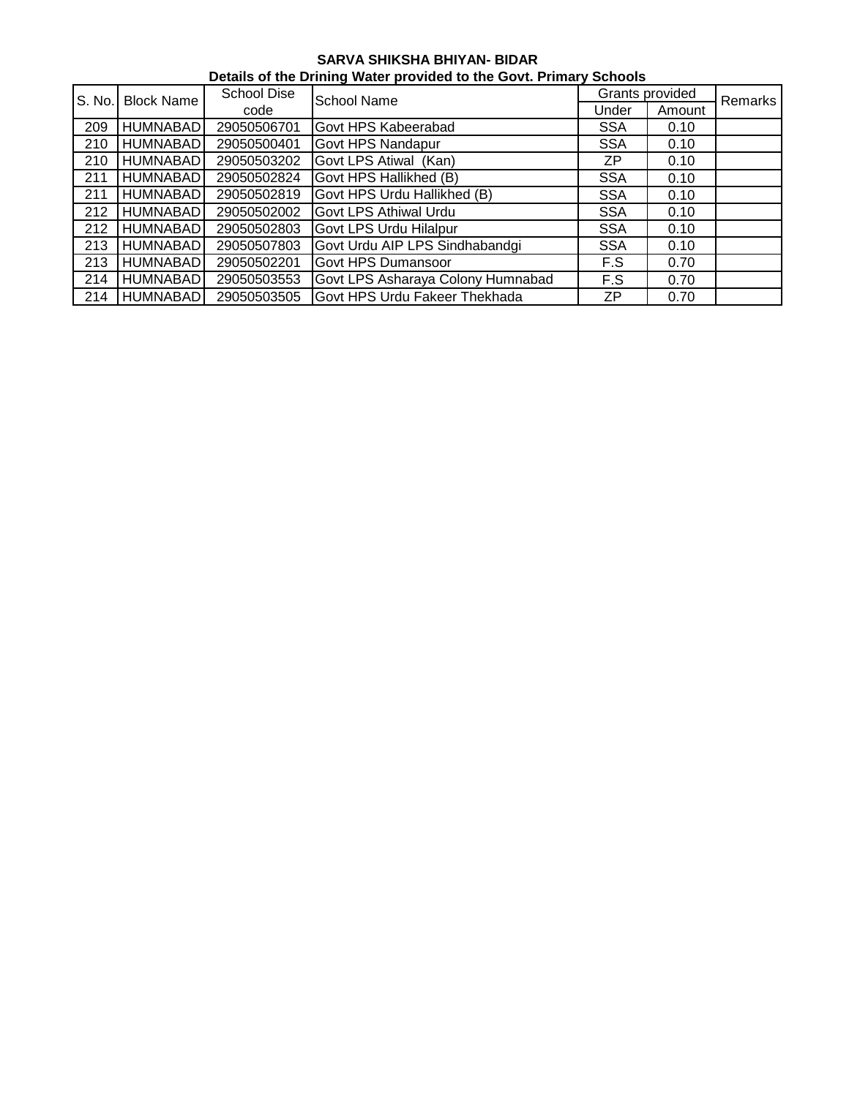| Details of the Drining Water provided to the Govt. Primary Schools |                   |                    |                                   |                 |         |  |  |  |  |
|--------------------------------------------------------------------|-------------------|--------------------|-----------------------------------|-----------------|---------|--|--|--|--|
| S. No.                                                             | <b>Block Name</b> | <b>School Dise</b> | <b>School Name</b>                | Grants provided | Remarks |  |  |  |  |
|                                                                    |                   | code               |                                   | Under           | Amount  |  |  |  |  |
| 209                                                                | <b>HUMNABAD</b>   | 29050506701        | Govt HPS Kabeerabad               | <b>SSA</b>      | 0.10    |  |  |  |  |
| 210                                                                | HUMNABADI         | 29050500401        | <b>Govt HPS Nandapur</b>          | <b>SSA</b>      | 0.10    |  |  |  |  |
| 210                                                                | <b>HUMNABAD</b>   | 29050503202        | Govt LPS Atiwal (Kan)             | ZP              | 0.10    |  |  |  |  |
| 211                                                                | <b>HUMNABAD</b>   | 29050502824        | Govt HPS Hallikhed (B)            | <b>SSA</b>      | 0.10    |  |  |  |  |
| 211                                                                | <b>HUMNABAD</b>   | 29050502819        | Govt HPS Urdu Hallikhed (B)       | <b>SSA</b>      | 0.10    |  |  |  |  |
| 212                                                                | <b>HUMNABAD</b>   | 29050502002        | <b>Govt LPS Athiwal Urdu</b>      | <b>SSA</b>      | 0.10    |  |  |  |  |
| 212                                                                | <b>HUMNABAD</b>   | 29050502803        | Govt LPS Urdu Hilalpur            | <b>SSA</b>      | 0.10    |  |  |  |  |
| 213                                                                | <b>HUMNABAD</b>   | 29050507803        | Govt Urdu AIP LPS Sindhabandgi    | <b>SSA</b>      | 0.10    |  |  |  |  |
| 213                                                                | <b>HUMNABADI</b>  | 29050502201        | <b>Govt HPS Dumansoor</b>         | F.S             | 0.70    |  |  |  |  |
| 214                                                                | <b>HUMNABAD</b>   | 29050503553        | Govt LPS Asharaya Colony Humnabad | F.S             | 0.70    |  |  |  |  |
| 214                                                                | <b>HUMNABAD</b>   | 29050503505        | Govt HPS Urdu Fakeer Thekhada     | ΖP              | 0.70    |  |  |  |  |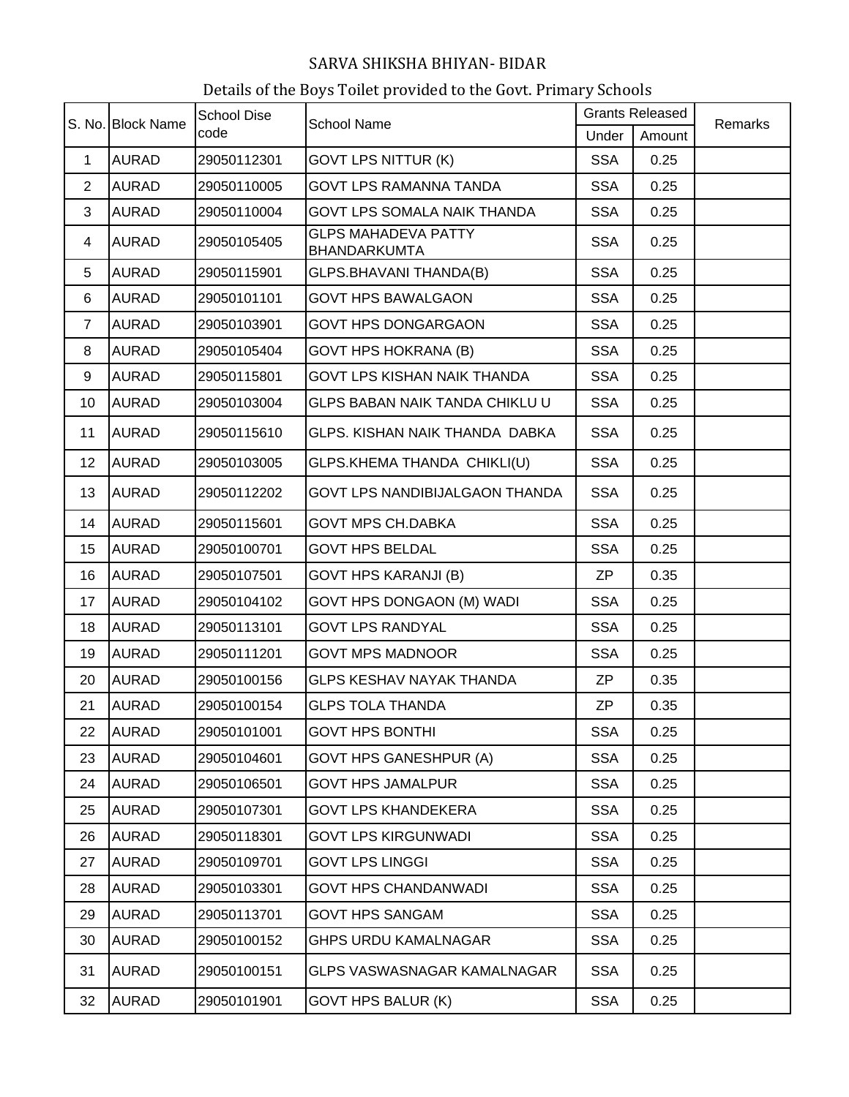|                | S. No. Block Name | <b>School Dise</b> | <b>School Name</b>                                | <b>Grants Released</b> |        | Remarks |
|----------------|-------------------|--------------------|---------------------------------------------------|------------------------|--------|---------|
|                |                   | code               |                                                   | Under                  | Amount |         |
| $\mathbf{1}$   | <b>AURAD</b>      | 29050112301        | <b>GOVT LPS NITTUR (K)</b>                        | <b>SSA</b>             | 0.25   |         |
| $\overline{2}$ | <b>AURAD</b>      | 29050110005        | <b>GOVT LPS RAMANNA TANDA</b>                     | <b>SSA</b>             | 0.25   |         |
| 3              | <b>AURAD</b>      | 29050110004        | GOVT LPS SOMALA NAIK THANDA                       | <b>SSA</b>             | 0.25   |         |
| 4              | <b>AURAD</b>      | 29050105405        | <b>GLPS MAHADEVA PATTY</b><br><b>BHANDARKUMTA</b> | <b>SSA</b>             | 0.25   |         |
| 5              | <b>AURAD</b>      | 29050115901        | GLPS.BHAVANI THANDA(B)                            | <b>SSA</b>             | 0.25   |         |
| 6              | <b>AURAD</b>      | 29050101101        | <b>GOVT HPS BAWALGAON</b>                         | <b>SSA</b>             | 0.25   |         |
| $\overline{7}$ | <b>AURAD</b>      | 29050103901        | <b>GOVT HPS DONGARGAON</b>                        | <b>SSA</b>             | 0.25   |         |
| 8              | <b>AURAD</b>      | 29050105404        | <b>GOVT HPS HOKRANA (B)</b>                       | <b>SSA</b>             | 0.25   |         |
| 9              | <b>AURAD</b>      | 29050115801        | <b>GOVT LPS KISHAN NAIK THANDA</b>                | <b>SSA</b>             | 0.25   |         |
| 10             | <b>AURAD</b>      | 29050103004        | <b>GLPS BABAN NAIK TANDA CHIKLU U</b>             | <b>SSA</b>             | 0.25   |         |
| 11             | <b>AURAD</b>      | 29050115610        | GLPS. KISHAN NAIK THANDA DABKA                    | <b>SSA</b>             | 0.25   |         |
| 12             | <b>AURAD</b>      | 29050103005        | GLPS.KHEMA THANDA CHIKLI(U)                       | <b>SSA</b>             | 0.25   |         |
| 13             | <b>AURAD</b>      | 29050112202        | GOVT LPS NANDIBIJALGAON THANDA                    | <b>SSA</b>             | 0.25   |         |
| 14             | <b>AURAD</b>      | 29050115601        | <b>GOVT MPS CH.DABKA</b>                          | <b>SSA</b>             | 0.25   |         |
| 15             | <b>AURAD</b>      | 29050100701        | <b>GOVT HPS BELDAL</b>                            | <b>SSA</b>             | 0.25   |         |
| 16             | <b>AURAD</b>      | 29050107501        | <b>GOVT HPS KARANJI (B)</b>                       | ZΡ                     | 0.35   |         |
| 17             | <b>AURAD</b>      | 29050104102        | GOVT HPS DONGAON (M) WADI                         | <b>SSA</b>             | 0.25   |         |
| 18             | <b>AURAD</b>      | 29050113101        | <b>GOVT LPS RANDYAL</b>                           | <b>SSA</b>             | 0.25   |         |
| 19             | <b>AURAD</b>      | 29050111201        | <b>GOVT MPS MADNOOR</b>                           | <b>SSA</b>             | 0.25   |         |
| 20             | <b>AURAD</b>      | 29050100156        | <b>GLPS KESHAV NAYAK THANDA</b>                   | <b>ZP</b>              | 0.35   |         |
| 21             | <b>AURAD</b>      | 29050100154        | <b>GLPS TOLA THANDA</b>                           | <b>ZP</b>              | 0.35   |         |
| 22             | <b>AURAD</b>      | 29050101001        | <b>GOVT HPS BONTHI</b>                            | <b>SSA</b>             | 0.25   |         |
| 23             | <b>AURAD</b>      | 29050104601        | <b>GOVT HPS GANESHPUR (A)</b>                     | <b>SSA</b>             | 0.25   |         |
| 24             | <b>AURAD</b>      | 29050106501        | <b>GOVT HPS JAMALPUR</b>                          | <b>SSA</b>             | 0.25   |         |
| 25             | <b>AURAD</b>      | 29050107301        | <b>GOVT LPS KHANDEKERA</b>                        | <b>SSA</b>             | 0.25   |         |
| 26             | <b>AURAD</b>      | 29050118301        | <b>GOVT LPS KIRGUNWADI</b>                        | <b>SSA</b>             | 0.25   |         |
| 27             | <b>AURAD</b>      | 29050109701        | <b>GOVT LPS LINGGI</b>                            | <b>SSA</b>             | 0.25   |         |
| 28             | <b>AURAD</b>      | 29050103301        | <b>GOVT HPS CHANDANWADI</b>                       | <b>SSA</b>             | 0.25   |         |
| 29             | <b>AURAD</b>      | 29050113701        | <b>GOVT HPS SANGAM</b>                            | <b>SSA</b>             | 0.25   |         |
| 30             | <b>AURAD</b>      | 29050100152        | <b>GHPS URDU KAMALNAGAR</b>                       | <b>SSA</b>             | 0.25   |         |
| 31             | <b>AURAD</b>      | 29050100151        | GLPS VASWASNAGAR KAMALNAGAR                       | <b>SSA</b>             | 0.25   |         |
| 32             | <b>AURAD</b>      | 29050101901        | <b>GOVT HPS BALUR (K)</b>                         | <b>SSA</b>             | 0.25   |         |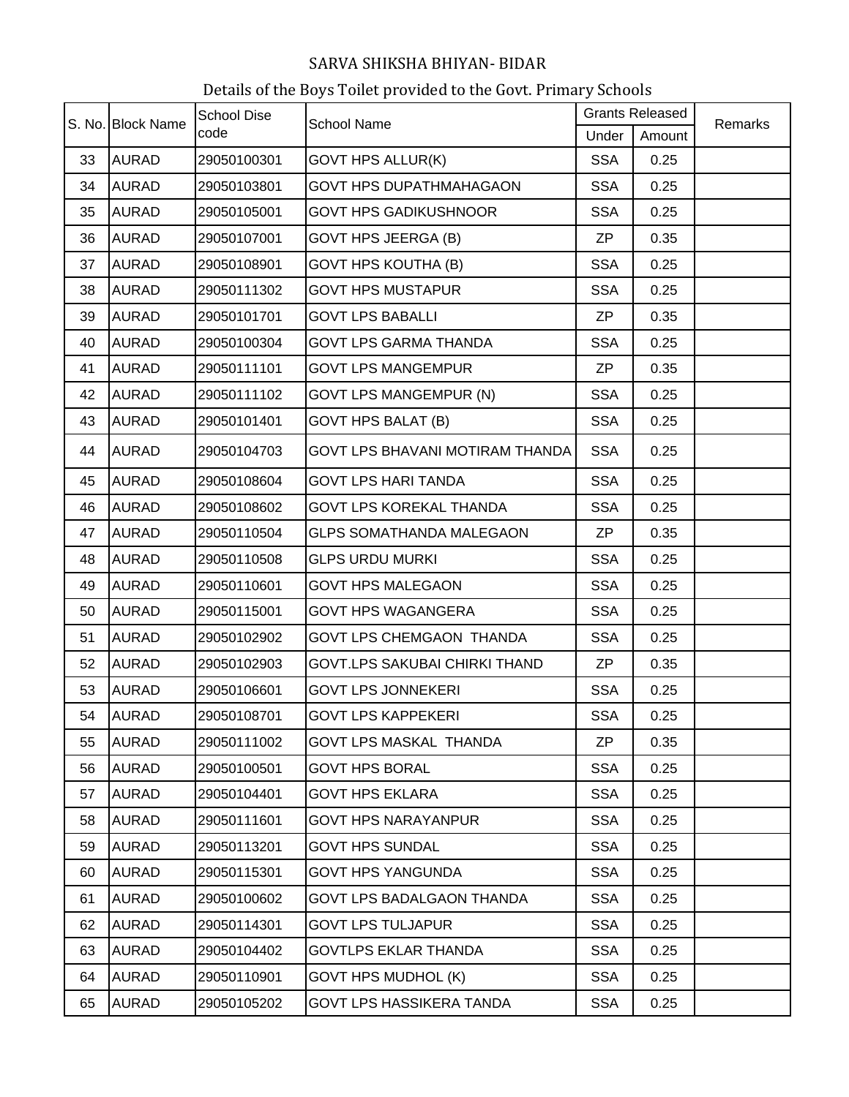| S. No. Block Name |              | <b>School Dise</b> | <b>School Name</b>                   | <b>Grants Released</b> |        | Remarks |
|-------------------|--------------|--------------------|--------------------------------------|------------------------|--------|---------|
|                   |              | code               |                                      | Under                  | Amount |         |
| 33                | <b>AURAD</b> | 29050100301        | <b>GOVT HPS ALLUR(K)</b>             | <b>SSA</b>             | 0.25   |         |
| 34                | <b>AURAD</b> | 29050103801        | <b>GOVT HPS DUPATHMAHAGAON</b>       | <b>SSA</b>             | 0.25   |         |
| 35                | <b>AURAD</b> | 29050105001        | <b>GOVT HPS GADIKUSHNOOR</b>         | <b>SSA</b>             | 0.25   |         |
| 36                | <b>AURAD</b> | 29050107001        | <b>GOVT HPS JEERGA (B)</b>           | ZP                     | 0.35   |         |
| 37                | <b>AURAD</b> | 29050108901        | <b>GOVT HPS KOUTHA (B)</b>           | <b>SSA</b>             | 0.25   |         |
| 38                | <b>AURAD</b> | 29050111302        | <b>GOVT HPS MUSTAPUR</b>             | <b>SSA</b>             | 0.25   |         |
| 39                | <b>AURAD</b> | 29050101701        | <b>GOVT LPS BABALLI</b>              | <b>ZP</b>              | 0.35   |         |
| 40                | <b>AURAD</b> | 29050100304        | <b>GOVT LPS GARMA THANDA</b>         | <b>SSA</b>             | 0.25   |         |
| 41                | <b>AURAD</b> | 29050111101        | <b>GOVT LPS MANGEMPUR</b>            | ZP                     | 0.35   |         |
| 42                | <b>AURAD</b> | 29050111102        | <b>GOVT LPS MANGEMPUR (N)</b>        | <b>SSA</b>             | 0.25   |         |
| 43                | <b>AURAD</b> | 29050101401        | <b>GOVT HPS BALAT (B)</b>            | <b>SSA</b>             | 0.25   |         |
| 44                | <b>AURAD</b> | 29050104703        | GOVT LPS BHAVANI MOTIRAM THANDA      | <b>SSA</b>             | 0.25   |         |
| 45                | <b>AURAD</b> | 29050108604        | <b>GOVT LPS HARI TANDA</b>           | <b>SSA</b>             | 0.25   |         |
| 46                | <b>AURAD</b> | 29050108602        | <b>GOVT LPS KOREKAL THANDA</b>       | <b>SSA</b>             | 0.25   |         |
| 47                | <b>AURAD</b> | 29050110504        | <b>GLPS SOMATHANDA MALEGAON</b>      | ZP                     | 0.35   |         |
| 48                | <b>AURAD</b> | 29050110508        | <b>GLPS URDU MURKI</b>               | <b>SSA</b>             | 0.25   |         |
| 49                | <b>AURAD</b> | 29050110601        | <b>GOVT HPS MALEGAON</b>             | <b>SSA</b>             | 0.25   |         |
| 50                | <b>AURAD</b> | 29050115001        | <b>GOVT HPS WAGANGERA</b>            | <b>SSA</b>             | 0.25   |         |
| 51                | <b>AURAD</b> | 29050102902        | <b>GOVT LPS CHEMGAON THANDA</b>      | <b>SSA</b>             | 0.25   |         |
| 52                | <b>AURAD</b> | 29050102903        | <b>GOVT.LPS SAKUBAI CHIRKI THAND</b> | ZP                     | 0.35   |         |
| 53                | <b>AURAD</b> | 29050106601        | <b>GOVT LPS JONNEKERI</b>            | <b>SSA</b>             | 0.25   |         |
| 54                | <b>AURAD</b> | 29050108701        | <b>GOVT LPS KAPPEKERI</b>            | <b>SSA</b>             | 0.25   |         |
| 55                | <b>AURAD</b> | 29050111002        | <b>GOVT LPS MASKAL THANDA</b>        | ΖP                     | 0.35   |         |
| 56                | <b>AURAD</b> | 29050100501        | <b>GOVT HPS BORAL</b>                | <b>SSA</b>             | 0.25   |         |
| 57                | <b>AURAD</b> | 29050104401        | <b>GOVT HPS EKLARA</b>               | <b>SSA</b>             | 0.25   |         |
| 58                | <b>AURAD</b> | 29050111601        | <b>GOVT HPS NARAYANPUR</b>           | <b>SSA</b>             | 0.25   |         |
| 59                | <b>AURAD</b> | 29050113201        | <b>GOVT HPS SUNDAL</b>               | <b>SSA</b>             | 0.25   |         |
| 60                | <b>AURAD</b> | 29050115301        | <b>GOVT HPS YANGUNDA</b>             | <b>SSA</b>             | 0.25   |         |
| 61                | <b>AURAD</b> | 29050100602        | GOVT LPS BADALGAON THANDA            | <b>SSA</b>             | 0.25   |         |
| 62                | <b>AURAD</b> | 29050114301        | <b>GOVT LPS TULJAPUR</b>             | <b>SSA</b>             | 0.25   |         |
| 63                | <b>AURAD</b> | 29050104402        | <b>GOVTLPS EKLAR THANDA</b>          | <b>SSA</b>             | 0.25   |         |
| 64                | <b>AURAD</b> | 29050110901        | <b>GOVT HPS MUDHOL (K)</b>           | <b>SSA</b>             | 0.25   |         |
| 65                | <b>AURAD</b> | 29050105202        | <b>GOVT LPS HASSIKERA TANDA</b>      | <b>SSA</b>             | 0.25   |         |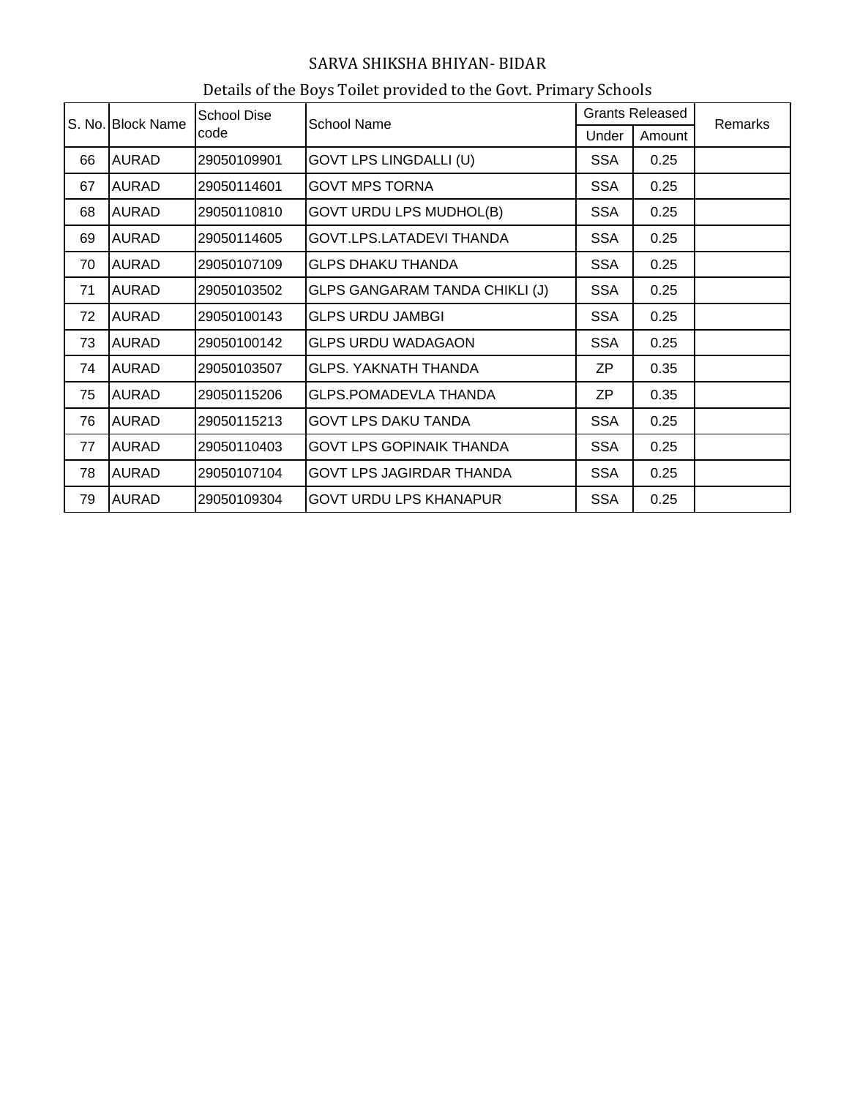| S. No. Block Name | <b>School Dise</b> |             |                                       | <b>Grants Released</b> | Remarks |  |
|-------------------|--------------------|-------------|---------------------------------------|------------------------|---------|--|
|                   |                    | code        | <b>School Name</b>                    | Under                  | Amount  |  |
| 66                | <b>AURAD</b>       | 29050109901 | <b>GOVT LPS LINGDALLI (U)</b>         | <b>SSA</b>             | 0.25    |  |
| 67                | <b>AURAD</b>       | 29050114601 | <b>GOVT MPS TORNA</b>                 | <b>SSA</b>             | 0.25    |  |
| 68                | <b>AURAD</b>       | 29050110810 | <b>GOVT URDU LPS MUDHOL(B)</b>        | <b>SSA</b>             | 0.25    |  |
| 69                | <b>AURAD</b>       | 29050114605 | GOVT.LPS.LATADEVI THANDA              | <b>SSA</b>             | 0.25    |  |
| 70                | <b>AURAD</b>       | 29050107109 | <b>GLPS DHAKU THANDA</b>              | <b>SSA</b>             | 0.25    |  |
| 71                | <b>AURAD</b>       | 29050103502 | <b>GLPS GANGARAM TANDA CHIKLI (J)</b> | <b>SSA</b>             | 0.25    |  |
| 72                | <b>AURAD</b>       | 29050100143 | <b>GLPS URDU JAMBGI</b>               | <b>SSA</b>             | 0.25    |  |
| 73                | <b>AURAD</b>       | 29050100142 | <b>GLPS URDU WADAGAON</b>             | <b>SSA</b>             | 0.25    |  |
| 74                | <b>AURAD</b>       | 29050103507 | <b>GLPS. YAKNATH THANDA</b>           | ZP                     | 0.35    |  |
| 75                | <b>AURAD</b>       | 29050115206 | <b>GLPS.POMADEVLA THANDA</b>          | ZΡ                     | 0.35    |  |
| 76                | <b>AURAD</b>       | 29050115213 | <b>GOVT LPS DAKU TANDA</b>            | <b>SSA</b>             | 0.25    |  |
| 77                | <b>AURAD</b>       | 29050110403 | <b>GOVT LPS GOPINAIK THANDA</b>       | <b>SSA</b>             | 0.25    |  |
| 78                | <b>AURAD</b>       | 29050107104 | <b>GOVT LPS JAGIRDAR THANDA</b>       | <b>SSA</b>             | 0.25    |  |
| 79                | <b>AURAD</b>       | 29050109304 | <b>GOVT URDU LPS KHANAPUR</b>         | <b>SSA</b>             | 0.25    |  |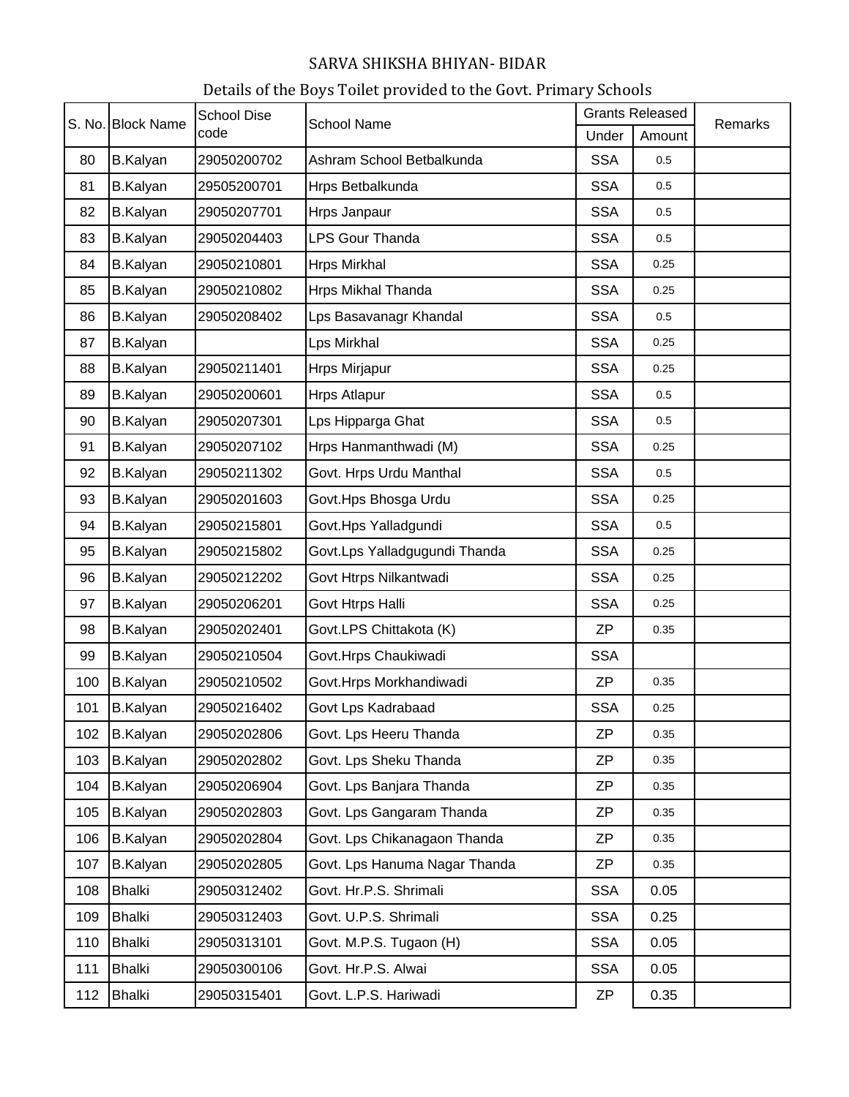| S. No. Block Name |                 | <b>School Dise</b> | <b>School Name</b>            | <b>Grants Released</b> |        | Remarks |
|-------------------|-----------------|--------------------|-------------------------------|------------------------|--------|---------|
|                   |                 | code               |                               | Under                  | Amount |         |
| 80                | <b>B.Kalyan</b> | 29050200702        | Ashram School Betbalkunda     | <b>SSA</b>             | 0.5    |         |
| 81                | <b>B.Kalyan</b> | 29505200701        | Hrps Betbalkunda              | <b>SSA</b>             | 0.5    |         |
| 82                | <b>B.Kalyan</b> | 29050207701        | Hrps Janpaur                  | <b>SSA</b>             | 0.5    |         |
| 83                | <b>B.Kalyan</b> | 29050204403        | <b>LPS Gour Thanda</b>        | <b>SSA</b>             | 0.5    |         |
| 84                | <b>B.Kalyan</b> | 29050210801        | <b>Hrps Mirkhal</b>           | <b>SSA</b>             | 0.25   |         |
| 85                | <b>B.Kalyan</b> | 29050210802        | Hrps Mikhal Thanda            | <b>SSA</b>             | 0.25   |         |
| 86                | <b>B.Kalyan</b> | 29050208402        | Lps Basavanagr Khandal        | <b>SSA</b>             | 0.5    |         |
| 87                | <b>B.Kalyan</b> |                    | Lps Mirkhal                   | <b>SSA</b>             | 0.25   |         |
| 88                | <b>B.Kalyan</b> | 29050211401        | Hrps Mirjapur                 | <b>SSA</b>             | 0.25   |         |
| 89                | <b>B.Kalyan</b> | 29050200601        | <b>Hrps Atlapur</b>           | <b>SSA</b>             | 0.5    |         |
| 90                | <b>B.Kalyan</b> | 29050207301        | Lps Hipparga Ghat             | <b>SSA</b>             | 0.5    |         |
| 91                | <b>B.Kalyan</b> | 29050207102        | Hrps Hanmanthwadi (M)         | <b>SSA</b>             | 0.25   |         |
| 92                | <b>B.Kalyan</b> | 29050211302        | Govt. Hrps Urdu Manthal       | <b>SSA</b>             | 0.5    |         |
| 93                | <b>B.Kalyan</b> | 29050201603        | Govt.Hps Bhosga Urdu          | <b>SSA</b>             | 0.25   |         |
| 94                | <b>B.Kalyan</b> | 29050215801        | Govt.Hps Yalladgundi          | <b>SSA</b>             | 0.5    |         |
| 95                | <b>B.Kalyan</b> | 29050215802        | Govt.Lps Yalladgugundi Thanda | <b>SSA</b>             | 0.25   |         |
| 96                | <b>B.Kalyan</b> | 29050212202        | Govt Htrps Nilkantwadi        | <b>SSA</b>             | 0.25   |         |
| 97                | <b>B.Kalyan</b> | 29050206201        | Govt Htrps Halli              | <b>SSA</b>             | 0.25   |         |
| 98                | <b>B.Kalyan</b> | 29050202401        | Govt.LPS Chittakota (K)       | <b>ZP</b>              | 0.35   |         |
| 99                | <b>B.Kalyan</b> | 29050210504        | Govt.Hrps Chaukiwadi          | <b>SSA</b>             |        |         |
| 100               | <b>B.Kalyan</b> | 29050210502        | Govt.Hrps Morkhandiwadi       | <b>ZP</b>              | 0.35   |         |
| 101               | <b>B.Kalyan</b> | 29050216402        | Govt Lps Kadrabaad            | <b>SSA</b>             | 0.25   |         |
| 102               | <b>B.Kalyan</b> | 29050202806        | Govt. Lps Heeru Thanda        | <b>ZP</b>              | 0.35   |         |
| 103               | <b>B.Kalyan</b> | 29050202802        | Govt. Lps Sheku Thanda        | <b>ZP</b>              | 0.35   |         |
| 104               | <b>B.Kalyan</b> | 29050206904        | Govt. Lps Banjara Thanda      | <b>ZP</b>              | 0.35   |         |
| 105               | <b>B.Kalyan</b> | 29050202803        | Govt. Lps Gangaram Thanda     | <b>ZP</b>              | 0.35   |         |
| 106               | <b>B.Kalyan</b> | 29050202804        | Govt. Lps Chikanagaon Thanda  | <b>ZP</b>              | 0.35   |         |
| 107               | <b>B.Kalyan</b> | 29050202805        | Govt. Lps Hanuma Nagar Thanda | <b>ZP</b>              | 0.35   |         |
| 108               | <b>Bhalki</b>   | 29050312402        | Govt. Hr.P.S. Shrimali        | <b>SSA</b>             | 0.05   |         |
| 109               | <b>Bhalki</b>   | 29050312403        | Govt. U.P.S. Shrimali         | <b>SSA</b>             | 0.25   |         |
| 110               | <b>Bhalki</b>   | 29050313101        | Govt. M.P.S. Tugaon (H)       | <b>SSA</b>             | 0.05   |         |
| 111               | <b>Bhalki</b>   | 29050300106        | Govt. Hr.P.S. Alwai           | <b>SSA</b>             | 0.05   |         |
| 112               | <b>Bhalki</b>   | 29050315401        | Govt. L.P.S. Hariwadi         | ZP                     | 0.35   |         |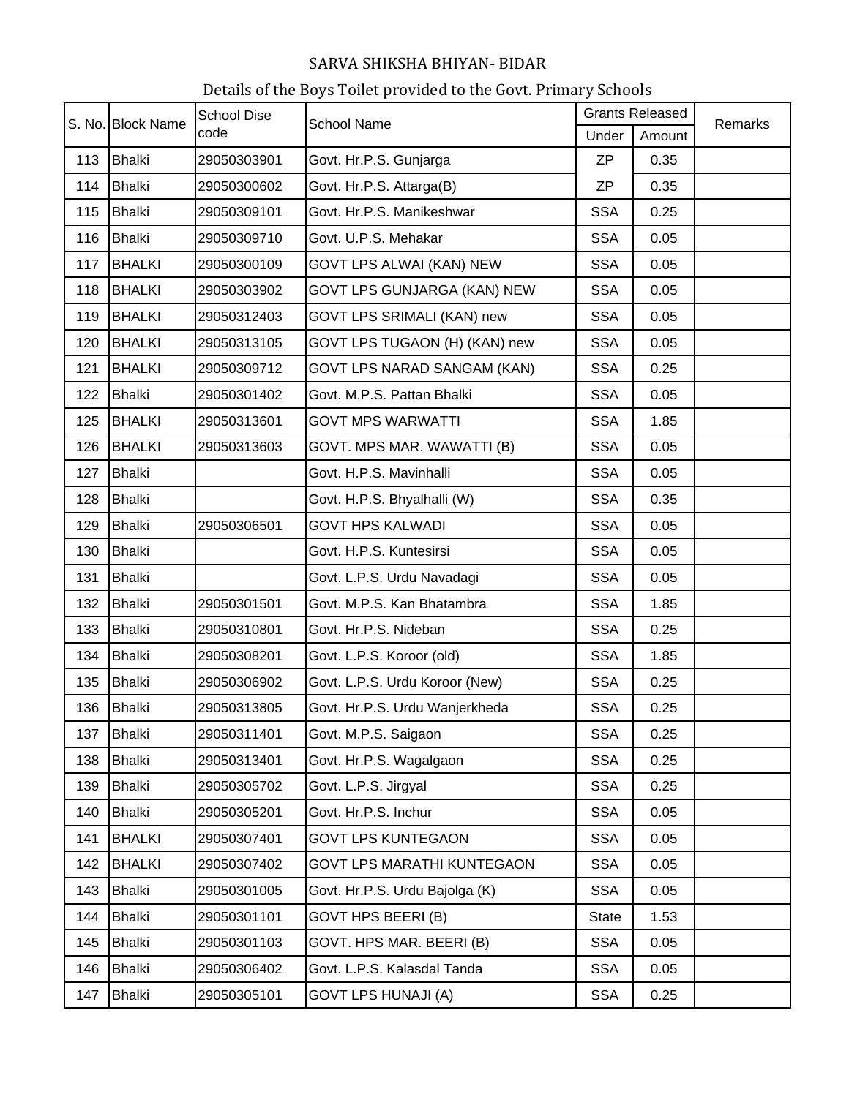| S. No. Block Name |               | <b>School Dise</b> | <b>School Name</b>             | <b>Grants Released</b> |        | Remarks |
|-------------------|---------------|--------------------|--------------------------------|------------------------|--------|---------|
|                   |               | code               |                                | Under                  | Amount |         |
| 113               | Bhalki        | 29050303901        | Govt. Hr.P.S. Gunjarga         | <b>ZP</b>              | 0.35   |         |
| 114               | Bhalki        | 29050300602        | Govt. Hr.P.S. Attarga(B)       | <b>ZP</b>              | 0.35   |         |
| 115               | <b>Bhalki</b> | 29050309101        | Govt. Hr.P.S. Manikeshwar      | <b>SSA</b>             | 0.25   |         |
| 116               | <b>Bhalki</b> | 29050309710        | Govt. U.P.S. Mehakar           | <b>SSA</b>             | 0.05   |         |
| 117               | <b>BHALKI</b> | 29050300109        | GOVT LPS ALWAI (KAN) NEW       | <b>SSA</b>             | 0.05   |         |
| 118               | <b>BHALKI</b> | 29050303902        | GOVT LPS GUNJARGA (KAN) NEW    | <b>SSA</b>             | 0.05   |         |
| 119               | <b>BHALKI</b> | 29050312403        | GOVT LPS SRIMALI (KAN) new     | <b>SSA</b>             | 0.05   |         |
| 120               | <b>BHALKI</b> | 29050313105        | GOVT LPS TUGAON (H) (KAN) new  | <b>SSA</b>             | 0.05   |         |
| 121               | <b>BHALKI</b> | 29050309712        | GOVT LPS NARAD SANGAM (KAN)    | <b>SSA</b>             | 0.25   |         |
| 122               | Bhalki        | 29050301402        | Govt. M.P.S. Pattan Bhalki     | <b>SSA</b>             | 0.05   |         |
| 125               | <b>BHALKI</b> | 29050313601        | <b>GOVT MPS WARWATTI</b>       | <b>SSA</b>             | 1.85   |         |
| 126               | <b>BHALKI</b> | 29050313603        | GOVT. MPS MAR. WAWATTI (B)     | <b>SSA</b>             | 0.05   |         |
| 127               | <b>Bhalki</b> |                    | Govt. H.P.S. Mavinhalli        | <b>SSA</b>             | 0.05   |         |
| 128               | <b>Bhalki</b> |                    | Govt. H.P.S. Bhyalhalli (W)    | <b>SSA</b>             | 0.35   |         |
| 129               | <b>Bhalki</b> | 29050306501        | <b>GOVT HPS KALWADI</b>        | <b>SSA</b>             | 0.05   |         |
| 130               | <b>Bhalki</b> |                    | Govt. H.P.S. Kuntesirsi        | <b>SSA</b>             | 0.05   |         |
| 131               | <b>Bhalki</b> |                    | Govt. L.P.S. Urdu Navadagi     | <b>SSA</b>             | 0.05   |         |
| 132               | Bhalki        | 29050301501        | Govt. M.P.S. Kan Bhatambra     | <b>SSA</b>             | 1.85   |         |
| 133               | Bhalki        | 29050310801        | Govt. Hr.P.S. Nideban          | <b>SSA</b>             | 0.25   |         |
| 134               | <b>Bhalki</b> | 29050308201        | Govt. L.P.S. Koroor (old)      | <b>SSA</b>             | 1.85   |         |
| 135               | <b>Bhalki</b> | 29050306902        | Govt. L.P.S. Urdu Koroor (New) | <b>SSA</b>             | 0.25   |         |
| 136               | <b>Bhalki</b> | 29050313805        | Govt. Hr.P.S. Urdu Wanjerkheda | <b>SSA</b>             | 0.25   |         |
| 137               | <b>Bhalki</b> | 29050311401        | Govt. M.P.S. Saigaon           | <b>SSA</b>             | 0.25   |         |
| 138               | <b>Bhalki</b> | 29050313401        | Govt. Hr.P.S. Wagalgaon        | <b>SSA</b>             | 0.25   |         |
| 139               | <b>Bhalki</b> | 29050305702        | Govt. L.P.S. Jirgyal           | <b>SSA</b>             | 0.25   |         |
| 140               | <b>Bhalki</b> | 29050305201        | Govt. Hr.P.S. Inchur           | <b>SSA</b>             | 0.05   |         |
| 141               | <b>BHALKI</b> | 29050307401        | <b>GOVT LPS KUNTEGAON</b>      | <b>SSA</b>             | 0.05   |         |
| 142               | <b>BHALKI</b> | 29050307402        | GOVT LPS MARATHI KUNTEGAON     | <b>SSA</b>             | 0.05   |         |
| 143               | <b>Bhalki</b> | 29050301005        | Govt. Hr.P.S. Urdu Bajolga (K) | <b>SSA</b>             | 0.05   |         |
| 144               | <b>Bhalki</b> | 29050301101        | GOVT HPS BEERI (B)             | <b>State</b>           | 1.53   |         |
| 145               | <b>Bhalki</b> | 29050301103        | GOVT. HPS MAR. BEERI (B)       | <b>SSA</b>             | 0.05   |         |
| 146               | <b>Bhalki</b> | 29050306402        | Govt. L.P.S. Kalasdal Tanda    | <b>SSA</b>             | 0.05   |         |
| 147               | <b>Bhalki</b> | 29050305101        | <b>GOVT LPS HUNAJI (A)</b>     | <b>SSA</b>             | 0.25   |         |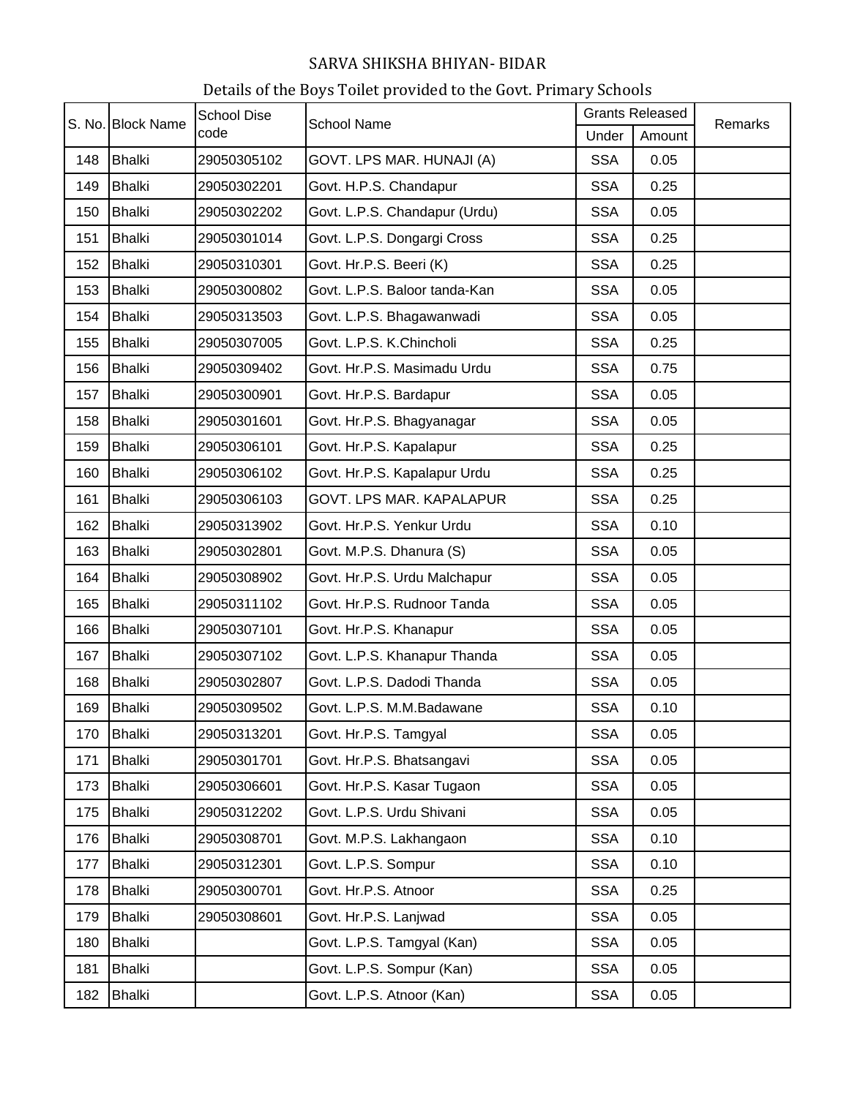|     | S. No. Block Name | <b>School Dise</b><br>code | <b>School Name</b>            | <b>Grants Released</b> |        | Remarks |
|-----|-------------------|----------------------------|-------------------------------|------------------------|--------|---------|
|     |                   |                            |                               | Under                  | Amount |         |
| 148 | Bhalki            | 29050305102                | GOVT. LPS MAR. HUNAJI (A)     | <b>SSA</b>             | 0.05   |         |
| 149 | Bhalki            | 29050302201                | Govt. H.P.S. Chandapur        | <b>SSA</b>             | 0.25   |         |
| 150 | <b>Bhalki</b>     | 29050302202                | Govt. L.P.S. Chandapur (Urdu) | <b>SSA</b>             | 0.05   |         |
| 151 | Bhalki            | 29050301014                | Govt. L.P.S. Dongargi Cross   | <b>SSA</b>             | 0.25   |         |
| 152 | Bhalki            | 29050310301                | Govt. Hr.P.S. Beeri (K)       | <b>SSA</b>             | 0.25   |         |
| 153 | <b>Bhalki</b>     | 29050300802                | Govt. L.P.S. Baloor tanda-Kan | <b>SSA</b>             | 0.05   |         |
| 154 | <b>Bhalki</b>     | 29050313503                | Govt. L.P.S. Bhagawanwadi     | <b>SSA</b>             | 0.05   |         |
| 155 | <b>Bhalki</b>     | 29050307005                | Govt. L.P.S. K.Chincholi      | <b>SSA</b>             | 0.25   |         |
| 156 | <b>Bhalki</b>     | 29050309402                | Govt. Hr.P.S. Masimadu Urdu   | <b>SSA</b>             | 0.75   |         |
| 157 | <b>Bhalki</b>     | 29050300901                | Govt. Hr.P.S. Bardapur        | <b>SSA</b>             | 0.05   |         |
| 158 | <b>Bhalki</b>     | 29050301601                | Govt. Hr.P.S. Bhagyanagar     | <b>SSA</b>             | 0.05   |         |
| 159 | Bhalki            | 29050306101                | Govt. Hr.P.S. Kapalapur       | <b>SSA</b>             | 0.25   |         |
| 160 | <b>Bhalki</b>     | 29050306102                | Govt. Hr.P.S. Kapalapur Urdu  | <b>SSA</b>             | 0.25   |         |
| 161 | <b>Bhalki</b>     | 29050306103                | GOVT. LPS MAR. KAPALAPUR      | <b>SSA</b>             | 0.25   |         |
| 162 | <b>Bhalki</b>     | 29050313902                | Govt. Hr.P.S. Yenkur Urdu     | <b>SSA</b>             | 0.10   |         |
| 163 | <b>Bhalki</b>     | 29050302801                | Govt. M.P.S. Dhanura (S)      | <b>SSA</b>             | 0.05   |         |
| 164 | <b>Bhalki</b>     | 29050308902                | Govt. Hr.P.S. Urdu Malchapur  | <b>SSA</b>             | 0.05   |         |
| 165 | Bhalki            | 29050311102                | Govt. Hr.P.S. Rudnoor Tanda   | <b>SSA</b>             | 0.05   |         |
| 166 | Bhalki            | 29050307101                | Govt. Hr.P.S. Khanapur        | <b>SSA</b>             | 0.05   |         |
| 167 | <b>Bhalki</b>     | 29050307102                | Govt. L.P.S. Khanapur Thanda  | <b>SSA</b>             | 0.05   |         |
| 168 | <b>Bhalki</b>     | 29050302807                | Govt. L.P.S. Dadodi Thanda    | <b>SSA</b>             | 0.05   |         |
| 169 | <b>Bhalki</b>     | 29050309502                | Govt. L.P.S. M.M.Badawane     | <b>SSA</b>             | 0.10   |         |
| 170 | <b>Bhalki</b>     | 29050313201                | Govt. Hr.P.S. Tamgyal         | <b>SSA</b>             | 0.05   |         |
| 171 | <b>Bhalki</b>     | 29050301701                | Govt. Hr.P.S. Bhatsangavi     | <b>SSA</b>             | 0.05   |         |
| 173 | <b>Bhalki</b>     | 29050306601                | Govt. Hr.P.S. Kasar Tugaon    | <b>SSA</b>             | 0.05   |         |
| 175 | <b>Bhalki</b>     | 29050312202                | Govt. L.P.S. Urdu Shivani     | <b>SSA</b>             | 0.05   |         |
| 176 | <b>Bhalki</b>     | 29050308701                | Govt. M.P.S. Lakhangaon       | <b>SSA</b>             | 0.10   |         |
| 177 | <b>Bhalki</b>     | 29050312301                | Govt. L.P.S. Sompur           | <b>SSA</b>             | 0.10   |         |
| 178 | <b>Bhalki</b>     | 29050300701                | Govt. Hr.P.S. Atnoor          | <b>SSA</b>             | 0.25   |         |
| 179 | <b>Bhalki</b>     | 29050308601                | Govt. Hr.P.S. Lanjwad         | <b>SSA</b>             | 0.05   |         |
| 180 | <b>Bhalki</b>     |                            | Govt. L.P.S. Tamgyal (Kan)    | <b>SSA</b>             | 0.05   |         |
| 181 | <b>Bhalki</b>     |                            | Govt. L.P.S. Sompur (Kan)     | <b>SSA</b>             | 0.05   |         |
| 182 | <b>Bhalki</b>     |                            | Govt. L.P.S. Atnoor (Kan)     | <b>SSA</b>             | 0.05   |         |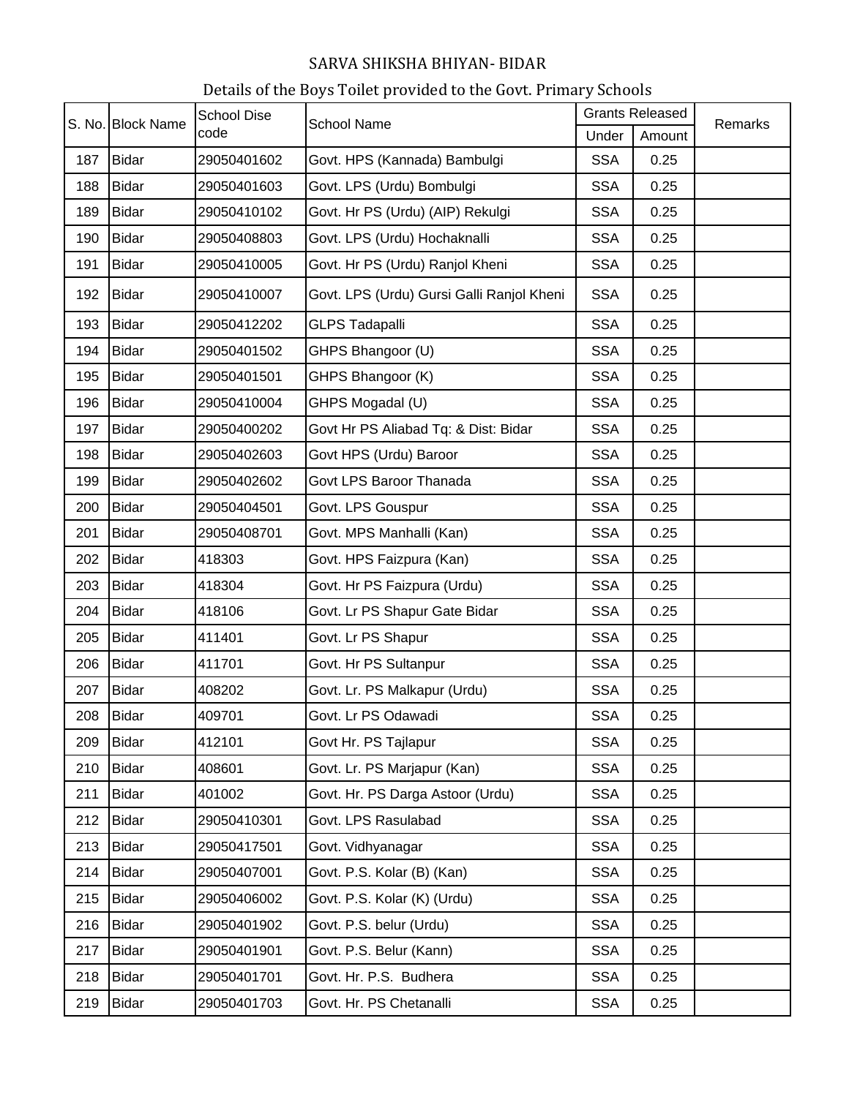| S. No. Block Name |              | <b>School Dise</b> | <b>School Name</b>                        | <b>Grants Released</b> |        | Remarks |
|-------------------|--------------|--------------------|-------------------------------------------|------------------------|--------|---------|
|                   |              | code               |                                           | Under                  | Amount |         |
| 187               | <b>Bidar</b> | 29050401602        | Govt. HPS (Kannada) Bambulgi              | <b>SSA</b>             | 0.25   |         |
| 188               | <b>Bidar</b> | 29050401603        | Govt. LPS (Urdu) Bombulgi                 | <b>SSA</b>             | 0.25   |         |
| 189               | <b>Bidar</b> | 29050410102        | Govt. Hr PS (Urdu) (AIP) Rekulgi          | <b>SSA</b>             | 0.25   |         |
| 190               | <b>Bidar</b> | 29050408803        | Govt. LPS (Urdu) Hochaknalli              | <b>SSA</b>             | 0.25   |         |
| 191               | <b>Bidar</b> | 29050410005        | Govt. Hr PS (Urdu) Ranjol Kheni           | <b>SSA</b>             | 0.25   |         |
| 192               | <b>Bidar</b> | 29050410007        | Govt. LPS (Urdu) Gursi Galli Ranjol Kheni | <b>SSA</b>             | 0.25   |         |
| 193               | <b>Bidar</b> | 29050412202        | <b>GLPS Tadapalli</b>                     | <b>SSA</b>             | 0.25   |         |
| 194               | <b>Bidar</b> | 29050401502        | GHPS Bhangoor (U)                         | <b>SSA</b>             | 0.25   |         |
| 195               | <b>Bidar</b> | 29050401501        | GHPS Bhangoor (K)                         | <b>SSA</b>             | 0.25   |         |
| 196               | <b>Bidar</b> | 29050410004        | GHPS Mogadal (U)                          | <b>SSA</b>             | 0.25   |         |
| 197               | <b>Bidar</b> | 29050400202        | Govt Hr PS Aliabad Tq: & Dist: Bidar      | <b>SSA</b>             | 0.25   |         |
| 198               | <b>Bidar</b> | 29050402603        | Govt HPS (Urdu) Baroor                    | <b>SSA</b>             | 0.25   |         |
| 199               | <b>Bidar</b> | 29050402602        | Govt LPS Baroor Thanada                   | <b>SSA</b>             | 0.25   |         |
| 200               | <b>Bidar</b> | 29050404501        | Govt. LPS Gouspur                         | <b>SSA</b>             | 0.25   |         |
| 201               | <b>Bidar</b> | 29050408701        | Govt. MPS Manhalli (Kan)                  | <b>SSA</b>             | 0.25   |         |
| 202               | <b>Bidar</b> | 418303             | Govt. HPS Faizpura (Kan)                  | <b>SSA</b>             | 0.25   |         |
| 203               | <b>Bidar</b> | 418304             | Govt. Hr PS Faizpura (Urdu)               | <b>SSA</b>             | 0.25   |         |
| 204               | <b>Bidar</b> | 418106             | Govt. Lr PS Shapur Gate Bidar             | <b>SSA</b>             | 0.25   |         |
| 205               | <b>Bidar</b> | 411401             | Govt. Lr PS Shapur                        | <b>SSA</b>             | 0.25   |         |
| 206               | <b>Bidar</b> | 411701             | Govt. Hr PS Sultanpur                     | <b>SSA</b>             | 0.25   |         |
| 207               | <b>Bidar</b> | 408202             | Govt. Lr. PS Malkapur (Urdu)              | <b>SSA</b>             | 0.25   |         |
| 208               | <b>Bidar</b> | 409701             | Govt. Lr PS Odawadi                       | <b>SSA</b>             | 0.25   |         |
| 209               | <b>Bidar</b> | 412101             | Govt Hr. PS Tajlapur                      | <b>SSA</b>             | 0.25   |         |
| 210               | <b>Bidar</b> | 408601             | Govt. Lr. PS Marjapur (Kan)               | <b>SSA</b>             | 0.25   |         |
| 211               | <b>Bidar</b> | 401002             | Govt. Hr. PS Darga Astoor (Urdu)          | <b>SSA</b>             | 0.25   |         |
| 212               | <b>Bidar</b> | 29050410301        | Govt. LPS Rasulabad                       | <b>SSA</b>             | 0.25   |         |
| 213               | <b>Bidar</b> | 29050417501        | Govt. Vidhyanagar                         | <b>SSA</b>             | 0.25   |         |
| 214               | <b>Bidar</b> | 29050407001        | Govt. P.S. Kolar (B) (Kan)                | <b>SSA</b>             | 0.25   |         |
| 215               | <b>Bidar</b> | 29050406002        | Govt. P.S. Kolar (K) (Urdu)               | <b>SSA</b>             | 0.25   |         |
| 216               | <b>Bidar</b> | 29050401902        | Govt. P.S. belur (Urdu)                   | <b>SSA</b>             | 0.25   |         |
| 217               | <b>Bidar</b> | 29050401901        | Govt. P.S. Belur (Kann)                   | <b>SSA</b>             | 0.25   |         |
| 218               | <b>Bidar</b> | 29050401701        | Govt. Hr. P.S. Budhera                    | <b>SSA</b>             | 0.25   |         |
| 219               | <b>Bidar</b> | 29050401703        | Govt. Hr. PS Chetanalli                   | <b>SSA</b>             | 0.25   |         |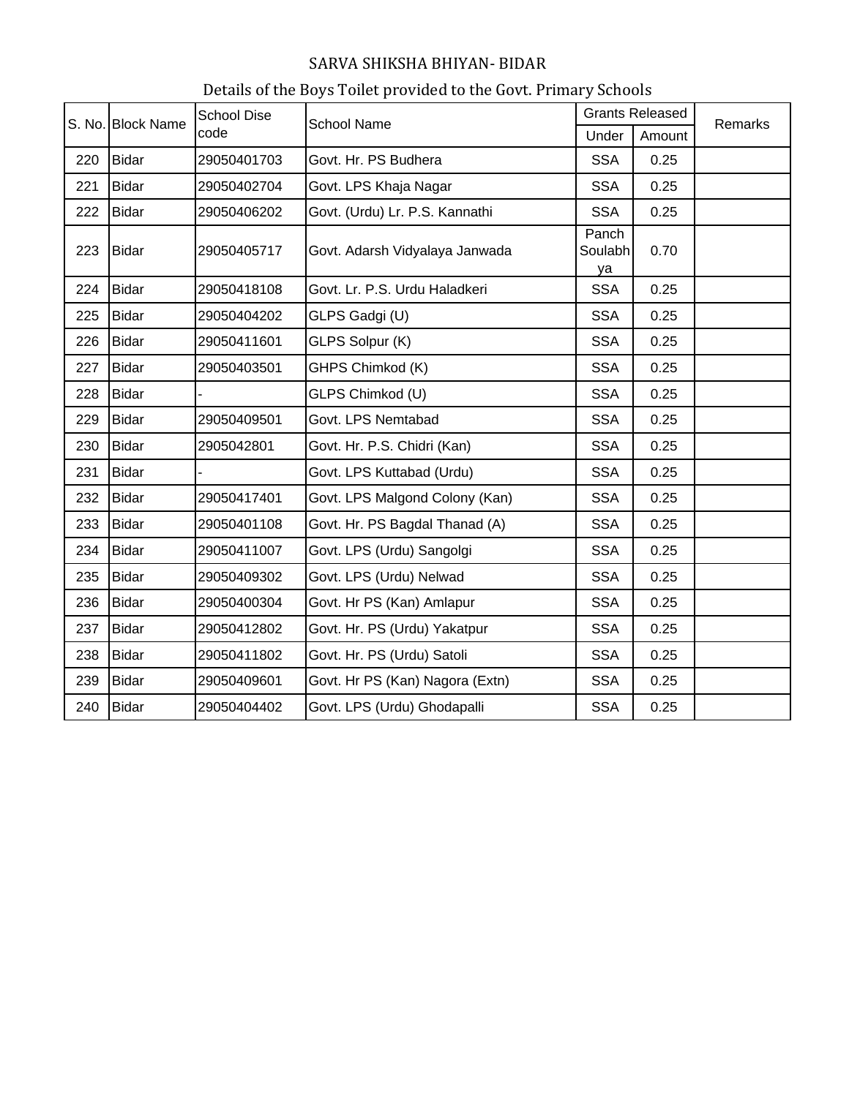| Details of the Boys Toilet provided to the Govt. Primary Schools |  |
|------------------------------------------------------------------|--|
|                                                                  |  |

|     | S. No. Block Name | <b>School Dise</b> | <b>School Name</b>              | <b>Grants Released</b> |        | Remarks |
|-----|-------------------|--------------------|---------------------------------|------------------------|--------|---------|
|     |                   | code               |                                 | Under                  | Amount |         |
| 220 | <b>Bidar</b>      | 29050401703        | Govt. Hr. PS Budhera            | <b>SSA</b>             | 0.25   |         |
| 221 | <b>Bidar</b>      | 29050402704        | Govt. LPS Khaja Nagar           | <b>SSA</b>             | 0.25   |         |
| 222 | <b>Bidar</b>      | 29050406202        | Govt. (Urdu) Lr. P.S. Kannathi  | <b>SSA</b>             | 0.25   |         |
| 223 | <b>Bidar</b>      | 29050405717        | Govt. Adarsh Vidyalaya Janwada  | Panch<br>Soulabh<br>ya | 0.70   |         |
| 224 | <b>Bidar</b>      | 29050418108        | Govt. Lr. P.S. Urdu Haladkeri   | <b>SSA</b>             | 0.25   |         |
| 225 | <b>Bidar</b>      | 29050404202        | GLPS Gadgi (U)                  | <b>SSA</b>             | 0.25   |         |
| 226 | <b>Bidar</b>      | 29050411601        | GLPS Solpur (K)                 | <b>SSA</b>             | 0.25   |         |
| 227 | <b>Bidar</b>      | 29050403501        | GHPS Chimkod (K)                | <b>SSA</b>             | 0.25   |         |
| 228 | <b>Bidar</b>      |                    | GLPS Chimkod (U)                | <b>SSA</b>             | 0.25   |         |
| 229 | <b>Bidar</b>      | 29050409501        | Govt. LPS Nemtabad              | <b>SSA</b>             | 0.25   |         |
| 230 | <b>Bidar</b>      | 2905042801         | Govt. Hr. P.S. Chidri (Kan)     | <b>SSA</b>             | 0.25   |         |
| 231 | <b>Bidar</b>      |                    | Govt. LPS Kuttabad (Urdu)       | <b>SSA</b>             | 0.25   |         |
| 232 | <b>Bidar</b>      | 29050417401        | Govt. LPS Malgond Colony (Kan)  | <b>SSA</b>             | 0.25   |         |
| 233 | <b>Bidar</b>      | 29050401108        | Govt. Hr. PS Bagdal Thanad (A)  | <b>SSA</b>             | 0.25   |         |
| 234 | <b>Bidar</b>      | 29050411007        | Govt. LPS (Urdu) Sangolgi       | <b>SSA</b>             | 0.25   |         |
| 235 | <b>Bidar</b>      | 29050409302        | Govt. LPS (Urdu) Nelwad         | <b>SSA</b>             | 0.25   |         |
| 236 | <b>Bidar</b>      | 29050400304        | Govt. Hr PS (Kan) Amlapur       | <b>SSA</b>             | 0.25   |         |
| 237 | <b>Bidar</b>      | 29050412802        | Govt. Hr. PS (Urdu) Yakatpur    | <b>SSA</b>             | 0.25   |         |
| 238 | <b>Bidar</b>      | 29050411802        | Govt. Hr. PS (Urdu) Satoli      | <b>SSA</b>             | 0.25   |         |
| 239 | <b>Bidar</b>      | 29050409601        | Govt. Hr PS (Kan) Nagora (Extn) | <b>SSA</b>             | 0.25   |         |
| 240 | <b>Bidar</b>      | 29050404402        | Govt. LPS (Urdu) Ghodapalli     | <b>SSA</b>             | 0.25   |         |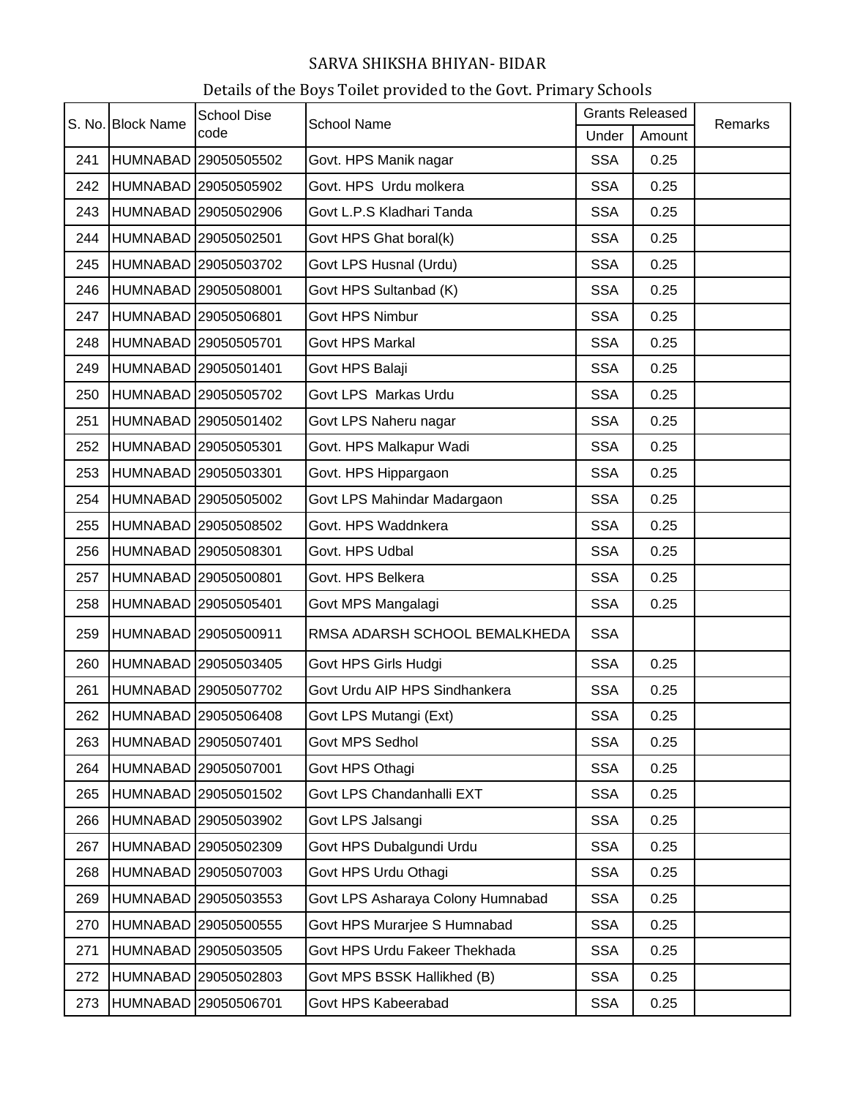| S. No. Block Name |                 | <b>School Dise</b>   | <b>School Name</b>                | <b>Grants Released</b> |        | Remarks |
|-------------------|-----------------|----------------------|-----------------------------------|------------------------|--------|---------|
|                   |                 | code                 |                                   | Under                  | Amount |         |
| 241               |                 | HUMNABAD 29050505502 | Govt. HPS Manik nagar             | <b>SSA</b>             | 0.25   |         |
| 242               |                 | HUMNABAD 29050505902 | Govt. HPS Urdu molkera            | <b>SSA</b>             | 0.25   |         |
| 243               |                 | HUMNABAD 29050502906 | Govt L.P.S Kladhari Tanda         | <b>SSA</b>             | 0.25   |         |
| 244               |                 | HUMNABAD 29050502501 | Govt HPS Ghat boral(k)            | <b>SSA</b>             | 0.25   |         |
| 245               |                 | HUMNABAD 29050503702 | Govt LPS Husnal (Urdu)            | <b>SSA</b>             | 0.25   |         |
| 246               |                 | HUMNABAD 29050508001 | Govt HPS Sultanbad (K)            | <b>SSA</b>             | 0.25   |         |
| 247               |                 | HUMNABAD 29050506801 | Govt HPS Nimbur                   | <b>SSA</b>             | 0.25   |         |
| 248               |                 | HUMNABAD 29050505701 | Govt HPS Markal                   | <b>SSA</b>             | 0.25   |         |
| 249               |                 | HUMNABAD 29050501401 | Govt HPS Balaji                   | <b>SSA</b>             | 0.25   |         |
| 250               |                 | HUMNABAD 29050505702 | Govt LPS Markas Urdu              | <b>SSA</b>             | 0.25   |         |
| 251               |                 | HUMNABAD 29050501402 | Govt LPS Naheru nagar             | <b>SSA</b>             | 0.25   |         |
| 252               |                 | HUMNABAD 29050505301 | Govt. HPS Malkapur Wadi           | <b>SSA</b>             | 0.25   |         |
| 253               |                 | HUMNABAD 29050503301 | Govt. HPS Hippargaon              | <b>SSA</b>             | 0.25   |         |
| 254               |                 | HUMNABAD 29050505002 | Govt LPS Mahindar Madargaon       | <b>SSA</b>             | 0.25   |         |
| 255               |                 | HUMNABAD 29050508502 | Govt. HPS Waddnkera               | <b>SSA</b>             | 0.25   |         |
| 256               |                 | HUMNABAD 29050508301 | Govt. HPS Udbal                   | <b>SSA</b>             | 0.25   |         |
| 257               |                 | HUMNABAD 29050500801 | Govt. HPS Belkera                 | <b>SSA</b>             | 0.25   |         |
| 258               |                 | HUMNABAD 29050505401 | Govt MPS Mangalagi                | <b>SSA</b>             | 0.25   |         |
| 259               |                 | HUMNABAD 29050500911 | RMSA ADARSH SCHOOL BEMALKHEDA     | <b>SSA</b>             |        |         |
| 260               | <b>HUMNABAD</b> | 29050503405          | Govt HPS Girls Hudgi              | <b>SSA</b>             | 0.25   |         |
| 261               |                 | HUMNABAD 29050507702 | Govt Urdu AIP HPS Sindhankera     | <b>SSA</b>             | 0.25   |         |
| 262               |                 | HUMNABAD 29050506408 | Govt LPS Mutangi (Ext)            | <b>SSA</b>             | 0.25   |         |
| 263               |                 | HUMNABAD 29050507401 | Govt MPS Sedhol                   | <b>SSA</b>             | 0.25   |         |
| 264               |                 | HUMNABAD 29050507001 | Govt HPS Othagi                   | <b>SSA</b>             | 0.25   |         |
| 265               | <b>HUMNABAD</b> | 29050501502          | Govt LPS Chandanhalli EXT         | <b>SSA</b>             | 0.25   |         |
| 266               | <b>HUMNABAD</b> | 29050503902          | Govt LPS Jalsangi                 | <b>SSA</b>             | 0.25   |         |
| 267               |                 | HUMNABAD 29050502309 | Govt HPS Dubalgundi Urdu          | <b>SSA</b>             | 0.25   |         |
| 268               | <b>HUMNABAD</b> | 29050507003          | Govt HPS Urdu Othagi              | <b>SSA</b>             | 0.25   |         |
| 269               |                 | HUMNABAD 29050503553 | Govt LPS Asharaya Colony Humnabad | <b>SSA</b>             | 0.25   |         |
| 270               |                 | HUMNABAD 29050500555 | Govt HPS Murarjee S Humnabad      | <b>SSA</b>             | 0.25   |         |
| 271               |                 | HUMNABAD 29050503505 | Govt HPS Urdu Fakeer Thekhada     | <b>SSA</b>             | 0.25   |         |
| 272               | <b>HUMNABAD</b> | 29050502803          | Govt MPS BSSK Hallikhed (B)       | <b>SSA</b>             | 0.25   |         |
| 273               | <b>HUMNABAD</b> | 29050506701          | Govt HPS Kabeerabad               | <b>SSA</b>             | 0.25   |         |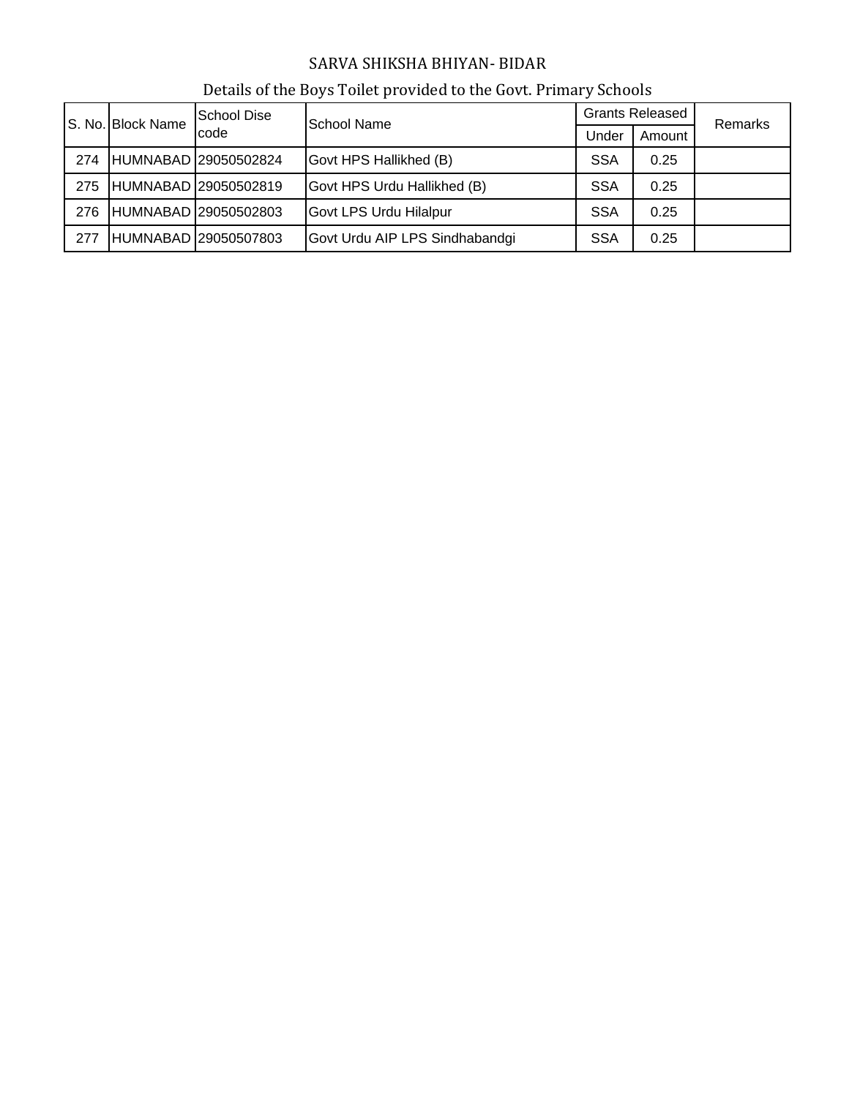| S. No. Block Name |      | <b>School Dise</b>   | School Name                    | <b>Grants Released</b> |      | <b>Remarks</b> |
|-------------------|------|----------------------|--------------------------------|------------------------|------|----------------|
|                   | code |                      | Under                          | Amount                 |      |                |
| 274               |      | HUMNABAD 29050502824 | Govt HPS Hallikhed (B)         | <b>SSA</b>             | 0.25 |                |
| 275               |      | HUMNABAD 29050502819 | Govt HPS Urdu Hallikhed (B)    | <b>SSA</b>             | 0.25 |                |
| 276               |      | HUMNABAD 29050502803 | Govt LPS Urdu Hilalpur         | <b>SSA</b>             | 0.25 |                |
| 277               |      | HUMNABAD 29050507803 | Govt Urdu AIP LPS Sindhabandgi | <b>SSA</b>             | 0.25 |                |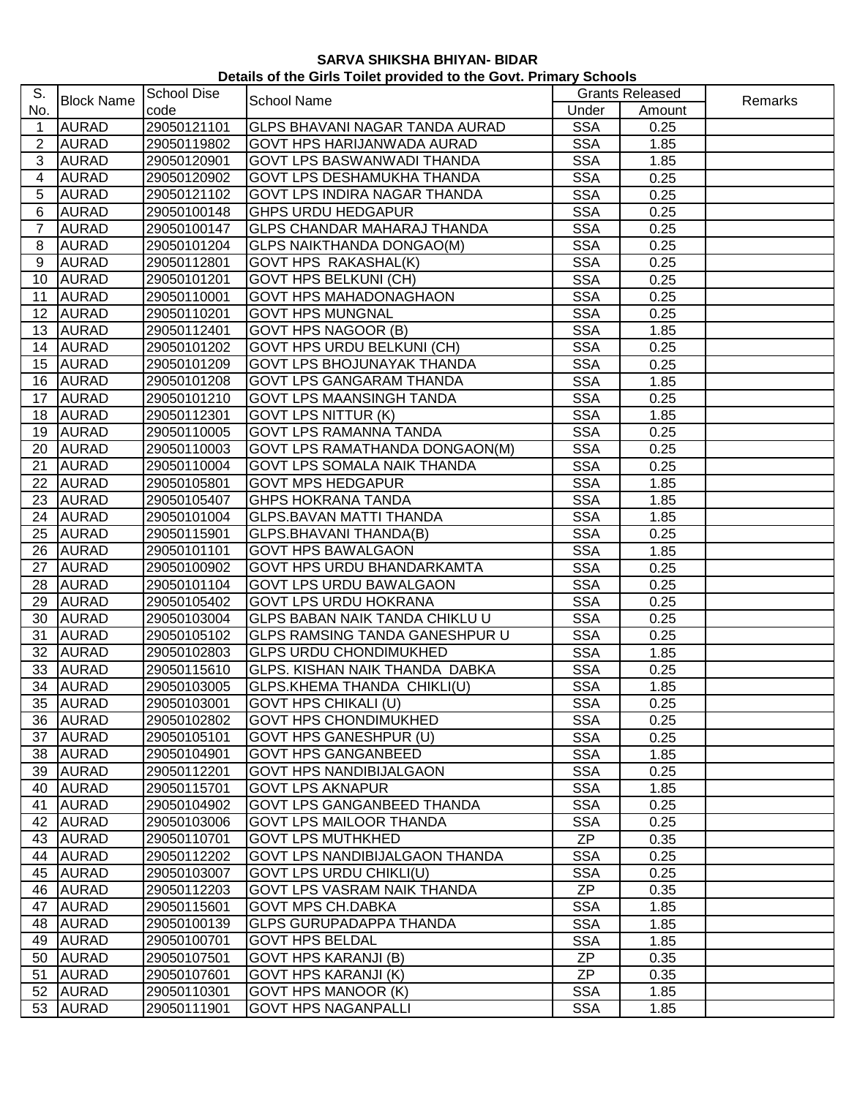| S.              |                   | <b>School Dise</b> |                                       |                 | <b>Grants Released</b> |         |
|-----------------|-------------------|--------------------|---------------------------------------|-----------------|------------------------|---------|
| No.             | <b>Block Name</b> | code               | School Name                           | Under           | Amount                 | Remarks |
| 1               | <b>AURAD</b>      | 29050121101        | <b>GLPS BHAVANI NAGAR TANDA AURAD</b> | <b>SSA</b>      | 0.25                   |         |
| $\overline{2}$  | <b>AURAD</b>      | 29050119802        | <b>GOVT HPS HARIJANWADA AURAD</b>     | <b>SSA</b>      | 1.85                   |         |
| 3               | <b>AURAD</b>      | 29050120901        | <b>GOVT LPS BASWANWADI THANDA</b>     | <b>SSA</b>      | 1.85                   |         |
| 4               | <b>AURAD</b>      | 29050120902        | <b>GOVT LPS DESHAMUKHA THANDA</b>     | <b>SSA</b>      | 0.25                   |         |
| 5               | <b>AURAD</b>      | 29050121102        | <b>GOVT LPS INDIRA NAGAR THANDA</b>   | <b>SSA</b>      | 0.25                   |         |
| 6               | <b>AURAD</b>      | 29050100148        | <b>GHPS URDU HEDGAPUR</b>             | <b>SSA</b>      | 0.25                   |         |
| 7               | <b>AURAD</b>      | 29050100147        | <b>GLPS CHANDAR MAHARAJ THANDA</b>    | <b>SSA</b>      | 0.25                   |         |
| 8               | <b>AURAD</b>      | 29050101204        | <b>GLPS NAIKTHANDA DONGAO(M)</b>      | <b>SSA</b>      | 0.25                   |         |
| 9               | <b>AURAD</b>      | 29050112801        | <b>GOVT HPS RAKASHAL(K)</b>           | <b>SSA</b>      | 0.25                   |         |
| 10 <sup>1</sup> | <b>AURAD</b>      | 29050101201        | <b>GOVT HPS BELKUNI (CH)</b>          | <b>SSA</b>      | 0.25                   |         |
| 11              | <b>AURAD</b>      | 29050110001        | <b>GOVT HPS MAHADONAGHAON</b>         | <b>SSA</b>      | 0.25                   |         |
| 12              | <b>AURAD</b>      | 29050110201        | <b>GOVT HPS MUNGNAL</b>               | <b>SSA</b>      | 0.25                   |         |
| 13              | <b>AURAD</b>      | 29050112401        | <b>GOVT HPS NAGOOR (B)</b>            | <b>SSA</b>      | 1.85                   |         |
| 14              | <b>AURAD</b>      | 29050101202        | <b>GOVT HPS URDU BELKUNI (CH)</b>     | <b>SSA</b>      | 0.25                   |         |
| 15              | <b>AURAD</b>      | 29050101209        | <b>GOVT LPS BHOJUNAYAK THANDA</b>     | <b>SSA</b>      | 0.25                   |         |
| 16              | <b>AURAD</b>      | 29050101208        | <b>GOVT LPS GANGARAM THANDA</b>       | <b>SSA</b>      | 1.85                   |         |
| 17              | <b>AURAD</b>      | 29050101210        | <b>GOVT LPS MAANSINGH TANDA</b>       | <b>SSA</b>      | 0.25                   |         |
| 18              | <b>AURAD</b>      | 29050112301        | <b>GOVT LPS NITTUR (K)</b>            | <b>SSA</b>      | 1.85                   |         |
| 19              | <b>AURAD</b>      | 29050110005        | <b>GOVT LPS RAMANNA TANDA</b>         | <b>SSA</b>      | 0.25                   |         |
| 20              | <b>AURAD</b>      | 29050110003        | <b>GOVT LPS RAMATHANDA DONGAON(M)</b> | <b>SSA</b>      | 0.25                   |         |
| 21              | <b>AURAD</b>      | 29050110004        | <b>GOVT LPS SOMALA NAIK THANDA</b>    | <b>SSA</b>      | 0.25                   |         |
| 22              | <b>AURAD</b>      | 29050105801        | <b>GOVT MPS HEDGAPUR</b>              | <b>SSA</b>      | 1.85                   |         |
| 23              | <b>AURAD</b>      | 29050105407        | <b>GHPS HOKRANA TANDA</b>             | <b>SSA</b>      | 1.85                   |         |
| 24              | <b>AURAD</b>      | 29050101004        | <b>GLPS.BAVAN MATTI THANDA</b>        | <b>SSA</b>      | 1.85                   |         |
| 25              | <b>AURAD</b>      | 29050115901        | <b>GLPS.BHAVANI THANDA(B)</b>         | <b>SSA</b>      | 0.25                   |         |
| 26              | <b>AURAD</b>      | 29050101101        | <b>GOVT HPS BAWALGAON</b>             | <b>SSA</b>      | 1.85                   |         |
| 27              | <b>AURAD</b>      | 29050100902        | GOVT HPS URDU BHANDARKAMTA            | <b>SSA</b>      | 0.25                   |         |
| 28              | <b>AURAD</b>      | 29050101104        | <b>GOVT LPS URDU BAWALGAON</b>        | <b>SSA</b>      | 0.25                   |         |
| 29              | <b>AURAD</b>      | 29050105402        | <b>GOVT LPS URDU HOKRANA</b>          | <b>SSA</b>      | 0.25                   |         |
| 30              | <b>AURAD</b>      | 29050103004        | <b>GLPS BABAN NAIK TANDA CHIKLU U</b> | <b>SSA</b>      | 0.25                   |         |
| 31              | <b>AURAD</b>      | 29050105102        | <b>GLPS RAMSING TANDA GANESHPUR U</b> | <b>SSA</b>      | 0.25                   |         |
| 32              | <b>AURAD</b>      | 29050102803        | <b>GLPS URDU CHONDIMUKHED</b>         | <b>SSA</b>      | 1.85                   |         |
| 33              | <b>AURAD</b>      | 29050115610        | <b>GLPS. KISHAN NAIK THANDA DABKA</b> | <b>SSA</b>      | 0.25                   |         |
| 34              | <b>AURAD</b>      | 29050103005        | <b>GLPS.KHEMA THANDA CHIKLI(U)</b>    | <b>SSA</b>      | 1.85                   |         |
|                 | 35 AURAD          | 29050103001        | GOVT HPS CHIKALI (U)                  | <b>SSA</b>      | 0.25                   |         |
| 36              | <b>AURAD</b>      | 29050102802        | <b>GOVT HPS CHONDIMUKHED</b>          | <b>SSA</b>      | 0.25                   |         |
|                 | 37 AURAD          | 29050105101        | <b>GOVT HPS GANESHPUR (U)</b>         | <b>SSA</b>      | 0.25                   |         |
| 38              | <b>AURAD</b>      | 29050104901        | <b>GOVT HPS GANGANBEED</b>            | <b>SSA</b>      | 1.85                   |         |
| 39              | <b>AURAD</b>      | 29050112201        | <b>GOVT HPS NANDIBIJALGAON</b>        | <b>SSA</b>      | 0.25                   |         |
| 40              | <b>AURAD</b>      | 29050115701        | <b>GOVT LPS AKNAPUR</b>               | <b>SSA</b>      | 1.85                   |         |
| 41              | <b>AURAD</b>      | 29050104902        | <b>GOVT LPS GANGANBEED THANDA</b>     | <b>SSA</b>      | 0.25                   |         |
|                 | 42 AURAD          | 29050103006        | <b>GOVT LPS MAILOOR THANDA</b>        | <b>SSA</b>      | 0.25                   |         |
| 43              | <b>AURAD</b>      | 29050110701        | <b>GOVT LPS MUTHKHED</b>              | <b>ZP</b>       | 0.35                   |         |
|                 | 44 AURAD          | 29050112202        | <b>GOVT LPS NANDIBIJALGAON THANDA</b> | <b>SSA</b>      | 0.25                   |         |
|                 | 45 AURAD          | 29050103007        | <b>GOVT LPS URDU CHIKLI(U)</b>        | <b>SSA</b>      | 0.25                   |         |
| 46              | <b>AURAD</b>      | 29050112203        | <b>GOVT LPS VASRAM NAIK THANDA</b>    | $Z\overline{P}$ | 0.35                   |         |
|                 | 47 AURAD          | 29050115601        | <b>GOVT MPS CH.DABKA</b>              | <b>SSA</b>      | 1.85                   |         |
| 48              | <b>AURAD</b>      | 29050100139        | <b>GLPS GURUPADAPPA THANDA</b>        | <b>SSA</b>      | 1.85                   |         |
| 49              | <b>AURAD</b>      | 29050100701        | <b>GOVT HPS BELDAL</b>                | <b>SSA</b>      | 1.85                   |         |
| 50              | <b>AURAD</b>      | 29050107501        | <b>GOVT HPS KARANJI (B)</b>           | ZP              | 0.35                   |         |
| 51              | <b>AURAD</b>      | 29050107601        | <b>GOVT HPS KARANJI (K)</b>           | <b>ZP</b>       | 0.35                   |         |
| 52              | <b>AURAD</b>      | 29050110301        | <b>GOVT HPS MANOOR (K)</b>            | <b>SSA</b>      | 1.85                   |         |
| 53              | <b>AURAD</b>      | 29050111901        | <b>GOVT HPS NAGANPALLI</b>            | <b>SSA</b>      | 1.85                   |         |
|                 |                   |                    |                                       |                 |                        |         |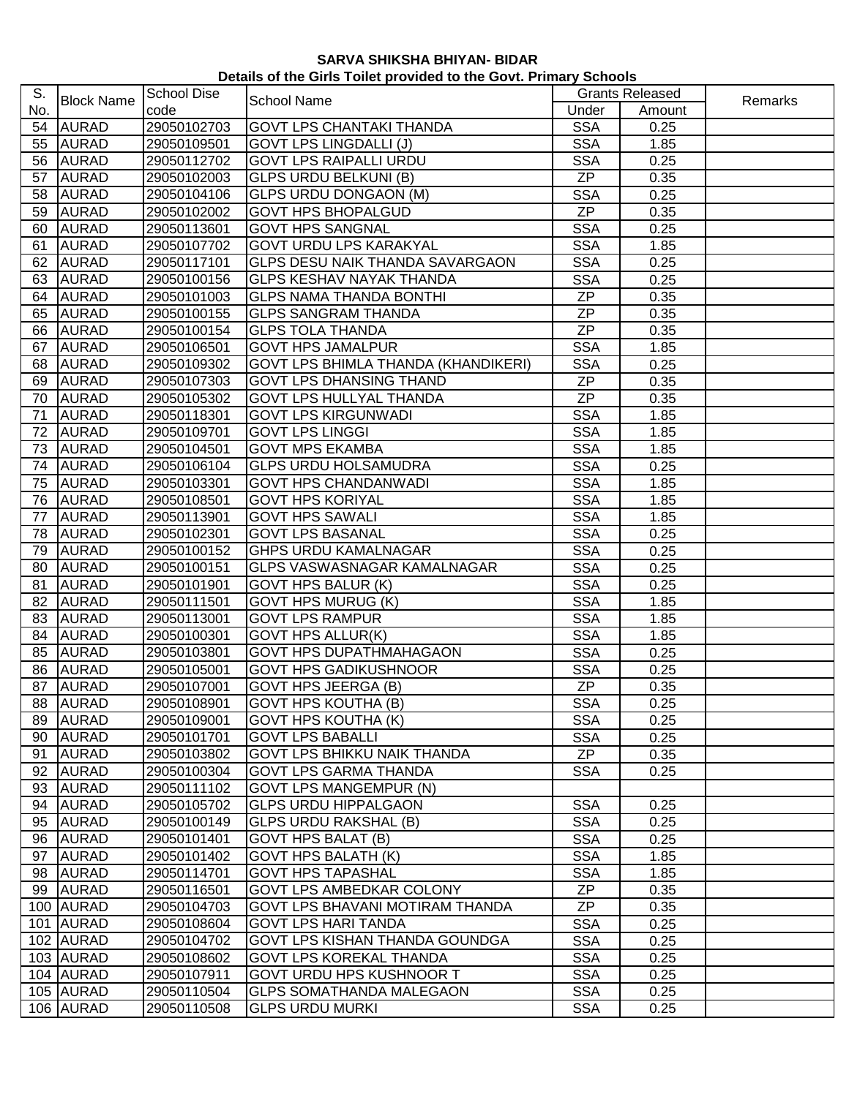| Details of the Girls Toilet provided to the Govt. Primary Schools |  |  |
|-------------------------------------------------------------------|--|--|
|-------------------------------------------------------------------|--|--|

| S.  |                   | <b>School Dise</b> |                                            |            | <b>Grants Released</b> |         |
|-----|-------------------|--------------------|--------------------------------------------|------------|------------------------|---------|
| No. | <b>Block Name</b> | code               | School Name                                | Under      | Amount                 | Remarks |
|     | 54 AURAD          | 29050102703        | <b>GOVT LPS CHANTAKI THANDA</b>            | <b>SSA</b> | 0.25                   |         |
| 55  | <b>AURAD</b>      | 29050109501        | <b>GOVT LPS LINGDALLI (J)</b>              | <b>SSA</b> | 1.85                   |         |
|     | 56 AURAD          | 29050112702        | <b>GOVT LPS RAIPALLI URDU</b>              | <b>SSA</b> | 0.25                   |         |
|     | 57 AURAD          | 29050102003        | <b>GLPS URDU BELKUNI (B)</b>               | <b>ZP</b>  | 0.35                   |         |
| 58  | <b>AURAD</b>      | 29050104106        | <b>GLPS URDU DONGAON (M)</b>               | <b>SSA</b> | 0.25                   |         |
|     | 59 AURAD          | 29050102002        | <b>GOVT HPS BHOPALGUD</b>                  | <b>ZP</b>  | 0.35                   |         |
|     | 60 AURAD          | 29050113601        | <b>GOVT HPS SANGNAL</b>                    | <b>SSA</b> | 0.25                   |         |
| 61  | <b>AURAD</b>      | 29050107702        | <b>GOVT URDU LPS KARAKYAL</b>              | <b>SSA</b> | 1.85                   |         |
|     | 62 AURAD          | 29050117101        | <b>GLPS DESU NAIK THANDA SAVARGAON</b>     | <b>SSA</b> | 0.25                   |         |
|     | 63 AURAD          | 29050100156        | <b>GLPS KESHAV NAYAK THANDA</b>            | <b>SSA</b> | 0.25                   |         |
|     | 64 AURAD          | 29050101003        | <b>GLPS NAMA THANDA BONTHI</b>             | <b>ZP</b>  | 0.35                   |         |
|     | 65 AURAD          | 29050100155        | <b>GLPS SANGRAM THANDA</b>                 | <b>ZP</b>  | 0.35                   |         |
|     | 66 AURAD          | 29050100154        | <b>GLPS TOLA THANDA</b>                    | <b>ZP</b>  | 0.35                   |         |
|     | 67 AURAD          | 29050106501        | <b>GOVT HPS JAMALPUR</b>                   | <b>SSA</b> | 1.85                   |         |
|     | 68 AURAD          | 29050109302        | <b>GOVT LPS BHIMLA THANDA (KHANDIKERI)</b> | <b>SSA</b> | 0.25                   |         |
|     | 69 AURAD          | 29050107303        | <b>GOVT LPS DHANSING THAND</b>             | <b>ZP</b>  | 0.35                   |         |
|     | 70 AURAD          | 29050105302        | <b>GOVT LPS HULLYAL THANDA</b>             | <b>ZP</b>  | 0.35                   |         |
| 71  | <b>AURAD</b>      | 29050118301        | <b>GOVT LPS KIRGUNWADI</b>                 | <b>SSA</b> | 1.85                   |         |
|     | 72 AURAD          | 29050109701        | <b>GOVT LPS LINGGI</b>                     | <b>SSA</b> | 1.85                   |         |
| 73  | <b>AURAD</b>      | 29050104501        | <b>GOVT MPS EKAMBA</b>                     | <b>SSA</b> | 1.85                   |         |
|     | 74 AURAD          | 29050106104        | <b>GLPS URDU HOLSAMUDRA</b>                | <b>SSA</b> | 0.25                   |         |
| 75  | <b>AURAD</b>      | 29050103301        | <b>GOVT HPS CHANDANWADI</b>                | <b>SSA</b> | 1.85                   |         |
| 76  | <b>AURAD</b>      | 29050108501        | <b>GOVT HPS KORIYAL</b>                    | <b>SSA</b> | 1.85                   |         |
| 77  | <b>AURAD</b>      | 29050113901        | <b>GOVT HPS SAWALI</b>                     | <b>SSA</b> | 1.85                   |         |
| 78  | <b>AURAD</b>      | 29050102301        | <b>GOVT LPS BASANAL</b>                    | <b>SSA</b> | 0.25                   |         |
| 79  | <b>AURAD</b>      | 29050100152        | <b>GHPS URDU KAMALNAGAR</b>                | <b>SSA</b> | 0.25                   |         |
| 80  | <b>AURAD</b>      | 29050100151        | GLPS VASWASNAGAR KAMALNAGAR                | <b>SSA</b> | 0.25                   |         |
| 81  | <b>AURAD</b>      | 29050101901        | <b>GOVT HPS BALUR (K)</b>                  | <b>SSA</b> | 0.25                   |         |
| 82  | <b>AURAD</b>      | 29050111501        | <b>GOVT HPS MURUG (K)</b>                  | <b>SSA</b> | 1.85                   |         |
| 83  | <b>AURAD</b>      | 29050113001        | <b>GOVT LPS RAMPUR</b>                     | <b>SSA</b> | 1.85                   |         |
|     | 84 AURAD          | 29050100301        | <b>GOVT HPS ALLUR(K)</b>                   | <b>SSA</b> | 1.85                   |         |
| 85  | <b>AURAD</b>      | 29050103801        | <b>GOVT HPS DUPATHMAHAGAON</b>             | <b>SSA</b> | 0.25                   |         |
| 86  | <b>AURAD</b>      | 29050105001        | <b>GOVT HPS GADIKUSHNOOR</b>               | <b>SSA</b> | 0.25                   |         |
| 87  | <b>AURAD</b>      | 29050107001        | <b>GOVT HPS JEERGA (B)</b>                 | <b>ZP</b>  | 0.35                   |         |
|     | 88 AURAD          | 29050108901        | GOVT HPS KOUTHA (B)                        | <b>SSA</b> | 0.25                   |         |
| 89  | <b>AURAD</b>      | 29050109001        | <b>GOVT HPS KOUTHA (K)</b>                 | <b>SSA</b> | 0.25                   |         |
|     | 90 AURAD          | 29050101701        | <b>GOVT LPS BABALLI</b>                    | <b>SSA</b> | 0.25                   |         |
|     | 91 AURAD          | 29050103802        | <b>GOVT LPS BHIKKU NAIK THANDA</b>         | ZP         | 0.35                   |         |
|     | 92 AURAD          | 29050100304        | <b>GOVT LPS GARMA THANDA</b>               | <b>SSA</b> | 0.25                   |         |
|     | 93 AURAD          | 29050111102        | <b>GOVT LPS MANGEMPUR (N)</b>              |            |                        |         |
|     | 94 AURAD          | 29050105702        | <b>GLPS URDU HIPPALGAON</b>                | <b>SSA</b> | 0.25                   |         |
|     | 95 AURAD          | 29050100149        | <b>GLPS URDU RAKSHAL (B)</b>               | <b>SSA</b> | 0.25                   |         |
|     | 96 AURAD          | 29050101401        | <b>GOVT HPS BALAT (B)</b>                  | <b>SSA</b> | 0.25                   |         |
|     | 97 AURAD          | 29050101402        | <b>GOVT HPS BALATH (K)</b>                 | <b>SSA</b> | 1.85                   |         |
|     | 98 AURAD          | 29050114701        | <b>GOVT HPS TAPASHAL</b>                   | <b>SSA</b> | 1.85                   |         |
|     | 99 AURAD          | 29050116501        | <b>GOVT LPS AMBEDKAR COLONY</b>            | <b>ZP</b>  | 0.35                   |         |
|     | 100 AURAD         | 29050104703        | <b>GOVT LPS BHAVANI MOTIRAM THANDA</b>     | ZP         | 0.35                   |         |
|     | 101 AURAD         | 29050108604        | <b>GOVT LPS HARI TANDA</b>                 | <b>SSA</b> | 0.25                   |         |
|     | 102 AURAD         | 29050104702        | GOVT LPS KISHAN THANDA GOUNDGA             | <b>SSA</b> | 0.25                   |         |
|     | 103 AURAD         | 29050108602        | <b>GOVT LPS KOREKAL THANDA</b>             | <b>SSA</b> | 0.25                   |         |
|     | 104 AURAD         | 29050107911        | <b>GOVT URDU HPS KUSHNOOR T</b>            | <b>SSA</b> | 0.25                   |         |
|     | 105 AURAD         | 29050110504        | <b>GLPS SOMATHANDA MALEGAON</b>            | <b>SSA</b> | 0.25                   |         |
|     | 106 AURAD         | 29050110508        | <b>GLPS URDU MURKI</b>                     | <b>SSA</b> | 0.25                   |         |
|     |                   |                    |                                            |            |                        |         |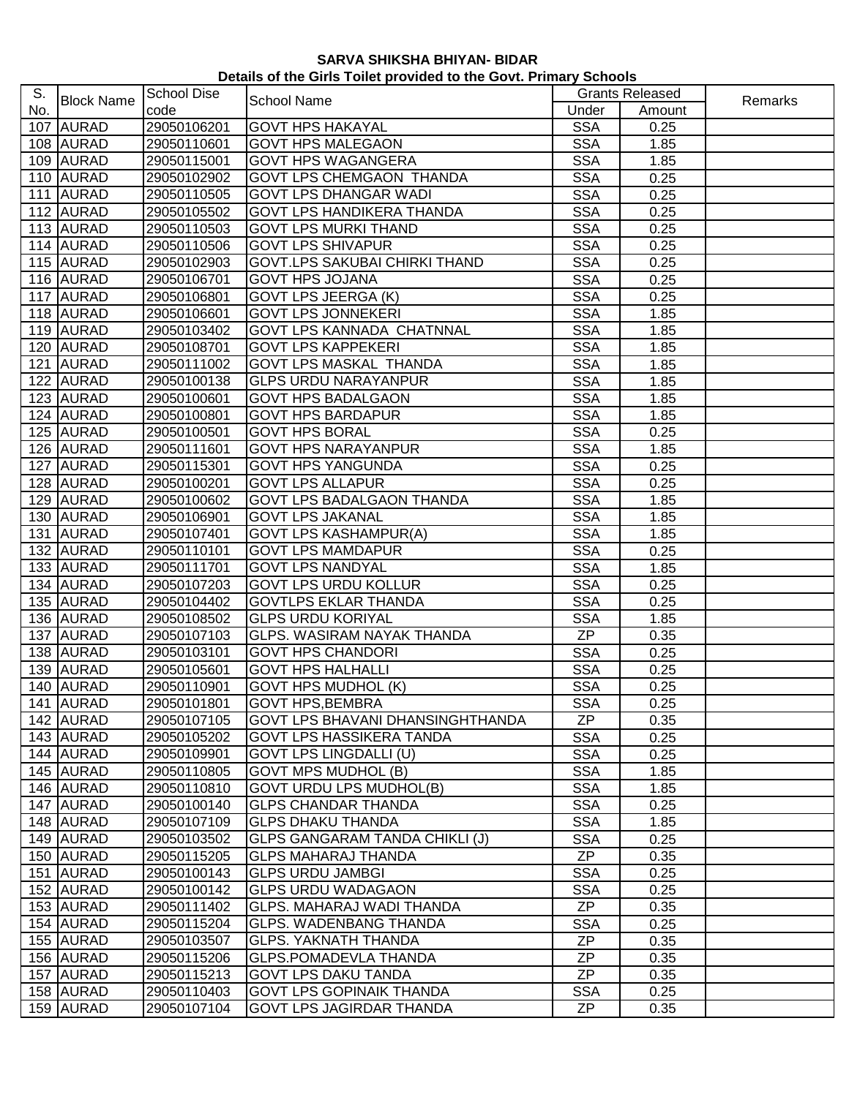| S.  |                   | <b>School Dise</b> |                                         |            | <b>Grants Released</b> |         |
|-----|-------------------|--------------------|-----------------------------------------|------------|------------------------|---------|
| No. | <b>Block Name</b> | code               | <b>School Name</b>                      | Under      | Amount                 | Remarks |
|     | 107 AURAD         | 29050106201        | <b>GOVT HPS HAKAYAL</b>                 | <b>SSA</b> | 0.25                   |         |
|     | 108 AURAD         | 29050110601        | <b>GOVT HPS MALEGAON</b>                | <b>SSA</b> | 1.85                   |         |
|     | 109 AURAD         | 29050115001        | <b>GOVT HPS WAGANGERA</b>               | <b>SSA</b> | 1.85                   |         |
|     | 110 AURAD         | 29050102902        | <b>GOVT LPS CHEMGAON THANDA</b>         | <b>SSA</b> | 0.25                   |         |
|     | 111 AURAD         | 29050110505        | <b>GOVT LPS DHANGAR WADI</b>            | <b>SSA</b> | 0.25                   |         |
|     | 112 AURAD         | 29050105502        | <b>GOVT LPS HANDIKERA THANDA</b>        | <b>SSA</b> | 0.25                   |         |
|     | 113 AURAD         | 29050110503        | <b>GOVT LPS MURKI THAND</b>             | <b>SSA</b> | 0.25                   |         |
|     | 114 AURAD         | 29050110506        | <b>GOVT LPS SHIVAPUR</b>                | <b>SSA</b> | 0.25                   |         |
|     | 115 AURAD         | 29050102903        | <b>GOVT.LPS SAKUBAI CHIRKI THAND</b>    | <b>SSA</b> | 0.25                   |         |
|     | 116 AURAD         | 29050106701        | <b>GOVT HPS JOJANA</b>                  | <b>SSA</b> | 0.25                   |         |
|     | 117 AURAD         | 29050106801        | <b>GOVT LPS JEERGA (K)</b>              | <b>SSA</b> | 0.25                   |         |
|     | 118 AURAD         | 29050106601        | <b>GOVT LPS JONNEKERI</b>               | <b>SSA</b> | 1.85                   |         |
|     | 119 AURAD         | 29050103402        | <b>GOVT LPS KANNADA CHATNNAL</b>        | <b>SSA</b> | 1.85                   |         |
|     | 120 AURAD         | 29050108701        | <b>GOVT LPS KAPPEKERI</b>               | <b>SSA</b> | 1.85                   |         |
|     | 121 AURAD         | 29050111002        | <b>GOVT LPS MASKAL THANDA</b>           | <b>SSA</b> | 1.85                   |         |
|     | 122 AURAD         | 29050100138        | <b>GLPS URDU NARAYANPUR</b>             | <b>SSA</b> | 1.85                   |         |
|     | 123 AURAD         | 29050100601        | <b>GOVT HPS BADALGAON</b>               | <b>SSA</b> | 1.85                   |         |
|     |                   |                    |                                         |            |                        |         |
|     | 124 AURAD         | 29050100801        | <b>GOVT HPS BARDAPUR</b>                | <b>SSA</b> | 1.85                   |         |
|     | 125 AURAD         | 29050100501        | <b>GOVT HPS BORAL</b>                   | <b>SSA</b> | 0.25                   |         |
|     | 126 AURAD         | 29050111601        | <b>GOVT HPS NARAYANPUR</b>              | <b>SSA</b> | 1.85                   |         |
|     | 127 AURAD         | 29050115301        | <b>GOVT HPS YANGUNDA</b>                | <b>SSA</b> | 0.25                   |         |
|     | 128 AURAD         | 29050100201        | <b>GOVT LPS ALLAPUR</b>                 | <b>SSA</b> | 0.25                   |         |
|     | 129 AURAD         | 29050100602        | <b>GOVT LPS BADALGAON THANDA</b>        | <b>SSA</b> | 1.85                   |         |
|     | 130 AURAD         | 29050106901        | <b>GOVT LPS JAKANAL</b>                 | <b>SSA</b> | 1.85                   |         |
|     | 131 AURAD         | 29050107401        | <b>GOVT LPS KASHAMPUR(A)</b>            | <b>SSA</b> | 1.85                   |         |
|     | 132 AURAD         | 29050110101        | <b>GOVT LPS MAMDAPUR</b>                | <b>SSA</b> | 0.25                   |         |
|     | 133 AURAD         | 29050111701        | <b>GOVT LPS NANDYAL</b>                 | <b>SSA</b> | 1.85                   |         |
|     | 134 AURAD         | 29050107203        | <b>GOVT LPS URDU KOLLUR</b>             | <b>SSA</b> | 0.25                   |         |
|     | 135 AURAD         | 29050104402        | <b>GOVTLPS EKLAR THANDA</b>             | <b>SSA</b> | 0.25                   |         |
|     | 136 AURAD         | 29050108502        | <b>GLPS URDU KORIYAL</b>                | <b>SSA</b> | 1.85                   |         |
|     | 137 AURAD         | 29050107103        | <b>GLPS. WASIRAM NAYAK THANDA</b>       | <b>ZP</b>  | 0.35                   |         |
|     | 138 AURAD         | 29050103101        | <b>GOVT HPS CHANDORI</b>                | <b>SSA</b> | 0.25                   |         |
|     | 139 AURAD         | 29050105601        | <b>GOVT HPS HALHALLI</b>                | <b>SSA</b> | 0.25                   |         |
|     | 140 AURAD         | 29050110901        | <b>GOVT HPS MUDHOL (K)</b>              | <b>SSA</b> | 0.25                   |         |
|     | 141 AURAD         | 29050101801        | <b>GOVT HPS, BEMBRA</b>                 | <b>SSA</b> | 0.25                   |         |
|     | 142 AURAD         | 29050107105        | <b>GOVT LPS BHAVANI DHANSINGHTHANDA</b> | ZP         | 0.35                   |         |
|     | 143 AURAD         | 29050105202        | <b>GOVT LPS HASSIKERA TANDA</b>         | <b>SSA</b> | 0.25                   |         |
|     | 144 AURAD         | 29050109901        | <b>GOVT LPS LINGDALLI (U)</b>           | <b>SSA</b> | 0.25                   |         |
|     | 145 AURAD         | 29050110805        | <b>GOVT MPS MUDHOL (B)</b>              | <b>SSA</b> | 1.85                   |         |
|     | 146 AURAD         | 29050110810        | <b>GOVT URDU LPS MUDHOL(B)</b>          | <b>SSA</b> | 1.85                   |         |
|     | 147 AURAD         | 29050100140        | <b>GLPS CHANDAR THANDA</b>              | <b>SSA</b> | 0.25                   |         |
|     | 148 AURAD         | 29050107109        | <b>GLPS DHAKU THANDA</b>                | <b>SSA</b> | 1.85                   |         |
|     | 149 AURAD         | 29050103502        | <b>GLPS GANGARAM TANDA CHIKLI (J)</b>   | <b>SSA</b> | 0.25                   |         |
|     | 150 AURAD         | 29050115205        | <b>GLPS MAHARAJ THANDA</b>              | <b>ZP</b>  | 0.35                   |         |
|     | 151 AURAD         | 29050100143        | <b>GLPS URDU JAMBGI</b>                 | <b>SSA</b> | 0.25                   |         |
|     | 152 AURAD         | 29050100142        | <b>GLPS URDU WADAGAON</b>               | <b>SSA</b> | 0.25                   |         |
|     | 153 AURAD         | 29050111402        | GLPS. MAHARAJ WADI THANDA               | ZP         | 0.35                   |         |
|     | 154 AURAD         | 29050115204        | <b>GLPS. WADENBANG THANDA</b>           | <b>SSA</b> | 0.25                   |         |
|     | 155 AURAD         | 29050103507        | <b>GLPS. YAKNATH THANDA</b>             | ZP         | 0.35                   |         |
|     | 156 AURAD         | 29050115206        | <b>GLPS.POMADEVLA THANDA</b>            | ZP         | 0.35                   |         |
|     | 157 AURAD         | 29050115213        | <b>GOVT LPS DAKU TANDA</b>              | <b>ZP</b>  | 0.35                   |         |
|     | 158 AURAD         | 29050110403        | <b>GOVT LPS GOPINAIK THANDA</b>         | <b>SSA</b> | 0.25                   |         |
|     | 159 AURAD         | 29050107104        | <b>GOVT LPS JAGIRDAR THANDA</b>         | ZP         | 0.35                   |         |
|     |                   |                    |                                         |            |                        |         |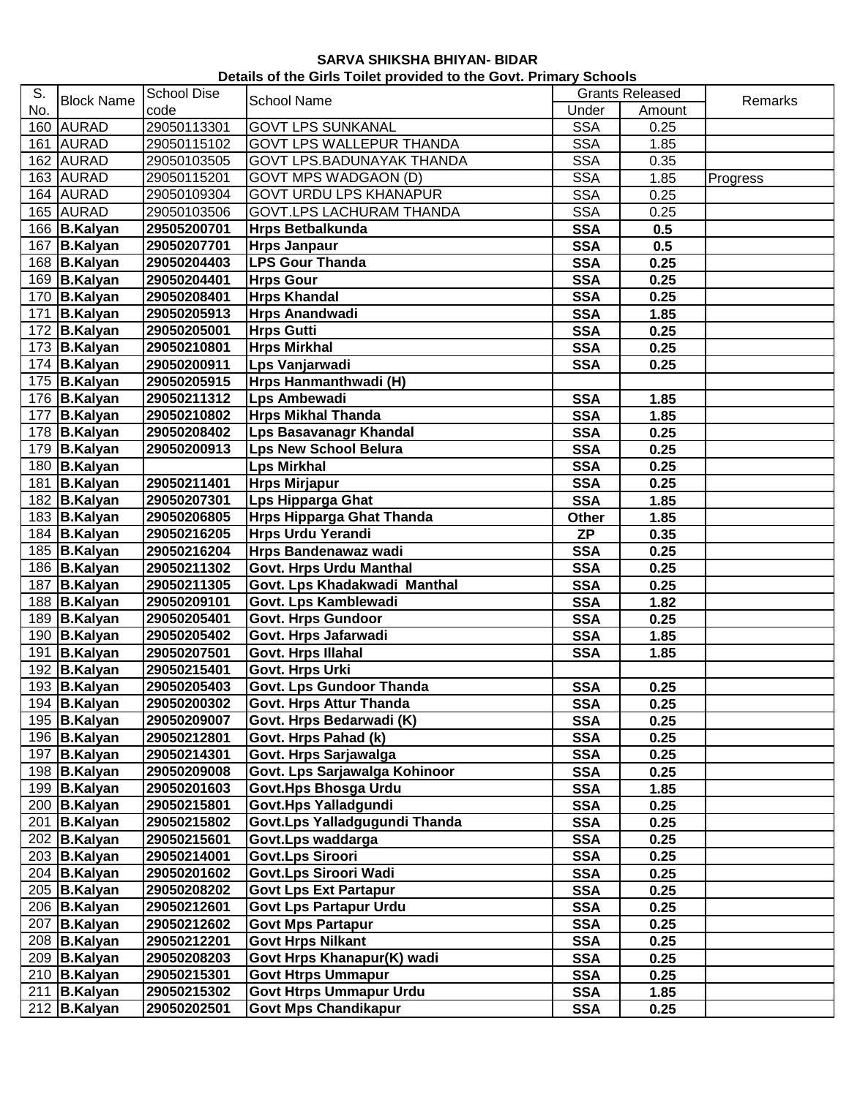| Details of the Girls Toilet provided to the Govt. Primary Schools |  |  |
|-------------------------------------------------------------------|--|--|
|-------------------------------------------------------------------|--|--|

| S.  | <b>Block Name</b>            | <b>School Dise</b> |                                  |            | <b>Grants Released</b> |          |
|-----|------------------------------|--------------------|----------------------------------|------------|------------------------|----------|
| No. |                              | code               | School Name                      | Under      | Amount                 | Remarks  |
|     | 160 AURAD                    | 29050113301        | <b>GOVT LPS SUNKANAL</b>         | <b>SSA</b> | 0.25                   |          |
|     | 161 AURAD                    | 29050115102        | <b>GOVT LPS WALLEPUR THANDA</b>  | <b>SSA</b> | 1.85                   |          |
|     | 162 AURAD                    | 29050103505        | <b>GOVT LPS.BADUNAYAK THANDA</b> | <b>SSA</b> | 0.35                   |          |
|     | 163 AURAD                    | 29050115201        | <b>GOVT MPS WADGAON (D)</b>      | <b>SSA</b> | 1.85                   | Progress |
|     | 164 AURAD                    | 29050109304        | <b>GOVT URDU LPS KHANAPUR</b>    | <b>SSA</b> | 0.25                   |          |
|     | 165 AURAD                    | 29050103506        | <b>GOVT.LPS LACHURAM THANDA</b>  | <b>SSA</b> | 0.25                   |          |
|     | 166 B.Kalyan                 | 29505200701        | <b>Hrps Betbalkunda</b>          | <b>SSA</b> | 0.5                    |          |
|     | 167 B.Kalyan                 | 29050207701        | <b>Hrps Janpaur</b>              | <b>SSA</b> | 0.5                    |          |
|     | 168 B.Kalyan                 | 29050204403        | <b>LPS Gour Thanda</b>           | <b>SSA</b> | 0.25                   |          |
|     | 169 B.Kalyan                 | 29050204401        | <b>Hrps Gour</b>                 | <b>SSA</b> | 0.25                   |          |
|     | 170 B.Kalyan                 | 29050208401        | <b>Hrps Khandal</b>              | <b>SSA</b> | 0.25                   |          |
|     | 171 B.Kalyan                 | 29050205913        | <b>Hrps Anandwadi</b>            | <b>SSA</b> | 1.85                   |          |
|     | 172 B.Kalyan                 | 29050205001        | <b>Hrps Gutti</b>                | <b>SSA</b> | 0.25                   |          |
|     | 173 B.Kalyan                 | 29050210801        | <b>Hrps Mirkhal</b>              | <b>SSA</b> | 0.25                   |          |
|     | $\overline{17}$ 4   B.Kalyan | 29050200911        | Lps Vanjarwadi                   | <b>SSA</b> | 0.25                   |          |
|     | 175 B.Kalyan                 | 29050205915        | Hrps Hanmanthwadi (H)            |            |                        |          |
|     | 176 B.Kalyan                 | 29050211312        | <b>Lps Ambewadi</b>              | <b>SSA</b> | 1.85                   |          |
|     | 177 B.Kalyan                 | 29050210802        | <b>Hrps Mikhal Thanda</b>        | <b>SSA</b> | 1.85                   |          |
|     | 178 B.Kalyan                 | 29050208402        | <b>Lps Basavanagr Khandal</b>    | <b>SSA</b> | 0.25                   |          |
|     | 179 B.Kalyan                 | 29050200913        | <b>Lps New School Belura</b>     | <b>SSA</b> | 0.25                   |          |
|     | 180 B.Kalyan                 |                    | <b>Lps Mirkhal</b>               | <b>SSA</b> | 0.25                   |          |
|     | 181 B.Kalyan                 | 29050211401        | <b>Hrps Mirjapur</b>             | <b>SSA</b> | 0.25                   |          |
|     | 182 B.Kalyan                 | 29050207301        | Lps Hipparga Ghat                | <b>SSA</b> | 1.85                   |          |
|     | 183 B.Kalyan                 | 29050206805        | <b>Hrps Hipparga Ghat Thanda</b> | Other      | 1.85                   |          |
|     | 184 B.Kalyan                 | 29050216205        | <b>Hrps Urdu Yerandi</b>         | <b>ZP</b>  | 0.35                   |          |
|     | 185 B.Kalyan                 | 29050216204        | Hrps Bandenawaz wadi             | <b>SSA</b> | 0.25                   |          |
|     | 186 B.Kalyan                 | 29050211302        | Govt. Hrps Urdu Manthal          | <b>SSA</b> | 0.25                   |          |
|     | 187 B.Kalyan                 | 29050211305        | Govt. Lps Khadakwadi Manthal     | <b>SSA</b> | 0.25                   |          |
|     | 188 B.Kalyan                 | 29050209101        | Govt. Lps Kamblewadi             | <b>SSA</b> | 1.82                   |          |
|     | 189 B.Kalyan                 | 29050205401        | <b>Govt. Hrps Gundoor</b>        | <b>SSA</b> | 0.25                   |          |
|     | 190 B.Kalyan                 | 29050205402        | Govt. Hrps Jafarwadi             | <b>SSA</b> | 1.85                   |          |
|     | 191 B.Kalyan                 | 29050207501        | Govt. Hrps Illahal               | <b>SSA</b> | 1.85                   |          |
|     | 192 B.Kalyan                 | 29050215401        | Govt. Hrps Urki                  |            |                        |          |
|     | $193$ B. Kalyan              | 29050205403        | Govt. Lps Gundoor Thanda         | <b>SSA</b> | 0.25                   |          |
|     | 194 B.Kalyan                 | 29050200302        | <b>Govt. Hrps Attur Thanda</b>   | <b>SSA</b> | 0.25                   |          |
|     | 195 B.Kalyan                 | 29050209007        | Govt. Hrps Bedarwadi (K)         | <b>SSA</b> | 0.25                   |          |
|     | 196 B.Kalyan                 | 29050212801        | Govt. Hrps Pahad (k)             | <b>SSA</b> | 0.25                   |          |
|     | 197 B.Kalyan                 | 29050214301        | Govt. Hrps Sarjawalga            | <b>SSA</b> | 0.25                   |          |
|     | 198 B.Kalyan                 | 29050209008        | Govt. Lps Sarjawalga Kohinoor    | <b>SSA</b> | 0.25                   |          |
|     | 199 B.Kalyan                 | 29050201603        | Govt.Hps Bhosga Urdu             | <b>SSA</b> | 1.85                   |          |
|     | 200 B.Kalyan                 | 29050215801        | Govt.Hps Yalladgundi             | <b>SSA</b> | 0.25                   |          |
|     | 201 B.Kalyan                 | 29050215802        | Govt.Lps Yalladgugundi Thanda    | <b>SSA</b> | 0.25                   |          |
|     | 202 B.Kalyan                 | 29050215601        | Govt.Lps waddarga                | <b>SSA</b> | 0.25                   |          |
|     | 203 $B.Kalyan$               | 29050214001        | <b>Govt.Lps Siroori</b>          | <b>SSA</b> | 0.25                   |          |
|     | 204 B.Kalyan                 | 29050201602        | Govt.Lps Siroori Wadi            | <b>SSA</b> | 0.25                   |          |
|     | 205 B.Kalyan                 | 29050208202        | <b>Govt Lps Ext Partapur</b>     | <b>SSA</b> | 0.25                   |          |
|     | 206 B.Kalyan                 | 29050212601        | <b>Govt Lps Partapur Urdu</b>    | <b>SSA</b> | 0.25                   |          |
|     | 207 B.Kalyan                 | 29050212602        | <b>Govt Mps Partapur</b>         | <b>SSA</b> | 0.25                   |          |
|     | 208 B.Kalyan                 | 29050212201        | <b>Govt Hrps Nilkant</b>         | <b>SSA</b> | 0.25                   |          |
|     | 209 B.Kalyan                 | 29050208203        | Govt Hrps Khanapur(K) wadi       | <b>SSA</b> | 0.25                   |          |
|     | 210 B.Kalyan                 | 29050215301        | <b>Govt Htrps Ummapur</b>        | <b>SSA</b> | 0.25                   |          |
|     | 211 B.Kalyan                 | 29050215302        | <b>Govt Htrps Ummapur Urdu</b>   | <b>SSA</b> | 1.85                   |          |
|     | 212 B.Kalyan                 | 29050202501        | <b>Govt Mps Chandikapur</b>      | <b>SSA</b> | 0.25                   |          |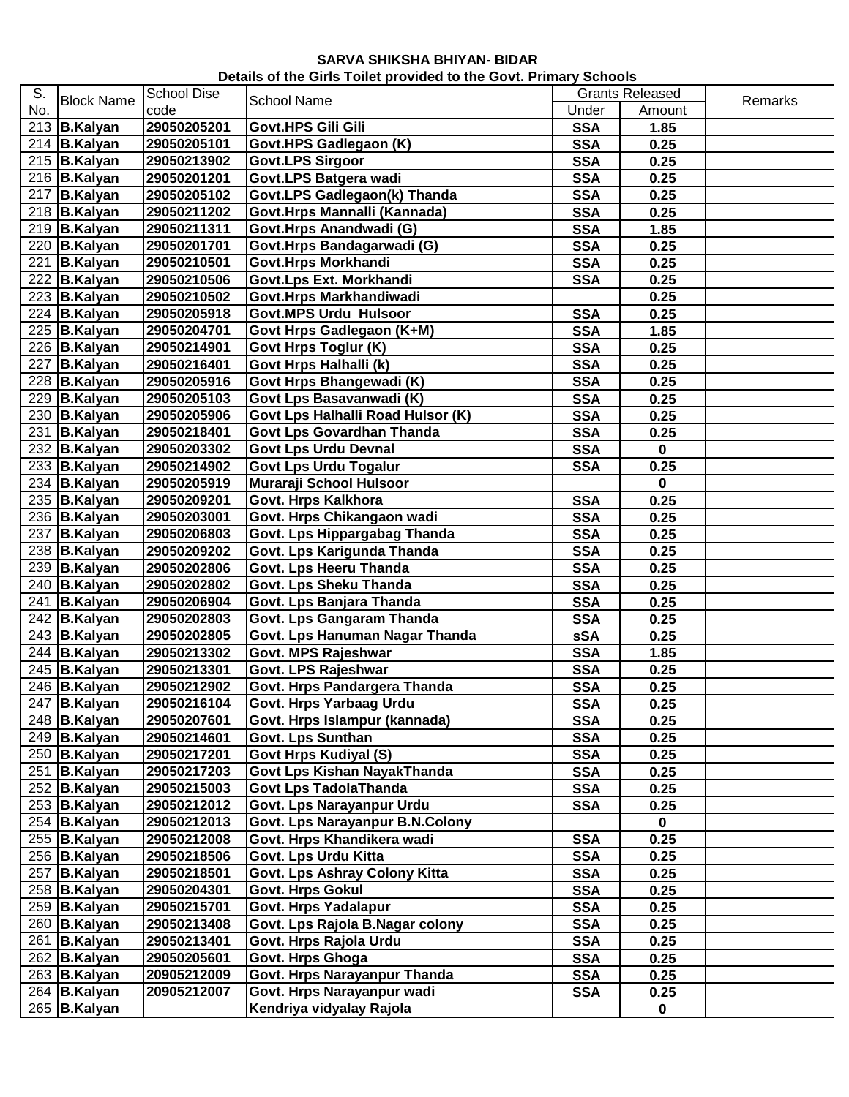| Details of the Girls Toilet provided to the Govt. Primary Schools |  |
|-------------------------------------------------------------------|--|
|-------------------------------------------------------------------|--|

| S.  |                           | School Dise |                                   |            | <b>Grants Released</b> |         |
|-----|---------------------------|-------------|-----------------------------------|------------|------------------------|---------|
| No. | <b>Block Name</b>         | code        | <b>School Name</b>                | Under      | Amount                 | Remarks |
|     | 213 $B.Kalyan$            | 29050205201 | Govt.HPS Gili Gili                | <b>SSA</b> | 1.85                   |         |
|     | 214 B.Kalyan              | 29050205101 | Govt.HPS Gadlegaon (K)            | <b>SSA</b> | 0.25                   |         |
|     | 215 $B.Kalyan$            | 29050213902 | <b>Govt.LPS Sirgoor</b>           | <b>SSA</b> | 0.25                   |         |
|     | $\overline{216}$ B.Kalyan | 29050201201 | Govt.LPS Batgera wadi             | <b>SSA</b> | 0.25                   |         |
|     | 217 B.Kalyan              | 29050205102 | Govt.LPS Gadlegaon(k) Thanda      | <b>SSA</b> | 0.25                   |         |
|     | $218$ B.Kalyan            | 29050211202 | Govt.Hrps Mannalli (Kannada)      | <b>SSA</b> | 0.25                   |         |
|     | 219 $B.Kalyan$            | 29050211311 | Govt.Hrps Anandwadi (G)           | <b>SSA</b> | 1.85                   |         |
|     | $220$ B. Kalyan           | 29050201701 | Govt.Hrps Bandagarwadi (G)        | <b>SSA</b> | 0.25                   |         |
|     | $221$ B. Kalyan           | 29050210501 | Govt.Hrps Morkhandi               | <b>SSA</b> | 0.25                   |         |
|     | 222 B.Kalyan              | 29050210506 | Govt.Lps Ext. Morkhandi           | <b>SSA</b> | 0.25                   |         |
|     | 223 B.Kalyan              | 29050210502 | Govt.Hrps Markhandiwadi           |            | 0.25                   |         |
|     | 224 B.Kalyan              | 29050205918 | <b>Govt.MPS Urdu Hulsoor</b>      | <b>SSA</b> | 0.25                   |         |
|     | 225 B.Kalyan              | 29050204701 | Govt Hrps Gadlegaon (K+M)         | <b>SSA</b> | 1.85                   |         |
|     | 226 B.Kalyan              | 29050214901 | Govt Hrps Toglur (K)              | <b>SSA</b> | 0.25                   |         |
|     | 227 B.Kalyan              | 29050216401 | Govt Hrps Halhalli (k)            | <b>SSA</b> | 0.25                   |         |
|     | 228 B.Kalyan              | 29050205916 | Govt Hrps Bhangewadi (K)          | <b>SSA</b> | 0.25                   |         |
|     | 229 B.Kalyan              | 29050205103 | Govt Lps Basavanwadi (K)          | <b>SSA</b> | 0.25                   |         |
|     | 230 B.Kalyan              | 29050205906 | Govt Lps Halhalli Road Hulsor (K) | <b>SSA</b> | 0.25                   |         |
|     | 231 B.Kalyan              | 29050218401 | Govt Lps Govardhan Thanda         | <b>SSA</b> | 0.25                   |         |
|     | 232 B.Kalyan              | 29050203302 | <b>Govt Lps Urdu Devnal</b>       | <b>SSA</b> | $\pmb{0}$              |         |
|     | 233 $B.Kalyan$            | 29050214902 | <b>Govt Lps Urdu Togalur</b>      | <b>SSA</b> | 0.25                   |         |
|     | 234 B.Kalyan              | 29050205919 | Muraraji School Hulsoor           |            | $\mathbf 0$            |         |
|     | 235 $B.Kalyan$            | 29050209201 | Govt. Hrps Kalkhora               | <b>SSA</b> | 0.25                   |         |
|     | 236 B.Kalyan              | 29050203001 | Govt. Hrps Chikangaon wadi        | <b>SSA</b> | 0.25                   |         |
|     | 237 B.Kalyan              | 29050206803 | Govt. Lps Hippargabag Thanda      | <b>SSA</b> | 0.25                   |         |
|     | 238 B.Kalyan              | 29050209202 | Govt. Lps Karigunda Thanda        | <b>SSA</b> | 0.25                   |         |
|     | 239 B.Kalyan              | 29050202806 | Govt. Lps Heeru Thanda            | <b>SSA</b> | 0.25                   |         |
|     | 240 B.Kalyan              | 29050202802 | Govt. Lps Sheku Thanda            | <b>SSA</b> | 0.25                   |         |
|     | $\overline{241}$ B.Kalyan | 29050206904 | Govt. Lps Banjara Thanda          | <b>SSA</b> | 0.25                   |         |
|     | 242 B.Kalyan              | 29050202803 | Govt. Lps Gangaram Thanda         | <b>SSA</b> | 0.25                   |         |
|     | 243 B.Kalyan              | 29050202805 | Govt. Lps Hanuman Nagar Thanda    | <b>sSA</b> | 0.25                   |         |
|     | 244 B.Kalyan              | 29050213302 | Govt. MPS Rajeshwar               | <b>SSA</b> | 1.85                   |         |
|     | 245 B.Kalyan              | 29050213301 | Govt. LPS Rajeshwar               | <b>SSA</b> | 0.25                   |         |
|     | 246 B.Kalyan              | 29050212902 | Govt. Hrps Pandargera Thanda      | <b>SSA</b> | 0.25                   |         |
|     | 247 B.Kalyan              | 29050216104 | Govt. Hrps Yarbaag Urdu           | <b>SSA</b> | 0.25                   |         |
|     | 248 B.Kalyan              | 29050207601 | Govt. Hrps Islampur (kannada)     | <b>SSA</b> | 0.25                   |         |
|     | 249 B.Kalyan              | 29050214601 | Govt. Lps Sunthan                 | <b>SSA</b> | 0.25                   |         |
|     | 250 B.Kalyan              | 29050217201 | Govt Hrps Kudiyal (S)             | <b>SSA</b> | 0.25                   |         |
|     | 251 B.Kalyan              | 29050217203 | Govt Lps Kishan NayakThanda       | <b>SSA</b> | 0.25                   |         |
|     | 252 B.Kalyan              | 29050215003 | <b>Govt Lps TadolaThanda</b>      | <b>SSA</b> | 0.25                   |         |
|     | 253 $B.Kalyan$            | 29050212012 | Govt. Lps Narayanpur Urdu         | <b>SSA</b> | 0.25                   |         |
|     | $254$ B.Kalyan            | 29050212013 | Govt. Lps Narayanpur B.N.Colony   |            | 0                      |         |
|     | 255 B.Kalyan              | 29050212008 | Govt. Hrps Khandikera wadi        | <b>SSA</b> | 0.25                   |         |
|     | 256 B.Kalyan              | 29050218506 | Govt. Lps Urdu Kitta              | <b>SSA</b> | 0.25                   |         |
|     | 257 B.Kalyan              | 29050218501 | Govt. Lps Ashray Colony Kitta     | <b>SSA</b> | 0.25                   |         |
|     | 258 B.Kalyan              | 29050204301 | <b>Govt. Hrps Gokul</b>           | <b>SSA</b> | 0.25                   |         |
|     | 259 B.Kalyan              | 29050215701 | Govt. Hrps Yadalapur              | <b>SSA</b> | 0.25                   |         |
|     | 260 B.Kalyan              | 29050213408 | Govt. Lps Rajola B.Nagar colony   | <b>SSA</b> | 0.25                   |         |
|     | 261 B.Kalyan              | 29050213401 | Govt. Hrps Rajola Urdu            | <b>SSA</b> | 0.25                   |         |
|     | 262 B.Kalyan              | 29050205601 | Govt. Hrps Ghoga                  | <b>SSA</b> | 0.25                   |         |
|     | 263 $B.Kalyan$            | 20905212009 | Govt. Hrps Narayanpur Thanda      | <b>SSA</b> | 0.25                   |         |
|     | 264 B.Kalyan              | 20905212007 | Govt. Hrps Narayanpur wadi        | <b>SSA</b> | 0.25                   |         |
|     | 265 $B.Kalyan$            |             | Kendriya vidyalay Rajola          |            | 0                      |         |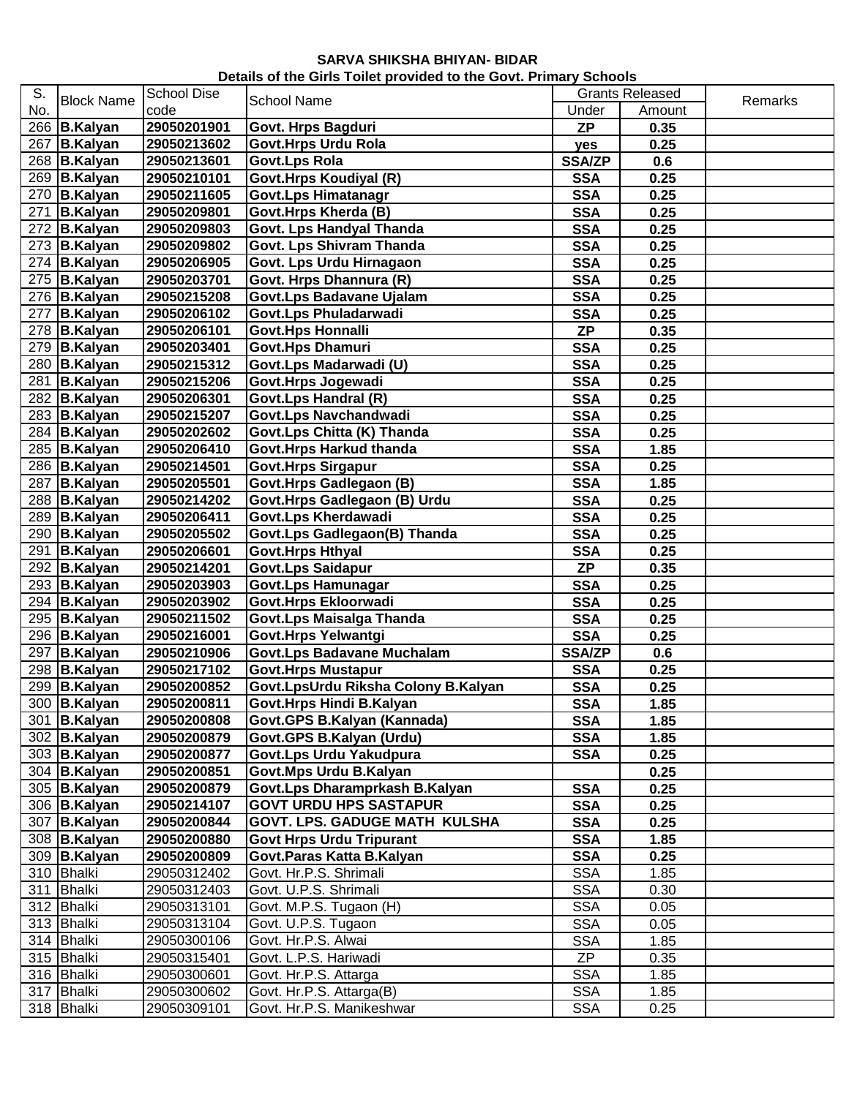| Details of the Girls Toilet provided to the Govt. Primary Schools |  |
|-------------------------------------------------------------------|--|
|-------------------------------------------------------------------|--|

| S.  |                   | <b>School Dise</b> |                                     |               | <b>Grants Released</b> |         |
|-----|-------------------|--------------------|-------------------------------------|---------------|------------------------|---------|
| No. | <b>Block Name</b> | code               | <b>School Name</b>                  | Under         | Amount                 | Remarks |
|     | 266 B.Kalyan      | 29050201901        | Govt. Hrps Bagduri                  | <b>ZP</b>     | 0.35                   |         |
|     | 267 B.Kalyan      | 29050213602        | Govt.Hrps Urdu Rola                 | yes           | 0.25                   |         |
|     | 268 B.Kalyan      | 29050213601        | Govt.Lps Rola                       | <b>SSA/ZP</b> | 0.6                    |         |
|     | 269 B.Kalyan      | 29050210101        | Govt.Hrps Koudiyal (R)              | <b>SSA</b>    | 0.25                   |         |
|     | 270 B.Kalyan      | 29050211605        | <b>Govt.Lps Himatanagr</b>          | <b>SSA</b>    | 0.25                   |         |
|     | 271 B.Kalyan      | 29050209801        | Govt.Hrps Kherda (B)                | <b>SSA</b>    | 0.25                   |         |
|     | 272 B.Kalyan      | 29050209803        | Govt. Lps Handyal Thanda            | <b>SSA</b>    | 0.25                   |         |
|     | $273$ B.Kalyan    | 29050209802        | Govt. Lps Shivram Thanda            | <b>SSA</b>    | 0.25                   |         |
|     | 274 B.Kalyan      | 29050206905        | Govt. Lps Urdu Hirnagaon            | <b>SSA</b>    | 0.25                   |         |
|     | 275 B.Kalyan      | 29050203701        | Govt. Hrps Dhannura (R)             | <b>SSA</b>    | 0.25                   |         |
|     | 276 B.Kalyan      | 29050215208        | Govt.Lps Badavane Ujalam            | <b>SSA</b>    | 0.25                   |         |
|     | 277 B.Kalyan      | 29050206102        | Govt.Lps Phuladarwadi               | <b>SSA</b>    | 0.25                   |         |
|     | 278 B.Kalyan      | 29050206101        | Govt.Hps Honnalli                   | <b>ZP</b>     | 0.35                   |         |
|     | 279 B.Kalyan      | 29050203401        | Govt.Hps Dhamuri                    | <b>SSA</b>    | 0.25                   |         |
|     | 280 B.Kalyan      | 29050215312        | Govt.Lps Madarwadi (U)              | <b>SSA</b>    | 0.25                   |         |
|     | 281 B.Kalyan      | 29050215206        | Govt.Hrps Jogewadi                  | <b>SSA</b>    | 0.25                   |         |
|     | 282 B.Kalyan      | 29050206301        | Govt.Lps Handral (R)                | <b>SSA</b>    | 0.25                   |         |
|     | 283 B.Kalyan      | 29050215207        | Govt.Lps Navchandwadi               | <b>SSA</b>    | 0.25                   |         |
|     | 284 B.Kalyan      | 29050202602        | Govt.Lps Chitta (K) Thanda          | <b>SSA</b>    | 0.25                   |         |
|     | 285 B.Kalyan      | 29050206410        | Govt.Hrps Harkud thanda             | <b>SSA</b>    | 1.85                   |         |
|     | 286 B.Kalyan      | 29050214501        | <b>Govt.Hrps Sirgapur</b>           | <b>SSA</b>    | 0.25                   |         |
|     | 287 B.Kalyan      | 29050205501        | Govt.Hrps Gadlegaon (B)             | <b>SSA</b>    | 1.85                   |         |
|     | 288 B.Kalyan      | 29050214202        | Govt.Hrps Gadlegaon (B) Urdu        | <b>SSA</b>    | 0.25                   |         |
|     | 289 B.Kalyan      | 29050206411        | Govt.Lps Kherdawadi                 | <b>SSA</b>    | 0.25                   |         |
|     | 290 B.Kalyan      | 29050205502        | Govt.Lps Gadlegaon(B) Thanda        | <b>SSA</b>    | 0.25                   |         |
|     | 291 B.Kalyan      | 29050206601        | Govt.Hrps Hthyal                    | <b>SSA</b>    | 0.25                   |         |
|     | 292 B.Kalyan      | 29050214201        | Govt.Lps Saidapur                   | <b>ZP</b>     | 0.35                   |         |
|     | 293 B.Kalyan      | 29050203903        | Govt.Lps Hamunagar                  | <b>SSA</b>    | 0.25                   |         |
|     | 294 B.Kalyan      | 29050203902        | Govt.Hrps Ekloorwadi                | <b>SSA</b>    | 0.25                   |         |
|     | 295 B.Kalyan      | 29050211502        | Govt.Lps Maisalga Thanda            | <b>SSA</b>    | 0.25                   |         |
|     | 296 B.Kalyan      | 29050216001        | Govt.Hrps Yelwantgi                 | <b>SSA</b>    | 0.25                   |         |
|     | 297 B.Kalyan      | 29050210906        | <b>Govt.Lps Badavane Muchalam</b>   | <b>SSA/ZP</b> | 0.6                    |         |
|     | 298 B.Kalyan      | 29050217102        | <b>Govt.Hrps Mustapur</b>           | <b>SSA</b>    | 0.25                   |         |
|     | $299$ B. Kalyan   | 29050200852        | Govt.LpsUrdu Riksha Colony B.Kalyan | <b>SSA</b>    | 0.25                   |         |
|     | 300 B.Kalyan      | 29050200811        | Govt.Hrps Hindi B.Kalyan            | <b>SSA</b>    | 1.85                   |         |
|     | 301 B.Kalyan      | 29050200808        | Govt.GPS B.Kalyan (Kannada)         | <b>SSA</b>    | 1.85                   |         |
|     | 302 B.Kalyan      | 29050200879        | Govt.GPS B.Kalyan (Urdu)            | <b>SSA</b>    | 1.85                   |         |
|     | $303$ B.Kalyan    | 29050200877        | Govt.Lps Urdu Yakudpura             | <b>SSA</b>    | 0.25                   |         |
|     | 304 B.Kalyan      | 29050200851        | Govt.Mps Urdu B.Kalyan              |               | 0.25                   |         |
|     | 305 B.Kalyan      | 29050200879        | Govt.Lps Dharamprkash B.Kalyan      | <b>SSA</b>    | 0.25                   |         |
|     | 306 B.Kalyan      | 29050214107        | <b>GOVT URDU HPS SASTAPUR</b>       | <b>SSA</b>    | 0.25                   |         |
|     | 307 B.Kalyan      | 29050200844        | GOVT. LPS. GADUGE MATH KULSHA       | <b>SSA</b>    | 0.25                   |         |
|     | 308 B.Kalyan      | 29050200880        | <b>Govt Hrps Urdu Tripurant</b>     | <b>SSA</b>    | 1.85                   |         |
|     | 309 B.Kalyan      | 29050200809        | Govt. Paras Katta B. Kalyan         | <b>SSA</b>    | 0.25                   |         |
|     | 310   Bhalki      | 29050312402        | Govt. Hr.P.S. Shrimali              | <b>SSA</b>    | 1.85                   |         |
|     | 311 Bhalki        | 29050312403        | Govt. U.P.S. Shrimali               | <b>SSA</b>    | 0.30                   |         |
|     | 312 Bhalki        | 29050313101        | Govt. M.P.S. Tugaon (H)             | <b>SSA</b>    | 0.05                   |         |
|     | 313 Bhalki        | 29050313104        | Govt. U.P.S. Tugaon                 | <b>SSA</b>    | 0.05                   |         |
|     | 314 Bhalki        | 29050300106        | Govt. Hr.P.S. Alwai                 | <b>SSA</b>    | 1.85                   |         |
|     | 315 Bhalki        | 29050315401        | Govt. L.P.S. Hariwadi               | ZP            | 0.35                   |         |
|     | 316 Bhalki        | 29050300601        | Govt. Hr.P.S. Attarga               | <b>SSA</b>    | 1.85                   |         |
|     | 317 Bhalki        | 29050300602        | Govt. Hr.P.S. Attarga(B)            | <b>SSA</b>    | 1.85                   |         |
|     | 318 Bhalki        | 29050309101        | Govt. Hr.P.S. Manikeshwar           | <b>SSA</b>    | 0.25                   |         |
|     |                   |                    |                                     |               |                        |         |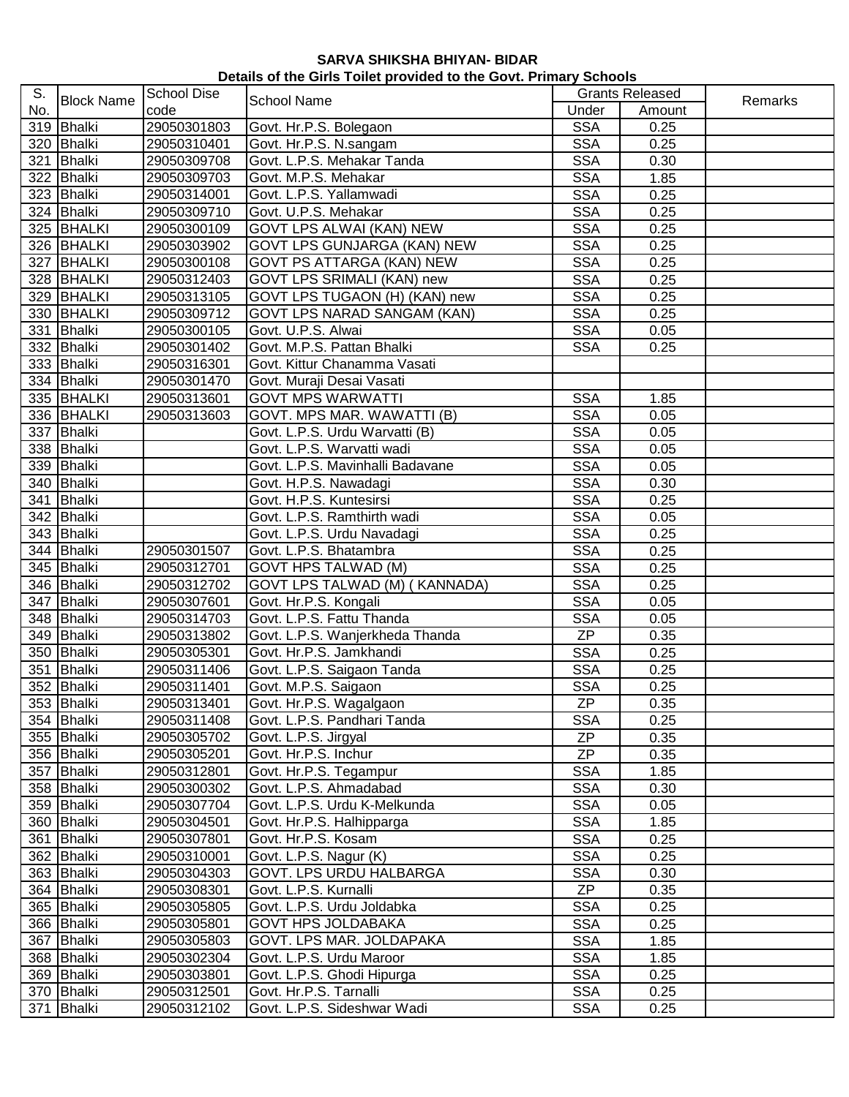## **SARVA SHIKSHA BHIYAN- BIDAR Details of the Girls Toilet provided to the Govt. Primary Schools**

| S.  | <b>Block Name</b> | <b>School Dise</b> | School Name                        |            | <b>Grants Released</b> | Remarks |
|-----|-------------------|--------------------|------------------------------------|------------|------------------------|---------|
| No. |                   | code               |                                    | Under      | Amount                 |         |
|     | 319 Bhalki        | 29050301803        | Govt. Hr.P.S. Bolegaon             | <b>SSA</b> | 0.25                   |         |
|     | 320 Bhalki        | 29050310401        | Govt. Hr.P.S. N.sangam             | <b>SSA</b> | 0.25                   |         |
|     | 321 Bhalki        | 29050309708        | Govt. L.P.S. Mehakar Tanda         | <b>SSA</b> | 0.30                   |         |
|     | 322 Bhalki        | 29050309703        | Govt. M.P.S. Mehakar               | <b>SSA</b> | 1.85                   |         |
|     | 323 Bhalki        | 29050314001        | Govt. L.P.S. Yallamwadi            | <b>SSA</b> | 0.25                   |         |
|     | 324 Bhalki        | 29050309710        | Govt. U.P.S. Mehakar               | <b>SSA</b> | 0.25                   |         |
|     | 325 BHALKI        | 29050300109        | <b>GOVT LPS ALWAI (KAN) NEW</b>    | <b>SSA</b> | 0.25                   |         |
|     | 326 BHALKI        | 29050303902        | GOVT LPS GUNJARGA (KAN) NEW        | <b>SSA</b> | 0.25                   |         |
|     | 327 BHALKI        | 29050300108        | GOVT PS ATTARGA (KAN) NEW          | <b>SSA</b> | 0.25                   |         |
|     | 328 BHALKI        | 29050312403        | GOVT LPS SRIMALI (KAN) new         | <b>SSA</b> | 0.25                   |         |
|     | 329 BHALKI        | 29050313105        | GOVT LPS TUGAON (H) (KAN) new      | <b>SSA</b> | 0.25                   |         |
|     | 330 BHALKI        | 29050309712        | <b>GOVT LPS NARAD SANGAM (KAN)</b> | <b>SSA</b> | 0.25                   |         |
|     | 331 Bhalki        | 29050300105        | Govt. U.P.S. Alwai                 | <b>SSA</b> | 0.05                   |         |
|     | 332 Bhalki        | 29050301402        | Govt. M.P.S. Pattan Bhalki         | <b>SSA</b> | 0.25                   |         |
|     | 333 Bhalki        | 29050316301        | Govt. Kittur Chanamma Vasati       |            |                        |         |
|     | 334 Bhalki        | 29050301470        | Govt. Muraji Desai Vasati          |            |                        |         |
|     | 335 BHALKI        | 29050313601        | <b>GOVT MPS WARWATTI</b>           | <b>SSA</b> | 1.85                   |         |
|     | 336 BHALKI        | 29050313603        | GOVT. MPS MAR. WAWATTI (B)         | <b>SSA</b> | 0.05                   |         |
|     | 337 Bhalki        |                    | Govt. L.P.S. Urdu Warvatti (B)     | <b>SSA</b> | 0.05                   |         |
|     | 338 Bhalki        |                    | Govt. L.P.S. Warvatti wadi         | <b>SSA</b> | 0.05                   |         |
|     |                   |                    |                                    |            |                        |         |
|     | 339 Bhalki        |                    | Govt. L.P.S. Mavinhalli Badavane   | <b>SSA</b> | 0.05                   |         |
|     | 340 Bhalki        |                    | Govt. H.P.S. Nawadagi              | <b>SSA</b> | 0.30                   |         |
|     | 341 Bhalki        |                    | Govt. H.P.S. Kuntesirsi            | <b>SSA</b> | 0.25                   |         |
|     | 342 Bhalki        |                    | Govt. L.P.S. Ramthirth wadi        | <b>SSA</b> | 0.05                   |         |
|     | 343 Bhalki        |                    | Govt. L.P.S. Urdu Navadagi         | <b>SSA</b> | 0.25                   |         |
|     | 344 Bhalki        | 29050301507        | Govt. L.P.S. Bhatambra             | <b>SSA</b> | 0.25                   |         |
|     | 345 Bhalki        | 29050312701        | <b>GOVT HPS TALWAD (M)</b>         | <b>SSA</b> | 0.25                   |         |
|     | 346 Bhalki        | 29050312702        | GOVT LPS TALWAD (M) (KANNADA)      | <b>SSA</b> | 0.25                   |         |
|     | 347 Bhalki        | 29050307601        | Govt. Hr.P.S. Kongali              | <b>SSA</b> | 0.05                   |         |
|     | 348 Bhalki        | 29050314703        | Govt. L.P.S. Fattu Thanda          | <b>SSA</b> | 0.05                   |         |
|     | 349 Bhalki        | 29050313802        | Govt. L.P.S. Wanjerkheda Thanda    | ZP         | 0.35                   |         |
|     | 350 Bhalki        | 29050305301        | Govt. Hr.P.S. Jamkhandi            | <b>SSA</b> | 0.25                   |         |
|     | 351 Bhalki        | 29050311406        | Govt. L.P.S. Saigaon Tanda         | <b>SSA</b> | 0.25                   |         |
|     | 352 Bhalki        | 29050311401        | Govt. M.P.S. Saigaon               | <b>SSA</b> | 0.25                   |         |
|     | 353 Bhalki        | 29050313401        | Govt. Hr.P.S. Wagalgaon            | <b>ZP</b>  | 0.35                   |         |
|     | 354 Bhalki        | 29050311408        | Govt. L.P.S. Pandhari Tanda        | <b>SSA</b> | 0.25                   |         |
|     | 355 Bhalki        | 29050305702        | Govt. L.P.S. Jirgyal               | ZP         | 0.35                   |         |
|     | 356 Bhalki        | 29050305201        | Govt. Hr.P.S. Inchur               | <b>ZP</b>  | 0.35                   |         |
|     | 357 Bhalki        | 29050312801        | Govt. Hr.P.S. Tegampur             | <b>SSA</b> | 1.85                   |         |
|     | 358 Bhalki        | 29050300302        | Govt. L.P.S. Ahmadabad             | <b>SSA</b> | 0.30                   |         |
|     | 359 Bhalki        | 29050307704        | Govt. L.P.S. Urdu K-Melkunda       | <b>SSA</b> | 0.05                   |         |
|     | 360 Bhalki        | 29050304501        | Govt. Hr.P.S. Halhipparga          | <b>SSA</b> | 1.85                   |         |
|     | 361 Bhalki        | 29050307801        | Govt. Hr.P.S. Kosam                | <b>SSA</b> | 0.25                   |         |
|     | 362 Bhalki        | 29050310001        | Govt. L.P.S. Nagur (K)             | <b>SSA</b> | 0.25                   |         |
|     | 363 Bhalki        | 29050304303        | <b>GOVT. LPS URDU HALBARGA</b>     | <b>SSA</b> | 0.30                   |         |
|     | 364 Bhalki        | 29050308301        | Govt. L.P.S. Kurnalli              | ZP         | 0.35                   |         |
|     | 365 Bhalki        | 29050305805        | Govt. L.P.S. Urdu Joldabka         | <b>SSA</b> | 0.25                   |         |
|     | 366 Bhalki        | 29050305801        | <b>GOVT HPS JOLDABAKA</b>          | <b>SSA</b> | 0.25                   |         |
|     | 367 Bhalki        | 29050305803        | GOVT. LPS MAR. JOLDAPAKA           | <b>SSA</b> | 1.85                   |         |
|     | 368 Bhalki        | 29050302304        | Govt. L.P.S. Urdu Maroor           | <b>SSA</b> | 1.85                   |         |
|     | 369 Bhalki        | 29050303801        | Govt. L.P.S. Ghodi Hipurga         | <b>SSA</b> | 0.25                   |         |
|     | 370 Bhalki        | 29050312501        | Govt. Hr.P.S. Tarnalli             | <b>SSA</b> | 0.25                   |         |
|     | 371 Bhalki        | 29050312102        | Govt. L.P.S. Sideshwar Wadi        | <b>SSA</b> | 0.25                   |         |
|     |                   |                    |                                    |            |                        |         |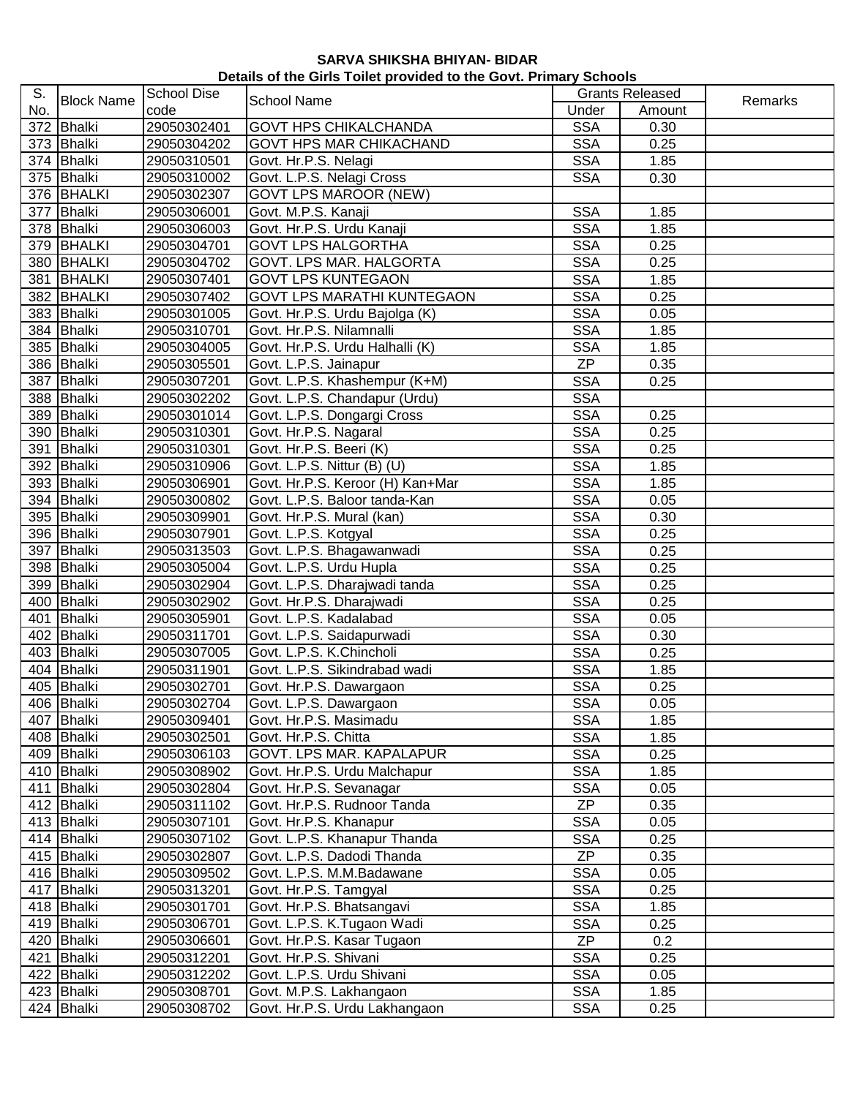| Details of the Girls Toilet provided to the Govt. Primary Schools |  |  |
|-------------------------------------------------------------------|--|--|
|-------------------------------------------------------------------|--|--|

| S.  |                   | <b>School Dise</b> |                                                      |            | <b>Grants Released</b> |         |
|-----|-------------------|--------------------|------------------------------------------------------|------------|------------------------|---------|
| No. | <b>Block Name</b> | code               | <b>School Name</b>                                   | Under      | Amount                 | Remarks |
|     | 372 Bhalki        | 29050302401        | <b>GOVT HPS CHIKALCHANDA</b>                         | <b>SSA</b> | 0.30                   |         |
|     | 373 Bhalki        | 29050304202        | <b>GOVT HPS MAR CHIKACHAND</b>                       | <b>SSA</b> | 0.25                   |         |
|     | 374 Bhalki        | 29050310501        | Govt. Hr.P.S. Nelagi                                 | <b>SSA</b> | 1.85                   |         |
|     | 375 Bhalki        | 29050310002        | Govt. L.P.S. Nelagi Cross                            | <b>SSA</b> | 0.30                   |         |
|     | 376 BHALKI        | 29050302307        | <b>GOVT LPS MAROOR (NEW)</b>                         |            |                        |         |
|     | 377 Bhalki        | 29050306001        | Govt. M.P.S. Kanaji                                  | <b>SSA</b> | 1.85                   |         |
|     | 378 Bhalki        | 29050306003        | Govt. Hr.P.S. Urdu Kanaji                            | <b>SSA</b> | 1.85                   |         |
|     | 379 BHALKI        | 29050304701        | <b>GOVT LPS HALGORTHA</b>                            | <b>SSA</b> | 0.25                   |         |
|     | 380 BHALKI        | 29050304702        | <b>GOVT. LPS MAR. HALGORTA</b>                       | <b>SSA</b> | 0.25                   |         |
|     | 381 BHALKI        | 29050307401        | <b>GOVT LPS KUNTEGAON</b>                            | <b>SSA</b> | 1.85                   |         |
|     | 382 BHALKI        | 29050307402        | <b>GOVT LPS MARATHI KUNTEGAON</b>                    | <b>SSA</b> | 0.25                   |         |
|     | 383 Bhalki        | 29050301005        | Govt. Hr.P.S. Urdu Bajolga (K)                       | <b>SSA</b> | 0.05                   |         |
|     | 384 Bhalki        | 29050310701        | Govt. Hr.P.S. Nilamnalli                             | <b>SSA</b> | 1.85                   |         |
|     | 385 Bhalki        | 29050304005        | Govt. Hr.P.S. Urdu Halhalli (K)                      | <b>SSA</b> | 1.85                   |         |
|     | 386 Bhalki        | 29050305501        | Govt. L.P.S. Jainapur                                | ZP         | 0.35                   |         |
|     | 387 Bhalki        | 29050307201        | Govt. L.P.S. Khashempur (K+M)                        | <b>SSA</b> | 0.25                   |         |
|     | 388 Bhalki        | 29050302202        | Govt. L.P.S. Chandapur (Urdu)                        | <b>SSA</b> |                        |         |
|     | 389 Bhalki        | 29050301014        | Govt. L.P.S. Dongargi Cross                          | <b>SSA</b> | 0.25                   |         |
|     | 390 Bhalki        | 29050310301        | Govt. Hr.P.S. Nagaral                                | <b>SSA</b> | 0.25                   |         |
|     | 391 Bhalki        | 29050310301        | Govt. Hr.P.S. Beeri (K)                              | <b>SSA</b> | 0.25                   |         |
|     | 392 Bhalki        | 29050310906        | Govt. L.P.S. Nittur (B) (U)                          | <b>SSA</b> | 1.85                   |         |
|     | 393 Bhalki        | 29050306901        | Govt. Hr.P.S. Keroor (H) Kan+Mar                     | <b>SSA</b> | 1.85                   |         |
|     | 394 Bhalki        | 29050300802        | Govt. L.P.S. Baloor tanda-Kan                        | <b>SSA</b> | 0.05                   |         |
|     | 395 Bhalki        | 29050309901        | Govt. Hr.P.S. Mural (kan)                            | <b>SSA</b> | 0.30                   |         |
|     | 396 Bhalki        |                    |                                                      | <b>SSA</b> | 0.25                   |         |
|     |                   | 29050307901        | Govt. L.P.S. Kotgyal                                 | <b>SSA</b> |                        |         |
|     | 397 Bhalki        | 29050313503        | Govt. L.P.S. Bhagawanwadi<br>Govt. L.P.S. Urdu Hupla |            | 0.25                   |         |
|     | 398 Bhalki        | 29050305004        |                                                      | <b>SSA</b> | 0.25                   |         |
|     | 399 Bhalki        | 29050302904        | Govt. L.P.S. Dharajwadi tanda                        | <b>SSA</b> | 0.25                   |         |
|     | 400 Bhalki        | 29050302902        | Govt. Hr.P.S. Dharajwadi                             | <b>SSA</b> | 0.25                   |         |
|     | 401 Bhalki        | 29050305901        | Govt. L.P.S. Kadalabad                               | <b>SSA</b> | 0.05                   |         |
|     | 402 Bhalki        | 29050311701        | Govt. L.P.S. Saidapurwadi                            | <b>SSA</b> | 0.30                   |         |
|     | 403 Bhalki        | 29050307005        | Govt. L.P.S. K.Chincholi                             | <b>SSA</b> | 0.25                   |         |
|     | 404 Bhalki        | 29050311901        | Govt. L.P.S. Sikindrabad wadi                        | <b>SSA</b> | 1.85                   |         |
|     | 405 Bhalki        | 29050302701        | Govt. Hr.P.S. Dawargaon                              | <b>SSA</b> | 0.25                   |         |
|     | 406 Bhalki        | 29050302704        | Govt. L.P.S. Dawargaon                               | <b>SSA</b> | 0.05                   |         |
|     | 407 Bhalki        | 29050309401        | Govt. Hr.P.S. Masimadu                               | <b>SSA</b> | 1.85                   |         |
|     | 408 Bhalki        | 29050302501        | Govt. Hr.P.S. Chitta                                 | <b>SSA</b> | 1.85                   |         |
|     | 409 Bhalki        | 29050306103        | GOVT. LPS MAR. KAPALAPUR                             | <b>SSA</b> | 0.25                   |         |
|     | 410 Bhalki        | 29050308902        | Govt. Hr.P.S. Urdu Malchapur                         | <b>SSA</b> | 1.85                   |         |
|     | 411 Bhalki        | 29050302804        | Govt. Hr.P.S. Sevanagar                              | <b>SSA</b> | 0.05                   |         |
|     | 412 Bhalki        | 29050311102        | Govt. Hr.P.S. Rudnoor Tanda                          | <b>ZP</b>  | 0.35                   |         |
|     | 413 Bhalki        | 29050307101        | Govt. Hr.P.S. Khanapur                               | <b>SSA</b> | 0.05                   |         |
|     | 414 Bhalki        | 29050307102        | Govt. L.P.S. Khanapur Thanda                         | <b>SSA</b> | 0.25                   |         |
|     | 415 Bhalki        | 29050302807        | Govt. L.P.S. Dadodi Thanda                           | <b>ZP</b>  | 0.35                   |         |
|     | 416 Bhalki        | 29050309502        | Govt. L.P.S. M.M.Badawane                            | <b>SSA</b> | 0.05                   |         |
|     | 417 Bhalki        | 29050313201        | Govt. Hr.P.S. Tamgyal                                | <b>SSA</b> | 0.25                   |         |
|     | 418 Bhalki        | 29050301701        | Govt. Hr.P.S. Bhatsangavi                            | <b>SSA</b> | 1.85                   |         |
|     | 419 Bhalki        | 29050306701        | Govt. L.P.S. K.Tugaon Wadi                           | <b>SSA</b> | 0.25                   |         |
|     | 420 Bhalki        | 29050306601        | Govt. Hr.P.S. Kasar Tugaon                           | <b>ZP</b>  | 0.2                    |         |
|     | 421 Bhalki        | 29050312201        | Govt. Hr.P.S. Shivani                                | <b>SSA</b> | 0.25                   |         |
|     | 422 Bhalki        | 29050312202        | Govt. L.P.S. Urdu Shivani                            | <b>SSA</b> | 0.05                   |         |
|     | 423 Bhalki        | 29050308701        | Govt. M.P.S. Lakhangaon                              | <b>SSA</b> | 1.85                   |         |
|     | 424 Bhalki        | 29050308702        | Govt. Hr.P.S. Urdu Lakhangaon                        | <b>SSA</b> | 0.25                   |         |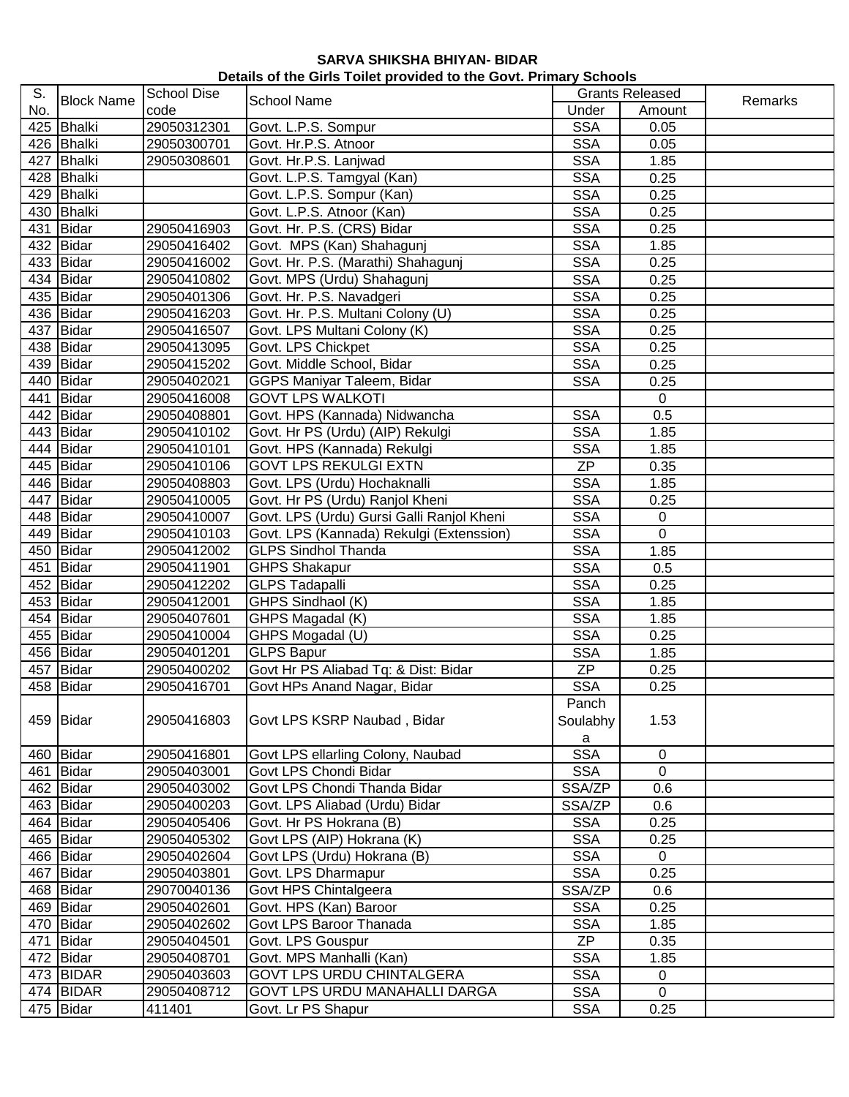| Details of the Girls Toilet provided to the Govt. Primary Schools |  |  |
|-------------------------------------------------------------------|--|--|
|-------------------------------------------------------------------|--|--|

| S.<br>No. | <b>Block Name</b>      | <b>School Dise</b><br>code | <b>School Name</b>                                    | <b>Grants Released</b> |                |         |
|-----------|------------------------|----------------------------|-------------------------------------------------------|------------------------|----------------|---------|
|           |                        |                            |                                                       | Under                  | Amount         | Remarks |
|           | 425 Bhalki             | 29050312301                | Govt. L.P.S. Sompur                                   | <b>SSA</b>             | 0.05           |         |
|           | 426 Bhalki             | 29050300701                | Govt. Hr.P.S. Atnoor                                  | <b>SSA</b>             | 0.05           |         |
|           | 427 Bhalki             | 29050308601                | Govt. Hr.P.S. Lanjwad                                 | <b>SSA</b>             | 1.85           |         |
|           | 428 Bhalki             |                            | Govt. L.P.S. Tamgyal (Kan)                            | <b>SSA</b>             | 0.25           |         |
|           | 429 Bhalki             |                            | Govt. L.P.S. Sompur (Kan)                             | <b>SSA</b>             | 0.25           |         |
|           | 430 Bhalki             |                            | Govt. L.P.S. Atnoor (Kan)                             | <b>SSA</b>             | 0.25           |         |
|           | 431 Bidar              | 29050416903                | Govt. Hr. P.S. (CRS) Bidar                            | <b>SSA</b>             | 0.25           |         |
|           | 432 Bidar              | 29050416402                | Govt. MPS (Kan) Shahagunj                             | <b>SSA</b>             | 1.85           |         |
|           | 433 Bidar              | 29050416002                | Govt. Hr. P.S. (Marathi) Shahagunj                    | <b>SSA</b>             | 0.25           |         |
|           | 434 Bidar              | 29050410802                | Govt. MPS (Urdu) Shahagunj                            | <b>SSA</b>             | 0.25           |         |
|           | 435 Bidar              | 29050401306                | Govt. Hr. P.S. Navadgeri                              | <b>SSA</b>             | 0.25           |         |
|           | 436 Bidar              | 29050416203                | Govt. Hr. P.S. Multani Colony (U)                     | <b>SSA</b>             | 0.25           |         |
|           | 437 Bidar              | 29050416507                | Govt. LPS Multani Colony (K)                          | <b>SSA</b>             | 0.25           |         |
|           | 438 Bidar              | 29050413095                | Govt. LPS Chickpet                                    | <b>SSA</b>             | 0.25           |         |
|           | 439 Bidar              | 29050415202                | Govt. Middle School, Bidar                            | <b>SSA</b>             | 0.25           |         |
|           | 440 Bidar              | 29050402021                | GGPS Maniyar Taleem, Bidar                            | <b>SSA</b>             | 0.25           |         |
|           | 441 Bidar              | 29050416008                | <b>GOVT LPS WALKOTI</b>                               |                        | $\mathbf 0$    |         |
|           | 442 Bidar              | 29050408801                | Govt. HPS (Kannada) Nidwancha                         | <b>SSA</b>             | 0.5            |         |
|           | 443 Bidar              | 29050410102                | Govt. Hr PS (Urdu) (AIP) Rekulgi                      | <b>SSA</b>             | 1.85           |         |
|           | 444 Bidar              | 29050410101                | Govt. HPS (Kannada) Rekulgi                           | <b>SSA</b>             | 1.85           |         |
|           | 445 Bidar              | 29050410106                | <b>GOVT LPS REKULGI EXTN</b>                          | <b>ZP</b>              | 0.35           |         |
|           | 446 Bidar              | 29050408803                | Govt. LPS (Urdu) Hochaknalli                          | <b>SSA</b>             | 1.85           |         |
|           | 447 Bidar              | 29050410005                | Govt. Hr PS (Urdu) Ranjol Kheni                       | <b>SSA</b>             | 0.25           |         |
|           | 448 Bidar              | 29050410007                | Govt. LPS (Urdu) Gursi Galli Ranjol Kheni             | <b>SSA</b>             | $\pmb{0}$      |         |
|           | 449 Bidar              | 29050410103                | Govt. LPS (Kannada) Rekulgi (Extenssion)              | <b>SSA</b>             | $\overline{0}$ |         |
|           | 450 Bidar              | 29050412002                | <b>GLPS Sindhol Thanda</b>                            | <b>SSA</b>             | 1.85           |         |
|           | 451 Bidar              | 29050411901                | <b>GHPS Shakapur</b>                                  | <b>SSA</b>             | 0.5            |         |
|           | 452 Bidar              | 29050412202                | <b>GLPS Tadapalli</b>                                 | <b>SSA</b>             | 0.25           |         |
|           | 453 Bidar              | 29050412001                | GHPS Sindhaol (K)                                     | <b>SSA</b>             | 1.85           |         |
|           | 454 Bidar              | 29050407601                | GHPS Magadal (K)                                      | <b>SSA</b>             | 1.85           |         |
|           | 455 Bidar              | 29050410004                | GHPS Mogadal (U)                                      | <b>SSA</b>             | 0.25           |         |
|           | 456 Bidar              | 29050401201                | <b>GLPS Bapur</b>                                     | <b>SSA</b>             | 1.85           |         |
|           | 457 Bidar              | 29050400202                | Govt Hr PS Aliabad Tq: & Dist: Bidar                  | <b>ZP</b>              | 0.25           |         |
|           | 458 Bidar              | 29050416701                | Govt HPs Anand Nagar, Bidar                           | <b>SSA</b>             | 0.25           |         |
|           |                        |                            |                                                       | Panch                  |                |         |
|           | 459 Bidar              | 29050416803                | Govt LPS KSRP Naubad, Bidar                           |                        | 1.53           |         |
|           |                        |                            |                                                       | Soulabhy               |                |         |
|           | 460 Bidar              | 29050416801                |                                                       | a<br><b>SSA</b>        | 0              |         |
|           |                        |                            | Govt LPS ellarling Colony, Naubad                     |                        | $\overline{0}$ |         |
|           | 461 Bidar<br>462 Bidar | 29050403001<br>29050403002 | Govt LPS Chondi Bidar<br>Govt LPS Chondi Thanda Bidar | <b>SSA</b>             |                |         |
|           |                        |                            |                                                       | SSA/ZP                 | 0.6            |         |
|           | 463 Bidar              | 29050400203                | Govt. LPS Aliabad (Urdu) Bidar                        | SSA/ZP                 | 0.6            |         |
|           | $\overline{464}$ Bidar | 29050405406                | Govt. Hr PS Hokrana (B)                               | <b>SSA</b>             | 0.25           |         |
|           | 465 Bidar              | 29050405302                | Govt LPS (AIP) Hokrana (K)                            | <b>SSA</b>             | 0.25           |         |
|           | 466 Bidar              | 29050402604                | Govt LPS (Urdu) Hokrana (B)                           | <b>SSA</b>             | 0              |         |
|           | 467 Bidar              | 29050403801                | Govt. LPS Dharmapur                                   | <b>SSA</b>             | 0.25           |         |
|           | 468 Bidar              | 29070040136                | Govt HPS Chintalgeera                                 | SSA/ZP                 | 0.6            |         |
|           | 469 Bidar              | 29050402601                | Govt. HPS (Kan) Baroor                                | <b>SSA</b>             | 0.25           |         |
|           | 470 Bidar              | 29050402602                | Govt LPS Baroor Thanada                               | <b>SSA</b>             | 1.85           |         |
|           | 471 Bidar              | 29050404501                | Govt. LPS Gouspur                                     | <b>ZP</b>              | 0.35           |         |
|           | 472 Bidar              | 29050408701                | Govt. MPS Manhalli (Kan)                              | <b>SSA</b>             | 1.85           |         |
|           | 473 BIDAR              | 29050403603                | GOVT LPS URDU CHINTALGERA                             | <b>SSA</b>             | 0              |         |
|           | 474 BIDAR              | 29050408712                | GOVT LPS URDU MANAHALLI DARGA                         | <b>SSA</b>             | $\mathbf 0$    |         |
|           | 475 Bidar              | 411401                     | Govt. Lr PS Shapur                                    | <b>SSA</b>             | 0.25           |         |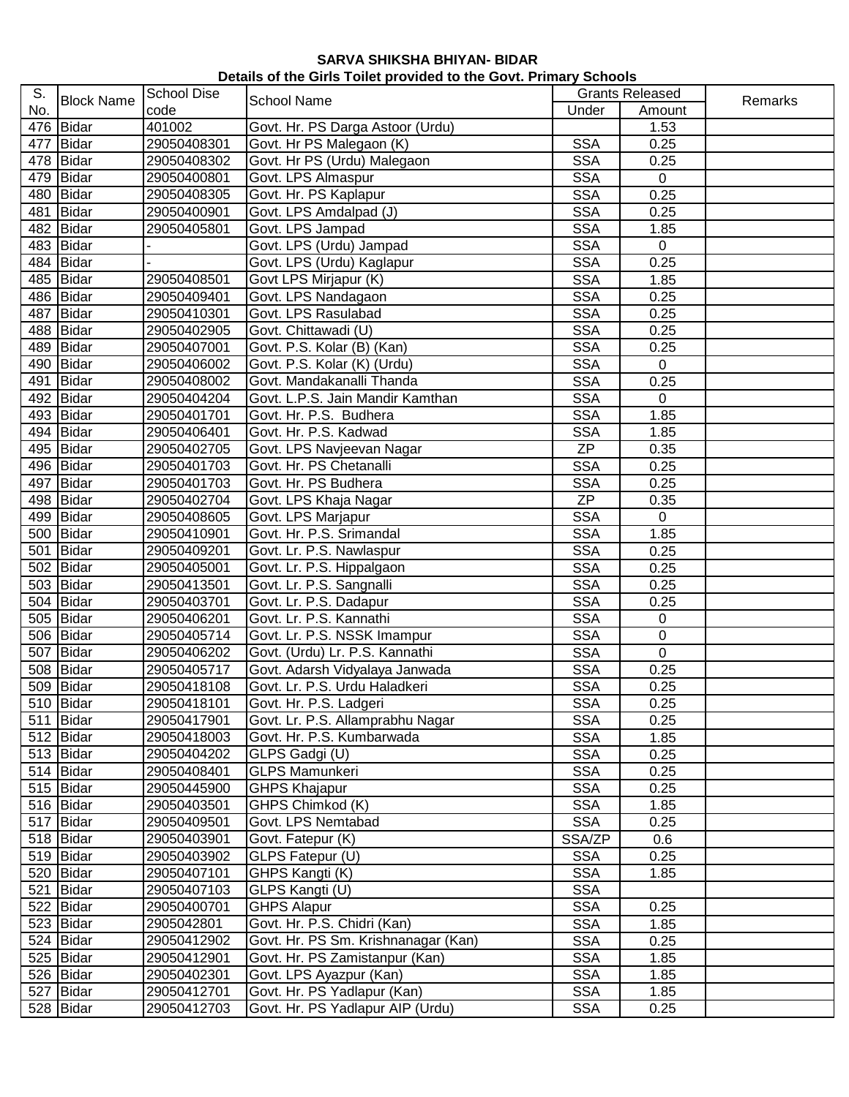## **SARVA SHIKSHA BHIYAN- BIDAR Details of the Girls Toilet provided to the Govt. Primary Schools**

| S.<br>No. | <b>Block Name</b> | <b>School Dise</b><br>code | <b>School Name</b>                  | <b>Grants Released</b> |             | Remarks |
|-----------|-------------------|----------------------------|-------------------------------------|------------------------|-------------|---------|
|           |                   |                            |                                     | Under                  | Amount      |         |
|           | 476 Bidar         | 401002                     | Govt. Hr. PS Darga Astoor (Urdu)    |                        | 1.53        |         |
|           | 477 Bidar         | 29050408301                | Govt. Hr PS Malegaon (K)            | <b>SSA</b>             | 0.25        |         |
|           | 478 Bidar         | 29050408302                | Govt. Hr PS (Urdu) Malegaon         | <b>SSA</b>             | 0.25        |         |
|           | 479 Bidar         | 29050400801                | Govt. LPS Almaspur                  | <b>SSA</b>             | $\mathbf 0$ |         |
|           | 480 Bidar         | 29050408305                | Govt. Hr. PS Kaplapur               | <b>SSA</b>             | 0.25        |         |
|           | 481 Bidar         | 29050400901                | Govt. LPS Amdalpad (J)              | <b>SSA</b>             | 0.25        |         |
|           | 482 Bidar         | 29050405801                | Govt. LPS Jampad                    | <b>SSA</b>             | 1.85        |         |
|           | 483 Bidar         |                            | Govt. LPS (Urdu) Jampad             | <b>SSA</b>             | 0           |         |
|           | 484 Bidar         |                            | Govt. LPS (Urdu) Kaglapur           | <b>SSA</b>             | 0.25        |         |
|           | 485 Bidar         | 29050408501                | Govt LPS Mirjapur (K)               | <b>SSA</b>             | 1.85        |         |
|           | 486 Bidar         | 29050409401                | Govt. LPS Nandagaon                 | <b>SSA</b>             | 0.25        |         |
|           | 487 Bidar         | 29050410301                | Govt. LPS Rasulabad                 | <b>SSA</b>             | 0.25        |         |
|           | 488 Bidar         | 29050402905                | Govt. Chittawadi (U)                | <b>SSA</b>             | 0.25        |         |
|           | 489 Bidar         | 29050407001                | Govt. P.S. Kolar (B) (Kan)          | <b>SSA</b>             | 0.25        |         |
|           | 490 Bidar         | 29050406002                | Govt. P.S. Kolar (K) (Urdu)         | <b>SSA</b>             | $\mathbf 0$ |         |
|           | 491 Bidar         | 29050408002                | Govt. Mandakanalli Thanda           | <b>SSA</b>             | 0.25        |         |
|           | 492 Bidar         | 29050404204                | Govt. L.P.S. Jain Mandir Kamthan    | <b>SSA</b>             | 0           |         |
|           | 493 Bidar         | 29050401701                | Govt. Hr. P.S. Budhera              | <b>SSA</b>             | 1.85        |         |
|           | 494 Bidar         | 29050406401                | Govt. Hr. P.S. Kadwad               | <b>SSA</b>             | 1.85        |         |
|           | 495 Bidar         | 29050402705                | Govt. LPS Navjeevan Nagar           | <b>ZP</b>              | 0.35        |         |
|           | 496 Bidar         | 29050401703                | Govt. Hr. PS Chetanalli             | <b>SSA</b>             | 0.25        |         |
|           | 497 Bidar         | 29050401703                | Govt. Hr. PS Budhera                | <b>SSA</b>             |             |         |
|           |                   |                            |                                     | <b>ZP</b>              | 0.25        |         |
|           | 498 Bidar         | 29050402704                | Govt. LPS Khaja Nagar               |                        | 0.35        |         |
|           | 499 Bidar         | 29050408605                | Govt. LPS Marjapur                  | <b>SSA</b>             | 0           |         |
|           | 500 Bidar         | 29050410901                | Govt. Hr. P.S. Srimandal            | <b>SSA</b>             | 1.85        |         |
|           | 501 Bidar         | 29050409201                | Govt. Lr. P.S. Nawlaspur            | <b>SSA</b>             | 0.25        |         |
|           | 502 Bidar         | 29050405001                | Govt. Lr. P.S. Hippalgaon           | <b>SSA</b>             | 0.25        |         |
|           | 503 Bidar         | 29050413501                | Govt. Lr. P.S. Sangnalli            | <b>SSA</b>             | 0.25        |         |
|           | 504 Bidar         | 29050403701                | Govt. Lr. P.S. Dadapur              | <b>SSA</b>             | 0.25        |         |
|           | 505 Bidar         | 29050406201                | Govt. Lr. P.S. Kannathi             | <b>SSA</b>             | $\mathbf 0$ |         |
|           | 506 Bidar         | 29050405714                | Govt. Lr. P.S. NSSK Imampur         | <b>SSA</b>             | $\pmb{0}$   |         |
|           | 507 Bidar         | 29050406202                | Govt. (Urdu) Lr. P.S. Kannathi      | <b>SSA</b>             | 0           |         |
|           | 508 Bidar         | 29050405717                | Govt. Adarsh Vidyalaya Janwada      | <b>SSA</b>             | 0.25        |         |
|           | 509 Bidar         | 29050418108                | Govt. Lr. P.S. Urdu Haladkeri       | <b>SSA</b>             | 0.25        |         |
|           | 510 Bidar         | 29050418101                | Govt. Hr. P.S. Ladgeri              | <b>SSA</b>             | 0.25        |         |
|           | 511 Bidar         | 29050417901                | Govt. Lr. P.S. Allamprabhu Nagar    | <b>SSA</b>             | 0.25        |         |
|           | 512 Bidar         | 29050418003                | Govt. Hr. P.S. Kumbarwada           | <b>SSA</b>             | 1.85        |         |
|           | 513 Bidar         | 29050404202                | GLPS Gadgi (U)                      | <b>SSA</b>             | 0.25        |         |
|           | 514 Bidar         | 29050408401                | <b>GLPS Mamunkeri</b>               | <b>SSA</b>             | 0.25        |         |
|           | 515 Bidar         | 29050445900                | <b>GHPS Khajapur</b>                | <b>SSA</b>             | 0.25        |         |
|           | 516 Bidar         | 29050403501                | GHPS Chimkod (K)                    | <b>SSA</b>             | 1.85        |         |
|           | 517 Bidar         | 29050409501                | Govt. LPS Nemtabad                  | <b>SSA</b>             | 0.25        |         |
|           | 518 Bidar         | 29050403901                | Govt. Fatepur (K)                   | SSA/ZP                 | 0.6         |         |
|           | 519 Bidar         | 29050403902                | GLPS Fatepur (U)                    | <b>SSA</b>             | 0.25        |         |
|           | 520 Bidar         | 29050407101                | GHPS Kangti (K)                     | <b>SSA</b>             | 1.85        |         |
|           | 521 Bidar         | 29050407103                | GLPS Kangti (U)                     | <b>SSA</b>             |             |         |
|           | 522 Bidar         | 29050400701                | <b>GHPS Alapur</b>                  | <b>SSA</b>             | 0.25        |         |
|           | 523 Bidar         | 2905042801                 | Govt. Hr. P.S. Chidri (Kan)         | <b>SSA</b>             | 1.85        |         |
|           | 524 Bidar         | 29050412902                | Govt. Hr. PS Sm. Krishnanagar (Kan) | <b>SSA</b>             | 0.25        |         |
|           | 525 Bidar         | 29050412901                | Govt. Hr. PS Zamistanpur (Kan)      | <b>SSA</b>             | 1.85        |         |
|           | 526 Bidar         | 29050402301                | Govt. LPS Ayazpur (Kan)             | <b>SSA</b>             | 1.85        |         |
|           | 527 Bidar         | 29050412701                | Govt. Hr. PS Yadlapur (Kan)         | <b>SSA</b>             | 1.85        |         |
|           | 528 Bidar         | 29050412703                | Govt. Hr. PS Yadlapur AIP (Urdu)    | <b>SSA</b>             | 0.25        |         |
|           |                   |                            |                                     |                        |             |         |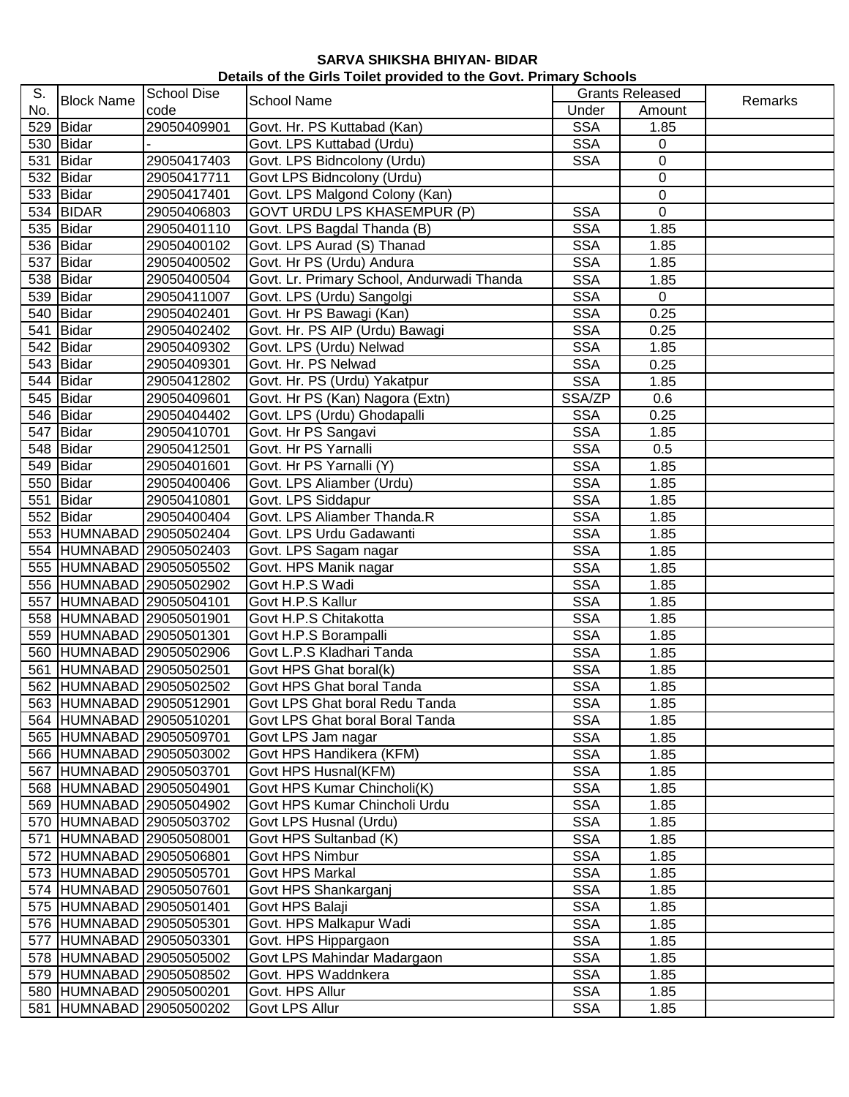| S.  | <b>Block Name</b>      | <b>School Dise</b><br><b>School Name</b><br>code |                                            | <b>Grants Released</b>   |                  |         |
|-----|------------------------|--------------------------------------------------|--------------------------------------------|--------------------------|------------------|---------|
| No. |                        |                                                  |                                            | Under                    | Amount           | Remarks |
|     | 529 Bidar              | 29050409901                                      | Govt. Hr. PS Kuttabad (Kan)                | <b>SSA</b>               | 1.85             |         |
|     | 530 Bidar              |                                                  | Govt. LPS Kuttabad (Urdu)                  | <b>SSA</b>               | $\mathbf 0$      |         |
|     | 531 Bidar              | 29050417403                                      | Govt. LPS Bidncolony (Urdu)                | <b>SSA</b>               | 0                |         |
|     | 532 Bidar              | 29050417711                                      | Govt LPS Bidncolony (Urdu)                 |                          | $\boldsymbol{0}$ |         |
|     | 533 Bidar              | 29050417401                                      | Govt. LPS Malgond Colony (Kan)             |                          | 0                |         |
|     | 534 BIDAR              | 29050406803                                      | <b>GOVT URDU LPS KHASEMPUR (P)</b>         | <b>SSA</b>               | 0                |         |
|     | 535 Bidar              | 29050401110                                      | Govt. LPS Bagdal Thanda (B)                | <b>SSA</b>               | 1.85             |         |
|     | 536 Bidar              | 29050400102                                      | Govt. LPS Aurad (S) Thanad                 | <b>SSA</b>               | 1.85             |         |
|     | 537 Bidar              | 29050400502                                      | Govt. Hr PS (Urdu) Andura                  | <b>SSA</b>               | 1.85             |         |
|     | 538 Bidar              | 29050400504                                      | Govt. Lr. Primary School, Andurwadi Thanda | <b>SSA</b>               | 1.85             |         |
|     | 539 Bidar              | 29050411007                                      | Govt. LPS (Urdu) Sangolgi                  | <b>SSA</b>               | $\mathbf 0$      |         |
|     | 540 Bidar              | 29050402401                                      | Govt. Hr PS Bawagi (Kan)                   | <b>SSA</b>               | 0.25             |         |
|     | 541 Bidar              | 29050402402                                      | Govt. Hr. PS AIP (Urdu) Bawagi             | <b>SSA</b>               | 0.25             |         |
|     | 542 Bidar              | 29050409302                                      | Govt. LPS (Urdu) Nelwad                    | <b>SSA</b>               | 1.85             |         |
|     | 543 Bidar              | 29050409301                                      | Govt. Hr. PS Nelwad                        | <b>SSA</b>               | 0.25             |         |
|     | 544 Bidar              | 29050412802                                      | Govt. Hr. PS (Urdu) Yakatpur               | <b>SSA</b>               | 1.85             |         |
|     | 545 Bidar              | 29050409601                                      | Govt. Hr PS (Kan) Nagora (Extn)            | SSA/ZP                   | 0.6              |         |
|     | 546 Bidar              | 29050404402                                      | Govt. LPS (Urdu) Ghodapalli                | <b>SSA</b>               | 0.25             |         |
|     | $\overline{547}$ Bidar | 29050410701                                      | Govt. Hr PS Sangavi                        | <b>SSA</b>               | 1.85             |         |
|     | 548 Bidar              | 29050412501                                      | Govt. Hr PS Yarnalli                       | <b>SSA</b>               | 0.5              |         |
|     | 549 Bidar              | 29050401601                                      | Govt. Hr PS Yarnalli (Y)                   | <b>SSA</b>               | 1.85             |         |
|     | 550 Bidar              | 29050400406                                      | Govt. LPS Aliamber (Urdu)                  | <b>SSA</b>               | 1.85             |         |
|     | 551 Bidar              | 29050410801                                      | Govt. LPS Siddapur                         | <b>SSA</b>               | 1.85             |         |
|     | 552 Bidar              | 29050400404                                      | Govt. LPS Aliamber Thanda.R                | <b>SSA</b>               | 1.85             |         |
|     |                        | 553 HUMNABAD 29050502404                         | Govt. LPS Urdu Gadawanti                   | <b>SSA</b>               | 1.85             |         |
|     |                        | 554 HUMNABAD 29050502403                         |                                            | <b>SSA</b>               | 1.85             |         |
|     |                        | 555 HUMNABAD 29050505502                         | Govt. LPS Sagam nagar                      |                          |                  |         |
|     |                        |                                                  | Govt. HPS Manik nagar                      | <b>SSA</b><br><b>SSA</b> | 1.85             |         |
|     |                        | 556 HUMNABAD 29050502902                         | Govt H.P.S Wadi                            |                          | 1.85             |         |
|     |                        | 557 HUMNABAD 29050504101                         | Govt H.P.S Kallur                          | <b>SSA</b>               | 1.85             |         |
|     |                        | 558 HUMNABAD 29050501901                         | Govt H.P.S Chitakotta                      | <b>SSA</b>               | 1.85             |         |
|     |                        | 559 HUMNABAD 29050501301                         | Govt H.P.S Borampalli                      | <b>SSA</b>               | 1.85             |         |
|     |                        | 560 HUMNABAD 29050502906                         | Govt L.P.S Kladhari Tanda                  | <b>SSA</b>               | 1.85             |         |
|     |                        | 561 HUMNABAD 29050502501                         | Govt HPS Ghat boral(k)                     | <b>SSA</b>               | 1.85             |         |
|     |                        | 562 HUMNABAD 29050502502                         | Govt HPS Ghat boral Tanda                  | <b>SSA</b>               | 1.85             |         |
|     |                        | 563 HUMNABAD 29050512901                         | Govt LPS Ghat boral Redu Tanda             | <b>SSA</b>               | 1.85             |         |
|     |                        | 564 HUMNABAD 29050510201                         | Govt LPS Ghat boral Boral Tanda            | <b>SSA</b>               | 1.85             |         |
|     |                        | 565 HUMNABAD 29050509701                         | Govt LPS Jam nagar                         | <b>SSA</b>               | 1.85             |         |
|     |                        | 566 HUMNABAD 29050503002                         | Govt HPS Handikera (KFM)                   | <b>SSA</b>               | 1.85             |         |
|     |                        | 567 HUMNABAD 29050503701                         | Govt HPS Husnal(KFM)                       | <b>SSA</b>               | 1.85             |         |
|     |                        | 568 HUMNABAD 29050504901                         | Govt HPS Kumar Chincholi(K)                | <b>SSA</b>               | 1.85             |         |
|     |                        | 569 HUMNABAD 29050504902                         | Govt HPS Kumar Chincholi Urdu              | <b>SSA</b>               | 1.85             |         |
|     |                        | 570 HUMNABAD 29050503702                         | Govt LPS Husnal (Urdu)                     | <b>SSA</b>               | 1.85             |         |
|     |                        | 571 HUMNABAD 29050508001                         | Govt HPS Sultanbad (K)                     | <b>SSA</b>               | 1.85             |         |
|     |                        | 572 HUMNABAD 29050506801                         | Govt HPS Nimbur                            | <b>SSA</b>               | 1.85             |         |
|     |                        | 573 HUMNABAD 29050505701                         | Govt HPS Markal                            | <b>SSA</b>               | 1.85             |         |
|     |                        | 574 HUMNABAD 29050507601                         | Govt HPS Shankarganj                       | <b>SSA</b>               | 1.85             |         |
|     |                        | 575 HUMNABAD 29050501401                         | Govt HPS Balaji                            | <b>SSA</b>               | 1.85             |         |
|     |                        | 576 HUMNABAD 29050505301                         | Govt. HPS Malkapur Wadi                    | <b>SSA</b>               | 1.85             |         |
|     |                        | 577 HUMNABAD 29050503301                         | Govt. HPS Hippargaon                       | <b>SSA</b>               | 1.85             |         |
|     |                        | 578 HUMNABAD 29050505002                         | Govt LPS Mahindar Madargaon                | <b>SSA</b>               | 1.85             |         |
|     |                        | 579 HUMNABAD 29050508502                         | Govt. HPS Waddnkera                        | <b>SSA</b>               | 1.85             |         |
|     |                        | 580 HUMNABAD 29050500201                         | Govt. HPS Allur                            | <b>SSA</b>               | 1.85             |         |
|     |                        | 581 HUMNABAD 29050500202                         | Govt LPS Allur                             | <b>SSA</b>               | 1.85             |         |